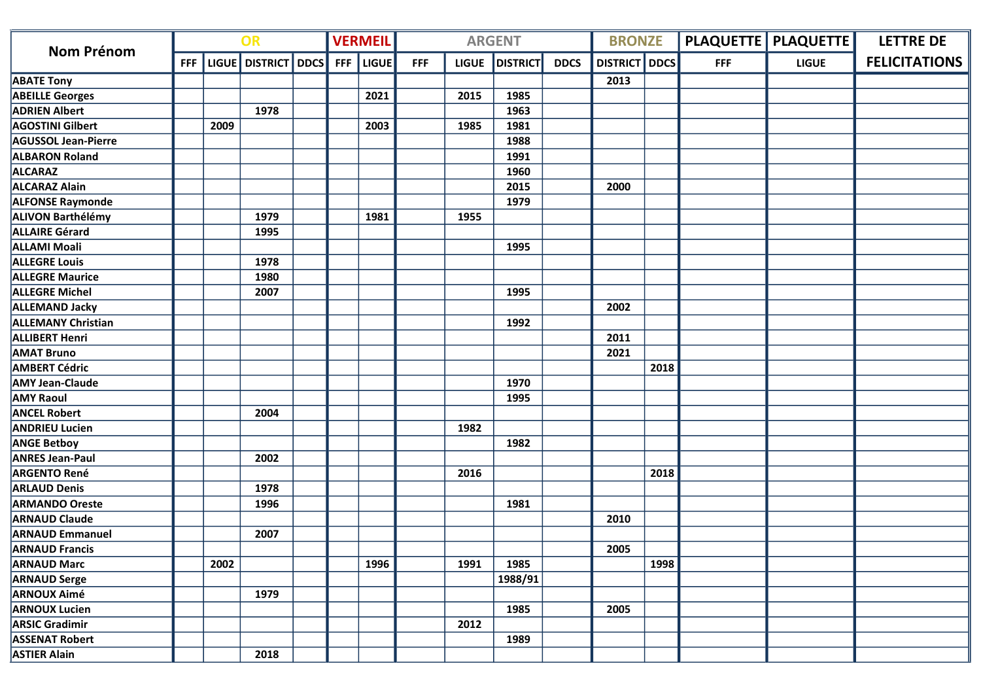| <b>Nom Prénom</b>          | OR         |      |                |             | <b>VERMEIL</b> |       |            | <b>ARGENT</b> |                 | <b>BRONZE</b> |                 |      | <b>PLAQUETTE   PLAQUETTE  </b> | <b>LETTRE DE</b> |                      |
|----------------------------|------------|------|----------------|-------------|----------------|-------|------------|---------------|-----------------|---------------|-----------------|------|--------------------------------|------------------|----------------------|
|                            | <b>FFF</b> |      | LIGUE DISTRICT | <b>DDCS</b> | <b>FFF</b>     | LIGUE | <b>FFF</b> | <b>LIGUE</b>  | <b>DISTRICT</b> | <b>DDCS</b>   | <b>DISTRICT</b> | DDCS | <b>FFF</b>                     | <b>LIGUE</b>     | <b>FELICITATIONS</b> |
| <b>ABATE Tony</b>          |            |      |                |             |                |       |            |               |                 |               | 2013            |      |                                |                  |                      |
| <b>ABEILLE Georges</b>     |            |      |                |             |                | 2021  |            | 2015          | 1985            |               |                 |      |                                |                  |                      |
| <b>ADRIEN Albert</b>       |            |      | 1978           |             |                |       |            |               | 1963            |               |                 |      |                                |                  |                      |
| <b>AGOSTINI Gilbert</b>    |            | 2009 |                |             |                | 2003  |            | 1985          | 1981            |               |                 |      |                                |                  |                      |
| <b>AGUSSOL Jean-Pierre</b> |            |      |                |             |                |       |            |               | 1988            |               |                 |      |                                |                  |                      |
| <b>ALBARON Roland</b>      |            |      |                |             |                |       |            |               | 1991            |               |                 |      |                                |                  |                      |
| <b>ALCARAZ</b>             |            |      |                |             |                |       |            |               | 1960            |               |                 |      |                                |                  |                      |
| <b>ALCARAZ Alain</b>       |            |      |                |             |                |       |            |               | 2015            |               | 2000            |      |                                |                  |                      |
| <b>ALFONSE Raymonde</b>    |            |      |                |             |                |       |            |               | 1979            |               |                 |      |                                |                  |                      |
| <b>ALIVON Barthélémy</b>   |            |      | 1979           |             |                | 1981  |            | 1955          |                 |               |                 |      |                                |                  |                      |
| <b>ALLAIRE Gérard</b>      |            |      | 1995           |             |                |       |            |               |                 |               |                 |      |                                |                  |                      |
| <b>ALLAMI Moali</b>        |            |      |                |             |                |       |            |               | 1995            |               |                 |      |                                |                  |                      |
| <b>ALLEGRE Louis</b>       |            |      | 1978           |             |                |       |            |               |                 |               |                 |      |                                |                  |                      |
| <b>ALLEGRE Maurice</b>     |            |      | 1980           |             |                |       |            |               |                 |               |                 |      |                                |                  |                      |
| <b>ALLEGRE Michel</b>      |            |      | 2007           |             |                |       |            |               | 1995            |               |                 |      |                                |                  |                      |
| <b>ALLEMAND Jacky</b>      |            |      |                |             |                |       |            |               |                 |               | 2002            |      |                                |                  |                      |
| <b>ALLEMANY Christian</b>  |            |      |                |             |                |       |            |               | 1992            |               |                 |      |                                |                  |                      |
| <b>ALLIBERT Henri</b>      |            |      |                |             |                |       |            |               |                 |               | 2011            |      |                                |                  |                      |
| <b>AMAT Bruno</b>          |            |      |                |             |                |       |            |               |                 |               | 2021            |      |                                |                  |                      |
| <b>AMBERT Cédric</b>       |            |      |                |             |                |       |            |               |                 |               |                 | 2018 |                                |                  |                      |
| <b>AMY Jean-Claude</b>     |            |      |                |             |                |       |            |               | 1970            |               |                 |      |                                |                  |                      |
| <b>AMY Raoul</b>           |            |      |                |             |                |       |            |               | 1995            |               |                 |      |                                |                  |                      |
| <b>ANCEL Robert</b>        |            |      | 2004           |             |                |       |            |               |                 |               |                 |      |                                |                  |                      |
| <b>ANDRIEU Lucien</b>      |            |      |                |             |                |       |            | 1982          |                 |               |                 |      |                                |                  |                      |
| <b>ANGE Betboy</b>         |            |      |                |             |                |       |            |               | 1982            |               |                 |      |                                |                  |                      |
| <b>ANRES Jean-Paul</b>     |            |      | 2002           |             |                |       |            |               |                 |               |                 |      |                                |                  |                      |
| <b>ARGENTO René</b>        |            |      |                |             |                |       |            | 2016          |                 |               |                 | 2018 |                                |                  |                      |
| <b>ARLAUD Denis</b>        |            |      | 1978           |             |                |       |            |               |                 |               |                 |      |                                |                  |                      |
| <b>ARMANDO Oreste</b>      |            |      | 1996           |             |                |       |            |               | 1981            |               |                 |      |                                |                  |                      |
| <b>ARNAUD Claude</b>       |            |      |                |             |                |       |            |               |                 |               | 2010            |      |                                |                  |                      |
| <b>ARNAUD Emmanuel</b>     |            |      | 2007           |             |                |       |            |               |                 |               |                 |      |                                |                  |                      |
| <b>ARNAUD Francis</b>      |            |      |                |             |                |       |            |               |                 |               | 2005            |      |                                |                  |                      |
| <b>ARNAUD Marc</b>         |            | 2002 |                |             |                | 1996  |            | 1991          | 1985            |               |                 | 1998 |                                |                  |                      |
| <b>ARNAUD Serge</b>        |            |      |                |             |                |       |            |               | 1988/91         |               |                 |      |                                |                  |                      |
| <b>ARNOUX Aimé</b>         |            |      | 1979           |             |                |       |            |               |                 |               |                 |      |                                |                  |                      |
| <b>ARNOUX Lucien</b>       |            |      |                |             |                |       |            |               | 1985            |               | 2005            |      |                                |                  |                      |
| <b>ARSIC Gradimir</b>      |            |      |                |             |                |       |            | 2012          |                 |               |                 |      |                                |                  |                      |
| <b>ASSENAT Robert</b>      |            |      |                |             |                |       |            |               | 1989            |               |                 |      |                                |                  |                      |
| <b>ASTIER Alain</b>        |            |      | 2018           |             |                |       |            |               |                 |               |                 |      |                                |                  |                      |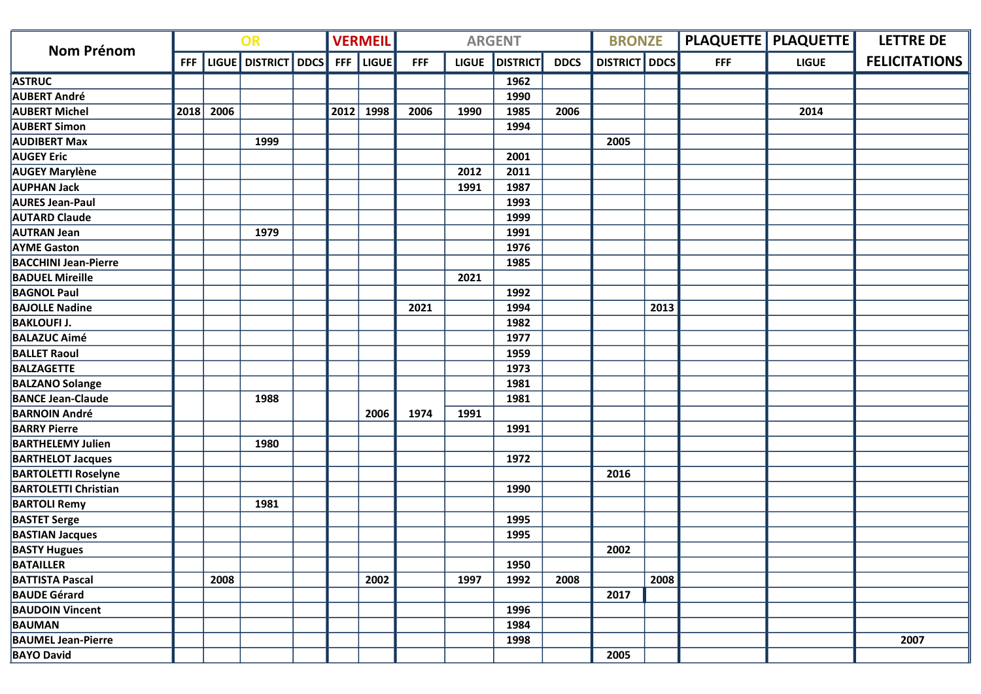|                             | OR         |      |                     |  | <b>VERMEIL</b> |              |            | <b>ARGENT</b> |                 | <b>BRONZE</b> |                      |      | <b>PLAQUETTE   PLAQUETTE  </b> | <b>LETTRE DE</b> |                      |
|-----------------------------|------------|------|---------------------|--|----------------|--------------|------------|---------------|-----------------|---------------|----------------------|------|--------------------------------|------------------|----------------------|
| Nom Prénom                  | <b>FFF</b> |      | LIGUE DISTRICT DDCS |  | <b>FFF</b>     | <b>LIGUE</b> | <b>FFF</b> | <b>LIGUE</b>  | <b>DISTRICT</b> | <b>DDCS</b>   | <b>DISTRICT</b> DDCS |      | <b>FFF</b>                     | <b>LIGUE</b>     | <b>FELICITATIONS</b> |
| <b>ASTRUC</b>               |            |      |                     |  |                |              |            |               | 1962            |               |                      |      |                                |                  |                      |
| <b>AUBERT André</b>         |            |      |                     |  |                |              |            |               | 1990            |               |                      |      |                                |                  |                      |
| <b>AUBERT Michel</b>        | 2018       | 2006 |                     |  | 2012           | 1998         | 2006       | 1990          | 1985            | 2006          |                      |      |                                | 2014             |                      |
| <b>AUBERT Simon</b>         |            |      |                     |  |                |              |            |               | 1994            |               |                      |      |                                |                  |                      |
| <b>AUDIBERT Max</b>         |            |      | 1999                |  |                |              |            |               |                 |               | 2005                 |      |                                |                  |                      |
| <b>AUGEY Eric</b>           |            |      |                     |  |                |              |            |               | 2001            |               |                      |      |                                |                  |                      |
| <b>AUGEY Marylène</b>       |            |      |                     |  |                |              |            | 2012          | 2011            |               |                      |      |                                |                  |                      |
| <b>AUPHAN Jack</b>          |            |      |                     |  |                |              |            | 1991          | 1987            |               |                      |      |                                |                  |                      |
| <b>AURES Jean-Paul</b>      |            |      |                     |  |                |              |            |               | 1993            |               |                      |      |                                |                  |                      |
| <b>AUTARD Claude</b>        |            |      |                     |  |                |              |            |               | 1999            |               |                      |      |                                |                  |                      |
| <b>AUTRAN Jean</b>          |            |      | 1979                |  |                |              |            |               | 1991            |               |                      |      |                                |                  |                      |
| <b>AYME Gaston</b>          |            |      |                     |  |                |              |            |               | 1976            |               |                      |      |                                |                  |                      |
| <b>BACCHINI Jean-Pierre</b> |            |      |                     |  |                |              |            |               | 1985            |               |                      |      |                                |                  |                      |
| <b>BADUEL Mireille</b>      |            |      |                     |  |                |              |            | 2021          |                 |               |                      |      |                                |                  |                      |
| <b>BAGNOL Paul</b>          |            |      |                     |  |                |              |            |               | 1992            |               |                      |      |                                |                  |                      |
| <b>BAJOLLE Nadine</b>       |            |      |                     |  |                |              | 2021       |               | 1994            |               |                      | 2013 |                                |                  |                      |
| <b>BAKLOUFI J.</b>          |            |      |                     |  |                |              |            |               | 1982            |               |                      |      |                                |                  |                      |
| <b>BALAZUC Aimé</b>         |            |      |                     |  |                |              |            |               | 1977            |               |                      |      |                                |                  |                      |
| <b>BALLET Raoul</b>         |            |      |                     |  |                |              |            |               | 1959            |               |                      |      |                                |                  |                      |
| <b>BALZAGETTE</b>           |            |      |                     |  |                |              |            |               | 1973            |               |                      |      |                                |                  |                      |
| <b>BALZANO Solange</b>      |            |      |                     |  |                |              |            |               | 1981            |               |                      |      |                                |                  |                      |
| <b>BANCE Jean-Claude</b>    |            |      | 1988                |  |                |              |            |               | 1981            |               |                      |      |                                |                  |                      |
| <b>BARNOIN André</b>        |            |      |                     |  |                | 2006         | 1974       | 1991          |                 |               |                      |      |                                |                  |                      |
| <b>BARRY Pierre</b>         |            |      |                     |  |                |              |            |               | 1991            |               |                      |      |                                |                  |                      |
| <b>BARTHELEMY Julien</b>    |            |      | 1980                |  |                |              |            |               |                 |               |                      |      |                                |                  |                      |
| <b>BARTHELOT Jacques</b>    |            |      |                     |  |                |              |            |               | 1972            |               |                      |      |                                |                  |                      |
| <b>BARTOLETTI Roselyne</b>  |            |      |                     |  |                |              |            |               |                 |               | 2016                 |      |                                |                  |                      |
| <b>BARTOLETTI Christian</b> |            |      |                     |  |                |              |            |               | 1990            |               |                      |      |                                |                  |                      |
| <b>BARTOLI Remy</b>         |            |      | 1981                |  |                |              |            |               |                 |               |                      |      |                                |                  |                      |
| <b>BASTET Serge</b>         |            |      |                     |  |                |              |            |               | 1995            |               |                      |      |                                |                  |                      |
| <b>BASTIAN Jacques</b>      |            |      |                     |  |                |              |            |               | 1995            |               |                      |      |                                |                  |                      |
| <b>BASTY Hugues</b>         |            |      |                     |  |                |              |            |               |                 |               | 2002                 |      |                                |                  |                      |
| <b>BATAILLER</b>            |            |      |                     |  |                |              |            |               | 1950            |               |                      |      |                                |                  |                      |
| <b>BATTISTA Pascal</b>      |            | 2008 |                     |  |                | 2002         |            | 1997          | 1992            | 2008          |                      | 2008 |                                |                  |                      |
| <b>BAUDE Gérard</b>         |            |      |                     |  |                |              |            |               |                 |               | 2017                 |      |                                |                  |                      |
| <b>BAUDOIN Vincent</b>      |            |      |                     |  |                |              |            |               | 1996            |               |                      |      |                                |                  |                      |
| <b>BAUMAN</b>               |            |      |                     |  |                |              |            |               | 1984            |               |                      |      |                                |                  |                      |
| <b>BAUMEL Jean-Pierre</b>   |            |      |                     |  |                |              |            |               | 1998            |               |                      |      |                                |                  | 2007                 |
| <b>BAYO David</b>           |            |      |                     |  |                |              |            |               |                 |               | 2005                 |      |                                |                  |                      |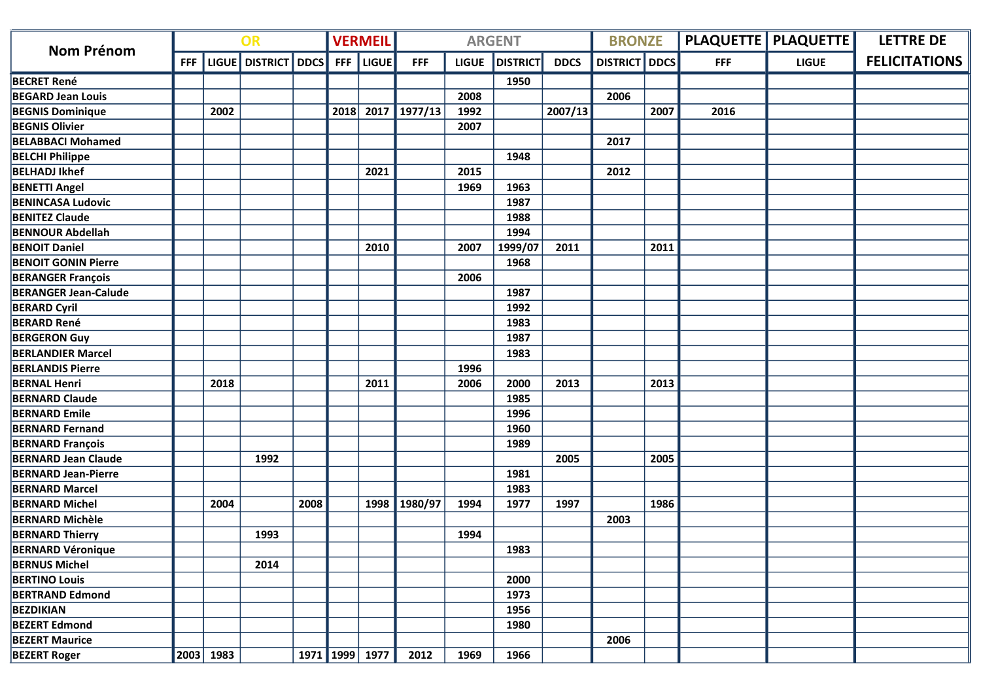| <b>Nom Prénom</b>           | OR         |           |                     |      | <b>VERMEIL</b> |                |              | <b>ARGENT</b> |                 | <b>BRONZE</b> |                 |             | <b>PLAQUETTE   PLAQUETTE  </b> | <b>LETTRE DE</b> |                      |
|-----------------------------|------------|-----------|---------------------|------|----------------|----------------|--------------|---------------|-----------------|---------------|-----------------|-------------|--------------------------------|------------------|----------------------|
|                             | <b>FFF</b> |           | LIGUE DISTRICT DDCS |      | <b>FFF</b>     | <b>LIGUE</b>   | <b>FFF</b>   | <b>LIGUE</b>  | <b>DISTRICT</b> | <b>DDCS</b>   | <b>DISTRICT</b> | <b>DDCS</b> | <b>FFF</b>                     | <b>LIGUE</b>     | <b>FELICITATIONS</b> |
| <b>BECRET René</b>          |            |           |                     |      |                |                |              |               | 1950            |               |                 |             |                                |                  |                      |
| <b>BEGARD Jean Louis</b>    |            |           |                     |      |                |                |              | 2008          |                 |               | 2006            |             |                                |                  |                      |
| <b>BEGNIS Dominique</b>     |            | 2002      |                     |      | 2018           |                | 2017 1977/13 | 1992          |                 | 2007/13       |                 | 2007        | 2016                           |                  |                      |
| <b>BEGNIS Olivier</b>       |            |           |                     |      |                |                |              | 2007          |                 |               |                 |             |                                |                  |                      |
| <b>BELABBACI Mohamed</b>    |            |           |                     |      |                |                |              |               |                 |               | 2017            |             |                                |                  |                      |
| <b>BELCHI Philippe</b>      |            |           |                     |      |                |                |              |               | 1948            |               |                 |             |                                |                  |                      |
| <b>BELHADJ Ikhef</b>        |            |           |                     |      |                | 2021           |              | 2015          |                 |               | 2012            |             |                                |                  |                      |
| <b>BENETTI Angel</b>        |            |           |                     |      |                |                |              | 1969          | 1963            |               |                 |             |                                |                  |                      |
| <b>BENINCASA Ludovic</b>    |            |           |                     |      |                |                |              |               | 1987            |               |                 |             |                                |                  |                      |
| <b>BENITEZ Claude</b>       |            |           |                     |      |                |                |              |               | 1988            |               |                 |             |                                |                  |                      |
| <b>BENNOUR Abdellah</b>     |            |           |                     |      |                |                |              |               | 1994            |               |                 |             |                                |                  |                      |
| <b>BENOIT Daniel</b>        |            |           |                     |      |                | 2010           |              | 2007          | 1999/07         | 2011          |                 | 2011        |                                |                  |                      |
| <b>BENOIT GONIN Pierre</b>  |            |           |                     |      |                |                |              |               | 1968            |               |                 |             |                                |                  |                      |
| <b>BERANGER François</b>    |            |           |                     |      |                |                |              | 2006          |                 |               |                 |             |                                |                  |                      |
| <b>BERANGER Jean-Calude</b> |            |           |                     |      |                |                |              |               | 1987            |               |                 |             |                                |                  |                      |
| <b>BERARD Cyril</b>         |            |           |                     |      |                |                |              |               | 1992            |               |                 |             |                                |                  |                      |
| <b>BERARD René</b>          |            |           |                     |      |                |                |              |               | 1983            |               |                 |             |                                |                  |                      |
| <b>BERGERON Guy</b>         |            |           |                     |      |                |                |              |               | 1987            |               |                 |             |                                |                  |                      |
| <b>BERLANDIER Marcel</b>    |            |           |                     |      |                |                |              |               | 1983            |               |                 |             |                                |                  |                      |
| <b>BERLANDIS Pierre</b>     |            |           |                     |      |                |                |              | 1996          |                 |               |                 |             |                                |                  |                      |
| <b>BERNAL Henri</b>         |            | 2018      |                     |      |                | 2011           |              | 2006          | 2000            | 2013          |                 | 2013        |                                |                  |                      |
| <b>BERNARD Claude</b>       |            |           |                     |      |                |                |              |               | 1985            |               |                 |             |                                |                  |                      |
| <b>BERNARD Emile</b>        |            |           |                     |      |                |                |              |               | 1996            |               |                 |             |                                |                  |                      |
| <b>BERNARD Fernand</b>      |            |           |                     |      |                |                |              |               | 1960            |               |                 |             |                                |                  |                      |
| <b>BERNARD François</b>     |            |           |                     |      |                |                |              |               | 1989            |               |                 |             |                                |                  |                      |
| <b>BERNARD Jean Claude</b>  |            |           | 1992                |      |                |                |              |               |                 | 2005          |                 | 2005        |                                |                  |                      |
| <b>BERNARD Jean-Pierre</b>  |            |           |                     |      |                |                |              |               | 1981            |               |                 |             |                                |                  |                      |
| <b>BERNARD Marcel</b>       |            |           |                     |      |                |                |              |               | 1983            |               |                 |             |                                |                  |                      |
| <b>BERNARD Michel</b>       |            | 2004      |                     | 2008 |                |                | 1998 1980/97 | 1994          | 1977            | 1997          |                 | 1986        |                                |                  |                      |
| <b>BERNARD Michèle</b>      |            |           |                     |      |                |                |              |               |                 |               | 2003            |             |                                |                  |                      |
| <b>BERNARD Thierry</b>      |            |           | 1993                |      |                |                |              | 1994          |                 |               |                 |             |                                |                  |                      |
| <b>BERNARD Véronique</b>    |            |           |                     |      |                |                |              |               | 1983            |               |                 |             |                                |                  |                      |
| <b>BERNUS Michel</b>        |            |           | 2014                |      |                |                |              |               |                 |               |                 |             |                                |                  |                      |
| <b>BERTINO Louis</b>        |            |           |                     |      |                |                |              |               | 2000            |               |                 |             |                                |                  |                      |
| <b>BERTRAND Edmond</b>      |            |           |                     |      |                |                |              |               | 1973            |               |                 |             |                                |                  |                      |
| <b>BEZDIKIAN</b>            |            |           |                     |      |                |                |              |               | 1956            |               |                 |             |                                |                  |                      |
| <b>BEZERT Edmond</b>        |            |           |                     |      |                |                |              |               | 1980            |               |                 |             |                                |                  |                      |
| <b>BEZERT Maurice</b>       |            |           |                     |      |                |                |              |               |                 |               | 2006            |             |                                |                  |                      |
| <b>BEZERT Roger</b>         |            | 2003 1983 |                     |      |                | 1971 1999 1977 | 2012         | 1969          | 1966            |               |                 |             |                                |                  |                      |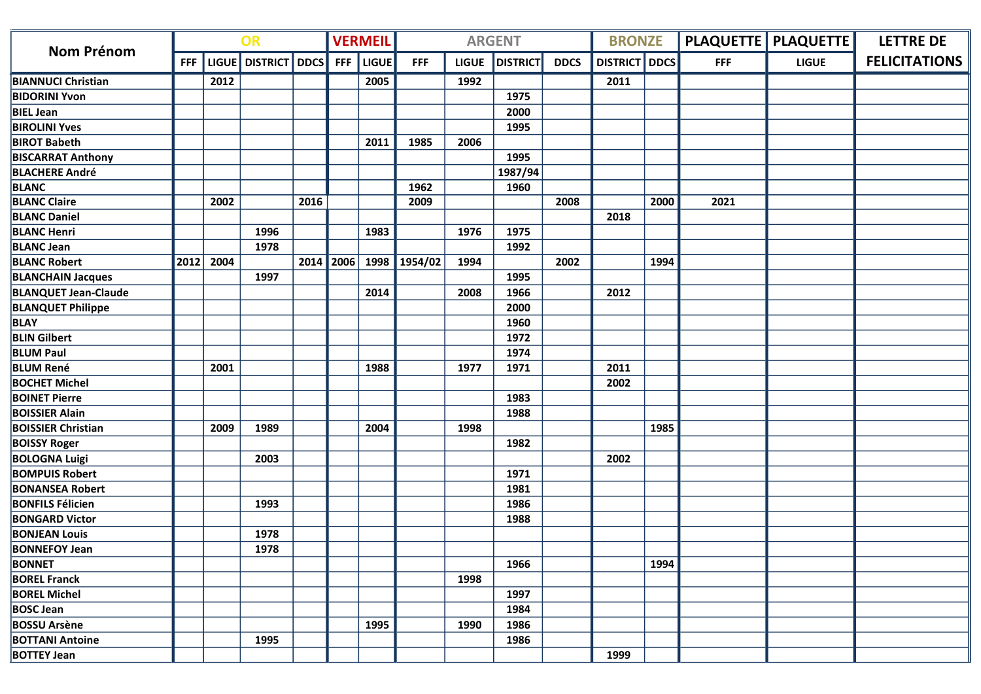| <b>Nom Prénom</b>           | OR         |      |                     | <b>VERMEIL</b> |            |       | <b>ARGENT</b> |              | <b>BRONZE</b>   |             |                      | <b>PLAQUETTE   PLAQUETTE  </b> | <b>LETTRE DE</b> |              |                      |
|-----------------------------|------------|------|---------------------|----------------|------------|-------|---------------|--------------|-----------------|-------------|----------------------|--------------------------------|------------------|--------------|----------------------|
|                             | <b>FFF</b> |      | LIGUE DISTRICT DDCS |                | <b>FFF</b> | LIGUE | <b>FFF</b>    | <b>LIGUE</b> | <b>DISTRICT</b> | <b>DDCS</b> | <b>DISTRICT DDCS</b> |                                | <b>FFF</b>       | <b>LIGUE</b> | <b>FELICITATIONS</b> |
| <b>BIANNUCI Christian</b>   |            | 2012 |                     |                |            | 2005  |               | 1992         |                 |             | 2011                 |                                |                  |              |                      |
| <b>BIDORINI Yvon</b>        |            |      |                     |                |            |       |               |              | 1975            |             |                      |                                |                  |              |                      |
| <b>BIEL Jean</b>            |            |      |                     |                |            |       |               |              | 2000            |             |                      |                                |                  |              |                      |
| <b>BIROLINI Yves</b>        |            |      |                     |                |            |       |               |              | 1995            |             |                      |                                |                  |              |                      |
| <b>BIROT Babeth</b>         |            |      |                     |                |            | 2011  | 1985          | 2006         |                 |             |                      |                                |                  |              |                      |
| <b>BISCARRAT Anthony</b>    |            |      |                     |                |            |       |               |              | 1995            |             |                      |                                |                  |              |                      |
| <b>BLACHERE André</b>       |            |      |                     |                |            |       |               |              | 1987/94         |             |                      |                                |                  |              |                      |
| <b>BLANC</b>                |            |      |                     |                |            |       | 1962          |              | 1960            |             |                      |                                |                  |              |                      |
| <b>BLANC Claire</b>         |            | 2002 |                     | 2016           |            |       | 2009          |              |                 | 2008        |                      | 2000                           | 2021             |              |                      |
| <b>BLANC Daniel</b>         |            |      |                     |                |            |       |               |              |                 |             | 2018                 |                                |                  |              |                      |
| <b>BLANC Henri</b>          |            |      | 1996                |                |            | 1983  |               | 1976         | 1975            |             |                      |                                |                  |              |                      |
| <b>BLANC Jean</b>           |            |      | 1978                |                |            |       |               |              | 1992            |             |                      |                                |                  |              |                      |
| <b>BLANC Robert</b>         | 2012       | 2004 |                     | 2014           | 2006       |       | 1998 1954/02  | 1994         |                 | 2002        |                      | 1994                           |                  |              |                      |
| <b>BLANCHAIN Jacques</b>    |            |      | 1997                |                |            |       |               |              | 1995            |             |                      |                                |                  |              |                      |
| <b>BLANQUET Jean-Claude</b> |            |      |                     |                |            | 2014  |               | 2008         | 1966            |             | 2012                 |                                |                  |              |                      |
| <b>BLANQUET Philippe</b>    |            |      |                     |                |            |       |               |              | 2000            |             |                      |                                |                  |              |                      |
| <b>BLAY</b>                 |            |      |                     |                |            |       |               |              | 1960            |             |                      |                                |                  |              |                      |
| <b>BLIN Gilbert</b>         |            |      |                     |                |            |       |               |              | 1972            |             |                      |                                |                  |              |                      |
| <b>BLUM Paul</b>            |            |      |                     |                |            |       |               |              | 1974            |             |                      |                                |                  |              |                      |
| <b>BLUM René</b>            |            | 2001 |                     |                |            | 1988  |               | 1977         | 1971            |             | 2011                 |                                |                  |              |                      |
| <b>BOCHET Michel</b>        |            |      |                     |                |            |       |               |              |                 |             | 2002                 |                                |                  |              |                      |
| <b>BOINET Pierre</b>        |            |      |                     |                |            |       |               |              | 1983            |             |                      |                                |                  |              |                      |
| <b>BOISSIER Alain</b>       |            |      |                     |                |            |       |               |              | 1988            |             |                      |                                |                  |              |                      |
| <b>BOISSIER Christian</b>   |            | 2009 | 1989                |                |            | 2004  |               | 1998         |                 |             |                      | 1985                           |                  |              |                      |
| <b>BOISSY Roger</b>         |            |      |                     |                |            |       |               |              | 1982            |             |                      |                                |                  |              |                      |
| <b>BOLOGNA Luigi</b>        |            |      | 2003                |                |            |       |               |              |                 |             | 2002                 |                                |                  |              |                      |
| <b>BOMPUIS Robert</b>       |            |      |                     |                |            |       |               |              | 1971            |             |                      |                                |                  |              |                      |
| <b>BONANSEA Robert</b>      |            |      |                     |                |            |       |               |              | 1981            |             |                      |                                |                  |              |                      |
| <b>BONFILS Félicien</b>     |            |      | 1993                |                |            |       |               |              | 1986            |             |                      |                                |                  |              |                      |
| <b>BONGARD Victor</b>       |            |      |                     |                |            |       |               |              | 1988            |             |                      |                                |                  |              |                      |
| <b>BONJEAN Louis</b>        |            |      | 1978                |                |            |       |               |              |                 |             |                      |                                |                  |              |                      |
| <b>BONNEFOY Jean</b>        |            |      | 1978                |                |            |       |               |              |                 |             |                      |                                |                  |              |                      |
| <b>BONNET</b>               |            |      |                     |                |            |       |               |              | 1966            |             |                      | 1994                           |                  |              |                      |
| <b>BOREL Franck</b>         |            |      |                     |                |            |       |               | 1998         |                 |             |                      |                                |                  |              |                      |
| <b>BOREL Michel</b>         |            |      |                     |                |            |       |               |              | 1997            |             |                      |                                |                  |              |                      |
| <b>BOSC Jean</b>            |            |      |                     |                |            |       |               |              | 1984            |             |                      |                                |                  |              |                      |
| <b>BOSSU Arsène</b>         |            |      |                     |                |            | 1995  |               | 1990         | 1986            |             |                      |                                |                  |              |                      |
| <b>BOTTANI Antoine</b>      |            |      | 1995                |                |            |       |               |              | 1986            |             |                      |                                |                  |              |                      |
| <b>BOTTEY Jean</b>          |            |      |                     |                |            |       |               |              |                 |             | 1999                 |                                |                  |              |                      |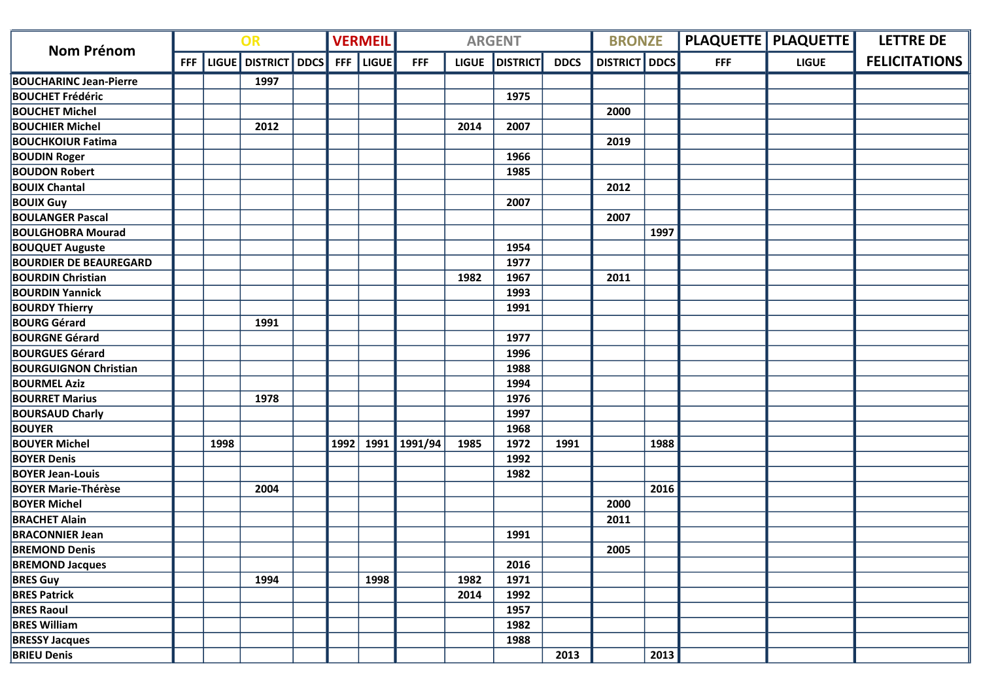|                               | OR         |      |                         |  | <b>VERMEIL</b> |              |                | <b>ARGENT</b> |                 | <b>BRONZE</b> |                      |      | <b>PLAQUETTE   PLAQUETTE  </b> | <b>LETTRE DE</b> |                      |
|-------------------------------|------------|------|-------------------------|--|----------------|--------------|----------------|---------------|-----------------|---------------|----------------------|------|--------------------------------|------------------|----------------------|
| <b>Nom Prénom</b>             | <b>FFF</b> |      | LIGUE   DISTRICT   DDCS |  | <b>FFF</b>     | <b>LIGUE</b> | <b>FFF</b>     | <b>LIGUE</b>  | <b>DISTRICT</b> | <b>DDCS</b>   | <b>DISTRICT</b> DDCS |      | <b>FFF</b>                     | <b>LIGUE</b>     | <b>FELICITATIONS</b> |
| <b>BOUCHARINC Jean-Pierre</b> |            |      | 1997                    |  |                |              |                |               |                 |               |                      |      |                                |                  |                      |
| <b>BOUCHET Frédéric</b>       |            |      |                         |  |                |              |                |               | 1975            |               |                      |      |                                |                  |                      |
| <b>BOUCHET Michel</b>         |            |      |                         |  |                |              |                |               |                 |               | 2000                 |      |                                |                  |                      |
| <b>BOUCHIER Michel</b>        |            |      | 2012                    |  |                |              |                | 2014          | 2007            |               |                      |      |                                |                  |                      |
| <b>BOUCHKOIUR Fatima</b>      |            |      |                         |  |                |              |                |               |                 |               | 2019                 |      |                                |                  |                      |
| <b>BOUDIN Roger</b>           |            |      |                         |  |                |              |                |               | 1966            |               |                      |      |                                |                  |                      |
| <b>BOUDON Robert</b>          |            |      |                         |  |                |              |                |               | 1985            |               |                      |      |                                |                  |                      |
| <b>BOUIX Chantal</b>          |            |      |                         |  |                |              |                |               |                 |               | 2012                 |      |                                |                  |                      |
| <b>BOUIX Guy</b>              |            |      |                         |  |                |              |                |               | 2007            |               |                      |      |                                |                  |                      |
| <b>BOULANGER Pascal</b>       |            |      |                         |  |                |              |                |               |                 |               | 2007                 |      |                                |                  |                      |
| <b>BOULGHOBRA Mourad</b>      |            |      |                         |  |                |              |                |               |                 |               |                      | 1997 |                                |                  |                      |
| <b>BOUQUET Auguste</b>        |            |      |                         |  |                |              |                |               | 1954            |               |                      |      |                                |                  |                      |
| <b>BOURDIER DE BEAUREGARD</b> |            |      |                         |  |                |              |                |               | 1977            |               |                      |      |                                |                  |                      |
| <b>BOURDIN Christian</b>      |            |      |                         |  |                |              |                | 1982          | 1967            |               | 2011                 |      |                                |                  |                      |
| <b>BOURDIN Yannick</b>        |            |      |                         |  |                |              |                |               | 1993            |               |                      |      |                                |                  |                      |
| <b>BOURDY Thierry</b>         |            |      |                         |  |                |              |                |               | 1991            |               |                      |      |                                |                  |                      |
| <b>BOURG Gérard</b>           |            |      | 1991                    |  |                |              |                |               |                 |               |                      |      |                                |                  |                      |
| <b>BOURGNE Gérard</b>         |            |      |                         |  |                |              |                |               | 1977            |               |                      |      |                                |                  |                      |
| <b>BOURGUES Gérard</b>        |            |      |                         |  |                |              |                |               | 1996            |               |                      |      |                                |                  |                      |
| <b>BOURGUIGNON Christian</b>  |            |      |                         |  |                |              |                |               | 1988            |               |                      |      |                                |                  |                      |
| <b>BOURMEL Aziz</b>           |            |      |                         |  |                |              |                |               | 1994            |               |                      |      |                                |                  |                      |
| <b>BOURRET Marius</b>         |            |      | 1978                    |  |                |              |                |               | 1976            |               |                      |      |                                |                  |                      |
| <b>BOURSAUD Charly</b>        |            |      |                         |  |                |              |                |               | 1997            |               |                      |      |                                |                  |                      |
| <b>BOUYER</b>                 |            |      |                         |  |                |              |                |               | 1968            |               |                      |      |                                |                  |                      |
| <b>BOUYER Michel</b>          |            | 1998 |                         |  | 1992           |              | 1991   1991/94 | 1985          | 1972            | 1991          |                      | 1988 |                                |                  |                      |
| <b>BOYER Denis</b>            |            |      |                         |  |                |              |                |               | 1992            |               |                      |      |                                |                  |                      |
| <b>BOYER Jean-Louis</b>       |            |      |                         |  |                |              |                |               | 1982            |               |                      |      |                                |                  |                      |
| <b>BOYER Marie-Thérèse</b>    |            |      | 2004                    |  |                |              |                |               |                 |               |                      | 2016 |                                |                  |                      |
| <b>BOYER Michel</b>           |            |      |                         |  |                |              |                |               |                 |               | 2000                 |      |                                |                  |                      |
| <b>BRACHET Alain</b>          |            |      |                         |  |                |              |                |               |                 |               | 2011                 |      |                                |                  |                      |
| <b>BRACONNIER Jean</b>        |            |      |                         |  |                |              |                |               | 1991            |               |                      |      |                                |                  |                      |
| <b>BREMOND Denis</b>          |            |      |                         |  |                |              |                |               |                 |               | 2005                 |      |                                |                  |                      |
| <b>BREMOND Jacques</b>        |            |      |                         |  |                |              |                |               | 2016            |               |                      |      |                                |                  |                      |
| <b>BRES Guy</b>               |            |      | 1994                    |  |                | 1998         |                | 1982          | 1971            |               |                      |      |                                |                  |                      |
| <b>BRES Patrick</b>           |            |      |                         |  |                |              |                | 2014          | 1992            |               |                      |      |                                |                  |                      |
| <b>BRES Raoul</b>             |            |      |                         |  |                |              |                |               | 1957            |               |                      |      |                                |                  |                      |
| <b>BRES William</b>           |            |      |                         |  |                |              |                |               | 1982            |               |                      |      |                                |                  |                      |
| <b>BRESSY Jacques</b>         |            |      |                         |  |                |              |                |               | 1988            |               |                      |      |                                |                  |                      |
| <b>BRIEU Denis</b>            |            |      |                         |  |                |              |                |               |                 | 2013          |                      | 2013 |                                |                  |                      |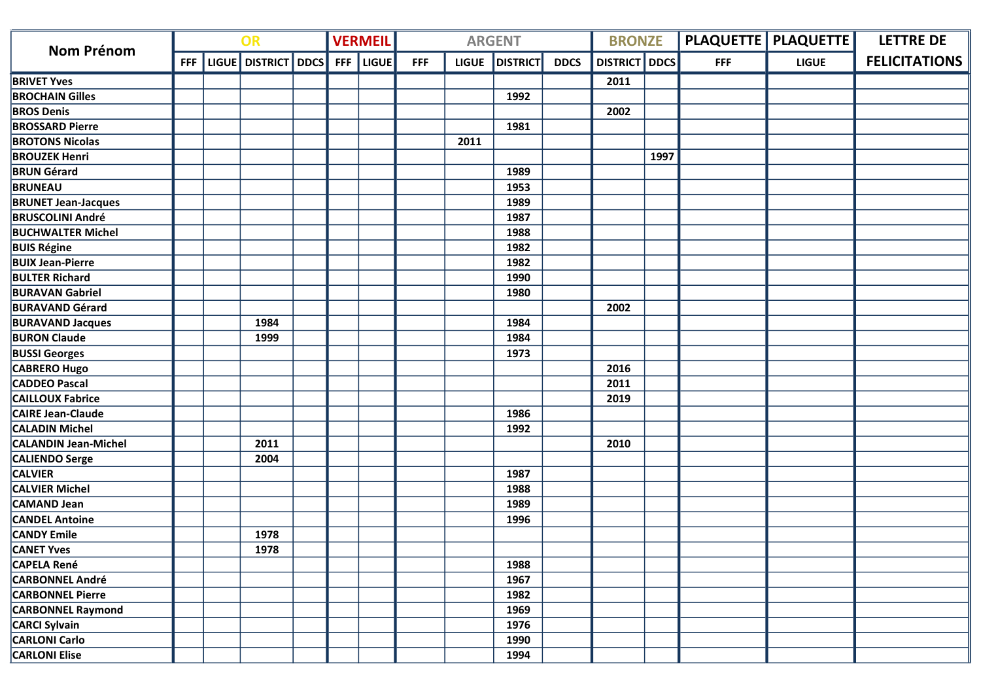| <b>Nom Prénom</b>           | OR  |  |                     |  |            | <b>VERMEIL</b> |            |              | <b>ARGENT</b>   |             | <b>BRONZE</b>        |      |            | PLAQUETTE   PLAQUETTE | <b>LETTRE DE</b>     |
|-----------------------------|-----|--|---------------------|--|------------|----------------|------------|--------------|-----------------|-------------|----------------------|------|------------|-----------------------|----------------------|
|                             | FFF |  | LIGUE DISTRICT DDCS |  | <b>FFF</b> | <b>LIGUE</b>   | <b>FFF</b> | <b>LIGUE</b> | <b>DISTRICT</b> | <b>DDCS</b> | <b>DISTRICT</b> DDCS |      | <b>FFF</b> | <b>LIGUE</b>          | <b>FELICITATIONS</b> |
| <b>BRIVET Yves</b>          |     |  |                     |  |            |                |            |              |                 |             | 2011                 |      |            |                       |                      |
| <b>BROCHAIN Gilles</b>      |     |  |                     |  |            |                |            |              | 1992            |             |                      |      |            |                       |                      |
| <b>BROS Denis</b>           |     |  |                     |  |            |                |            |              |                 |             | 2002                 |      |            |                       |                      |
| <b>BROSSARD Pierre</b>      |     |  |                     |  |            |                |            |              | 1981            |             |                      |      |            |                       |                      |
| <b>BROTONS Nicolas</b>      |     |  |                     |  |            |                |            | 2011         |                 |             |                      |      |            |                       |                      |
| <b>BROUZEK Henri</b>        |     |  |                     |  |            |                |            |              |                 |             |                      | 1997 |            |                       |                      |
| <b>BRUN Gérard</b>          |     |  |                     |  |            |                |            |              | 1989            |             |                      |      |            |                       |                      |
| <b>BRUNEAU</b>              |     |  |                     |  |            |                |            |              | 1953            |             |                      |      |            |                       |                      |
| <b>BRUNET Jean-Jacques</b>  |     |  |                     |  |            |                |            |              | 1989            |             |                      |      |            |                       |                      |
| <b>BRUSCOLINI André</b>     |     |  |                     |  |            |                |            |              | 1987            |             |                      |      |            |                       |                      |
| <b>BUCHWALTER Michel</b>    |     |  |                     |  |            |                |            |              | 1988            |             |                      |      |            |                       |                      |
| <b>BUIS Régine</b>          |     |  |                     |  |            |                |            |              | 1982            |             |                      |      |            |                       |                      |
| <b>BUIX Jean-Pierre</b>     |     |  |                     |  |            |                |            |              | 1982            |             |                      |      |            |                       |                      |
| <b>BULTER Richard</b>       |     |  |                     |  |            |                |            |              | 1990            |             |                      |      |            |                       |                      |
| <b>BURAVAN Gabriel</b>      |     |  |                     |  |            |                |            |              | 1980            |             |                      |      |            |                       |                      |
| <b>BURAVAND Gérard</b>      |     |  |                     |  |            |                |            |              |                 |             | 2002                 |      |            |                       |                      |
| <b>BURAVAND Jacques</b>     |     |  | 1984                |  |            |                |            |              | 1984            |             |                      |      |            |                       |                      |
| <b>BURON Claude</b>         |     |  | 1999                |  |            |                |            |              | 1984            |             |                      |      |            |                       |                      |
| <b>BUSSI Georges</b>        |     |  |                     |  |            |                |            |              | 1973            |             |                      |      |            |                       |                      |
| <b>CABRERO Hugo</b>         |     |  |                     |  |            |                |            |              |                 |             | 2016                 |      |            |                       |                      |
| <b>CADDEO Pascal</b>        |     |  |                     |  |            |                |            |              |                 |             | 2011                 |      |            |                       |                      |
| <b>CAILLOUX Fabrice</b>     |     |  |                     |  |            |                |            |              |                 |             | 2019                 |      |            |                       |                      |
| <b>CAIRE Jean-Claude</b>    |     |  |                     |  |            |                |            |              | 1986            |             |                      |      |            |                       |                      |
| <b>CALADIN Michel</b>       |     |  |                     |  |            |                |            |              | 1992            |             |                      |      |            |                       |                      |
| <b>CALANDIN Jean-Michel</b> |     |  | 2011                |  |            |                |            |              |                 |             | 2010                 |      |            |                       |                      |
| <b>CALIENDO Serge</b>       |     |  | 2004                |  |            |                |            |              |                 |             |                      |      |            |                       |                      |
| <b>CALVIER</b>              |     |  |                     |  |            |                |            |              | 1987            |             |                      |      |            |                       |                      |
| <b>CALVIER Michel</b>       |     |  |                     |  |            |                |            |              | 1988            |             |                      |      |            |                       |                      |
| CAMAND Jean                 |     |  |                     |  |            |                |            |              | 1989            |             |                      |      |            |                       |                      |
| <b>CANDEL Antoine</b>       |     |  |                     |  |            |                |            |              | 1996            |             |                      |      |            |                       |                      |
| <b>CANDY Emile</b>          |     |  | 1978                |  |            |                |            |              |                 |             |                      |      |            |                       |                      |
| <b>CANET Yves</b>           |     |  | 1978                |  |            |                |            |              |                 |             |                      |      |            |                       |                      |
| <b>CAPELA René</b>          |     |  |                     |  |            |                |            |              | 1988            |             |                      |      |            |                       |                      |
| <b>CARBONNEL André</b>      |     |  |                     |  |            |                |            |              | 1967            |             |                      |      |            |                       |                      |
| <b>CARBONNEL Pierre</b>     |     |  |                     |  |            |                |            |              | 1982            |             |                      |      |            |                       |                      |
| <b>CARBONNEL Raymond</b>    |     |  |                     |  |            |                |            |              | 1969            |             |                      |      |            |                       |                      |
| <b>CARCI Sylvain</b>        |     |  |                     |  |            |                |            |              | 1976            |             |                      |      |            |                       |                      |
| <b>CARLONI Carlo</b>        |     |  |                     |  |            |                |            |              | 1990            |             |                      |      |            |                       |                      |
| <b>CARLONI Elise</b>        |     |  |                     |  |            |                |            |              | 1994            |             |                      |      |            |                       |                      |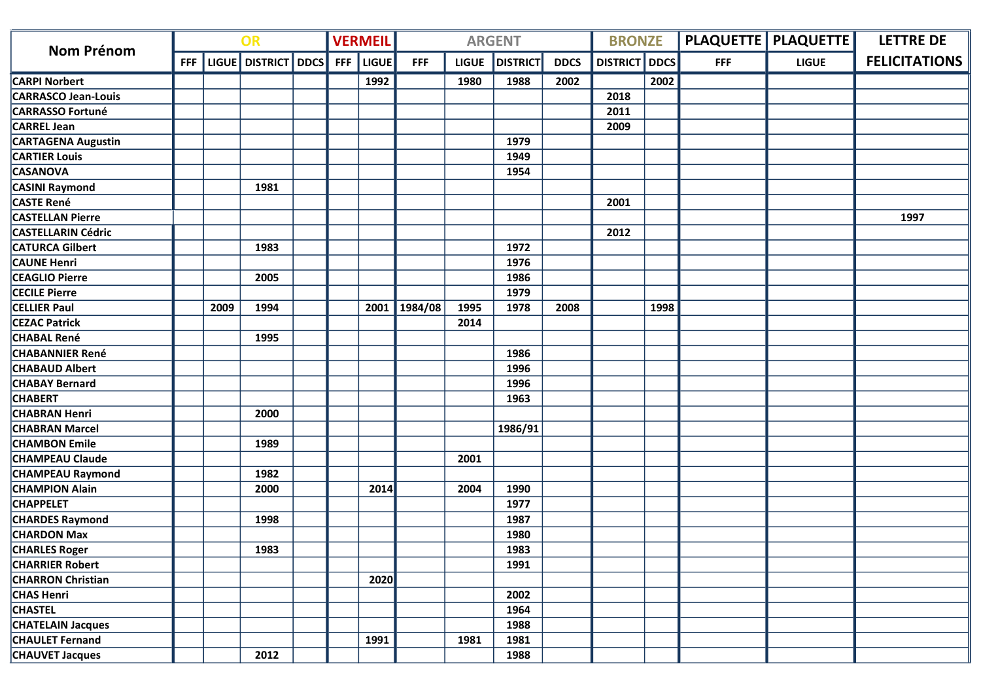| <b>Nom Prénom</b>          | OR |      |                               |  |            | <b>VERMEIL</b> |              |              | <b>ARGENT</b>   |             | <b>BRONZE</b>        |      |            | <b>PLAQUETTE   PLAQUETTE  </b> | <b>LETTRE DE</b>     |
|----------------------------|----|------|-------------------------------|--|------------|----------------|--------------|--------------|-----------------|-------------|----------------------|------|------------|--------------------------------|----------------------|
|                            |    |      | FFF   LIGUE   DISTRICT   DDCS |  | <b>FFF</b> | <b>LIGUE</b>   | <b>FFF</b>   | <b>LIGUE</b> | <b>DISTRICT</b> | <b>DDCS</b> | <b>DISTRICT</b> DDCS |      | <b>FFF</b> | <b>LIGUE</b>                   | <b>FELICITATIONS</b> |
| <b>CARPI Norbert</b>       |    |      |                               |  |            | 1992           |              | 1980         | 1988            | 2002        |                      | 2002 |            |                                |                      |
| <b>CARRASCO Jean-Louis</b> |    |      |                               |  |            |                |              |              |                 |             | 2018                 |      |            |                                |                      |
| <b>CARRASSO Fortuné</b>    |    |      |                               |  |            |                |              |              |                 |             | 2011                 |      |            |                                |                      |
| <b>CARREL Jean</b>         |    |      |                               |  |            |                |              |              |                 |             | 2009                 |      |            |                                |                      |
| <b>CARTAGENA Augustin</b>  |    |      |                               |  |            |                |              |              | 1979            |             |                      |      |            |                                |                      |
| <b>CARTIER Louis</b>       |    |      |                               |  |            |                |              |              | 1949            |             |                      |      |            |                                |                      |
| <b>CASANOVA</b>            |    |      |                               |  |            |                |              |              | 1954            |             |                      |      |            |                                |                      |
| <b>CASINI Raymond</b>      |    |      | 1981                          |  |            |                |              |              |                 |             |                      |      |            |                                |                      |
| <b>CASTE René</b>          |    |      |                               |  |            |                |              |              |                 |             | 2001                 |      |            |                                |                      |
| <b>CASTELLAN Pierre</b>    |    |      |                               |  |            |                |              |              |                 |             |                      |      |            |                                | 1997                 |
| <b>CASTELLARIN Cédric</b>  |    |      |                               |  |            |                |              |              |                 |             | 2012                 |      |            |                                |                      |
| <b>CATURCA Gilbert</b>     |    |      | 1983                          |  |            |                |              |              | 1972            |             |                      |      |            |                                |                      |
| <b>CAUNE Henri</b>         |    |      |                               |  |            |                |              |              | 1976            |             |                      |      |            |                                |                      |
| <b>CEAGLIO Pierre</b>      |    |      | 2005                          |  |            |                |              |              | 1986            |             |                      |      |            |                                |                      |
| <b>CECILE Pierre</b>       |    |      |                               |  |            |                |              |              | 1979            |             |                      |      |            |                                |                      |
| <b>CELLIER Paul</b>        |    | 2009 | 1994                          |  |            |                | 2001 1984/08 | 1995         | 1978            | 2008        |                      | 1998 |            |                                |                      |
| <b>CEZAC Patrick</b>       |    |      |                               |  |            |                |              | 2014         |                 |             |                      |      |            |                                |                      |
| <b>CHABAL René</b>         |    |      | 1995                          |  |            |                |              |              |                 |             |                      |      |            |                                |                      |
| <b>CHABANNIER René</b>     |    |      |                               |  |            |                |              |              | 1986            |             |                      |      |            |                                |                      |
| <b>CHABAUD Albert</b>      |    |      |                               |  |            |                |              |              | 1996            |             |                      |      |            |                                |                      |
| <b>CHABAY Bernard</b>      |    |      |                               |  |            |                |              |              | 1996            |             |                      |      |            |                                |                      |
| <b>CHABERT</b>             |    |      |                               |  |            |                |              |              | 1963            |             |                      |      |            |                                |                      |
| <b>CHABRAN Henri</b>       |    |      | 2000                          |  |            |                |              |              |                 |             |                      |      |            |                                |                      |
| <b>CHABRAN Marcel</b>      |    |      |                               |  |            |                |              |              | 1986/91         |             |                      |      |            |                                |                      |
| <b>CHAMBON Emile</b>       |    |      | 1989                          |  |            |                |              |              |                 |             |                      |      |            |                                |                      |
| <b>CHAMPEAU Claude</b>     |    |      |                               |  |            |                |              | 2001         |                 |             |                      |      |            |                                |                      |
| <b>CHAMPEAU Raymond</b>    |    |      | 1982                          |  |            |                |              |              |                 |             |                      |      |            |                                |                      |
| <b>CHAMPION Alain</b>      |    |      | 2000                          |  |            | 2014           |              | 2004         | 1990            |             |                      |      |            |                                |                      |
| <b>CHAPPELET</b>           |    |      |                               |  |            |                |              |              | 1977            |             |                      |      |            |                                |                      |
| <b>CHARDES Raymond</b>     |    |      | 1998                          |  |            |                |              |              | 1987            |             |                      |      |            |                                |                      |
| <b>CHARDON Max</b>         |    |      |                               |  |            |                |              |              | 1980            |             |                      |      |            |                                |                      |
| <b>CHARLES Roger</b>       |    |      | 1983                          |  |            |                |              |              | 1983            |             |                      |      |            |                                |                      |
| <b>CHARRIER Robert</b>     |    |      |                               |  |            |                |              |              | 1991            |             |                      |      |            |                                |                      |
| <b>CHARRON Christian</b>   |    |      |                               |  |            | 2020           |              |              |                 |             |                      |      |            |                                |                      |
| <b>CHAS Henri</b>          |    |      |                               |  |            |                |              |              | 2002            |             |                      |      |            |                                |                      |
| <b>CHASTEL</b>             |    |      |                               |  |            |                |              |              | 1964            |             |                      |      |            |                                |                      |
| <b>CHATELAIN Jacques</b>   |    |      |                               |  |            |                |              |              | 1988            |             |                      |      |            |                                |                      |
| <b>CHAULET Fernand</b>     |    |      |                               |  |            | 1991           |              | 1981         | 1981            |             |                      |      |            |                                |                      |
| <b>CHAUVET Jacques</b>     |    |      | 2012                          |  |            |                |              |              | 1988            |             |                      |      |            |                                |                      |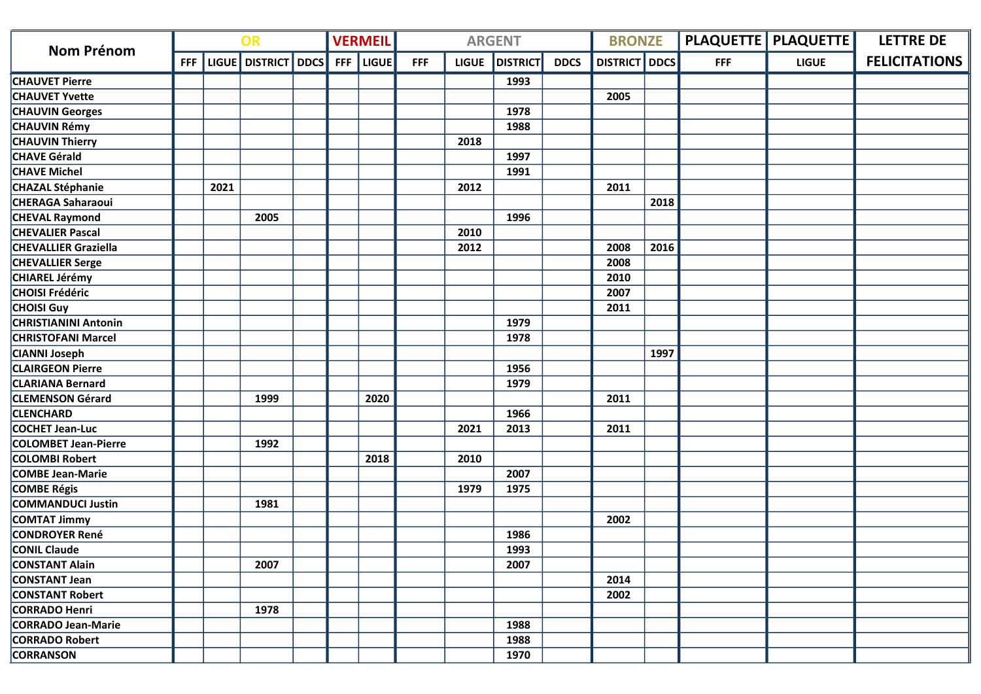| <b>Nom Prénom</b>           | OR         |      |                     |  |            | <b>VERMEIL</b> |            |              | <b>ARGENT</b>   |             | <b>BRONZE</b>        |      |            | <b>PLAQUETTE   PLAQUETTE  </b> | <b>LETTRE DE</b>     |
|-----------------------------|------------|------|---------------------|--|------------|----------------|------------|--------------|-----------------|-------------|----------------------|------|------------|--------------------------------|----------------------|
|                             | <b>FFF</b> |      | LIGUE DISTRICT DDCS |  | <b>FFF</b> | <b>LIGUE</b>   | <b>FFF</b> | <b>LIGUE</b> | <b>DISTRICT</b> | <b>DDCS</b> | <b>DISTRICT</b> DDCS |      | <b>FFF</b> | <b>LIGUE</b>                   | <b>FELICITATIONS</b> |
| <b>CHAUVET Pierre</b>       |            |      |                     |  |            |                |            |              | 1993            |             |                      |      |            |                                |                      |
| <b>CHAUVET Yvette</b>       |            |      |                     |  |            |                |            |              |                 |             | 2005                 |      |            |                                |                      |
| <b>CHAUVIN Georges</b>      |            |      |                     |  |            |                |            |              | 1978            |             |                      |      |            |                                |                      |
| <b>CHAUVIN Rémy</b>         |            |      |                     |  |            |                |            |              | 1988            |             |                      |      |            |                                |                      |
| <b>CHAUVIN Thierry</b>      |            |      |                     |  |            |                |            | 2018         |                 |             |                      |      |            |                                |                      |
| <b>CHAVE Gérald</b>         |            |      |                     |  |            |                |            |              | 1997            |             |                      |      |            |                                |                      |
| <b>CHAVE Michel</b>         |            |      |                     |  |            |                |            |              | 1991            |             |                      |      |            |                                |                      |
| <b>CHAZAL Stéphanie</b>     |            | 2021 |                     |  |            |                |            | 2012         |                 |             | 2011                 |      |            |                                |                      |
| <b>CHERAGA Saharaoui</b>    |            |      |                     |  |            |                |            |              |                 |             |                      | 2018 |            |                                |                      |
| <b>CHEVAL Raymond</b>       |            |      | 2005                |  |            |                |            |              | 1996            |             |                      |      |            |                                |                      |
| <b>CHEVALIER Pascal</b>     |            |      |                     |  |            |                |            | 2010         |                 |             |                      |      |            |                                |                      |
| <b>CHEVALLIER Graziella</b> |            |      |                     |  |            |                |            | 2012         |                 |             | 2008                 | 2016 |            |                                |                      |
| <b>CHEVALLIER Serge</b>     |            |      |                     |  |            |                |            |              |                 |             | 2008                 |      |            |                                |                      |
| CHIAREL Jérémy              |            |      |                     |  |            |                |            |              |                 |             | 2010                 |      |            |                                |                      |
| CHOISI Frédéric             |            |      |                     |  |            |                |            |              |                 |             | 2007                 |      |            |                                |                      |
| <b>CHOISI Guy</b>           |            |      |                     |  |            |                |            |              |                 |             | 2011                 |      |            |                                |                      |
| <b>CHRISTIANINI Antonin</b> |            |      |                     |  |            |                |            |              | 1979            |             |                      |      |            |                                |                      |
| <b>CHRISTOFANI Marcel</b>   |            |      |                     |  |            |                |            |              | 1978            |             |                      |      |            |                                |                      |
| <b>CIANNI Joseph</b>        |            |      |                     |  |            |                |            |              |                 |             |                      | 1997 |            |                                |                      |
| <b>CLAIRGEON Pierre</b>     |            |      |                     |  |            |                |            |              | 1956            |             |                      |      |            |                                |                      |
| <b>CLARIANA Bernard</b>     |            |      |                     |  |            |                |            |              | 1979            |             |                      |      |            |                                |                      |
| <b>CLEMENSON Gérard</b>     |            |      | 1999                |  |            | 2020           |            |              |                 |             | 2011                 |      |            |                                |                      |
| <b>CLENCHARD</b>            |            |      |                     |  |            |                |            |              | 1966            |             |                      |      |            |                                |                      |
| COCHET Jean-Luc             |            |      |                     |  |            |                |            | 2021         | 2013            |             | 2011                 |      |            |                                |                      |
| <b>COLOMBET Jean-Pierre</b> |            |      | 1992                |  |            |                |            |              |                 |             |                      |      |            |                                |                      |
| <b>COLOMBI Robert</b>       |            |      |                     |  |            | 2018           |            | 2010         |                 |             |                      |      |            |                                |                      |
| <b>COMBE Jean-Marie</b>     |            |      |                     |  |            |                |            |              | 2007            |             |                      |      |            |                                |                      |
| COMBE Régis                 |            |      |                     |  |            |                |            | 1979         | 1975            |             |                      |      |            |                                |                      |
| <b>COMMANDUCI Justin</b>    |            |      | 1981                |  |            |                |            |              |                 |             |                      |      |            |                                |                      |
| <b>COMTAT Jimmy</b>         |            |      |                     |  |            |                |            |              |                 |             | 2002                 |      |            |                                |                      |
| <b>CONDROYER René</b>       |            |      |                     |  |            |                |            |              | 1986            |             |                      |      |            |                                |                      |
| <b>CONIL Claude</b>         |            |      |                     |  |            |                |            |              | 1993            |             |                      |      |            |                                |                      |
| <b>CONSTANT Alain</b>       |            |      | 2007                |  |            |                |            |              | 2007            |             |                      |      |            |                                |                      |
| <b>CONSTANT Jean</b>        |            |      |                     |  |            |                |            |              |                 |             | 2014                 |      |            |                                |                      |
| <b>CONSTANT Robert</b>      |            |      |                     |  |            |                |            |              |                 |             | 2002                 |      |            |                                |                      |
| CORRADO Henri               |            |      | 1978                |  |            |                |            |              |                 |             |                      |      |            |                                |                      |
| <b>CORRADO Jean-Marie</b>   |            |      |                     |  |            |                |            |              | 1988            |             |                      |      |            |                                |                      |
| <b>CORRADO Robert</b>       |            |      |                     |  |            |                |            |              | 1988            |             |                      |      |            |                                |                      |
| <b>CORRANSON</b>            |            |      |                     |  |            |                |            |              | 1970            |             |                      |      |            |                                |                      |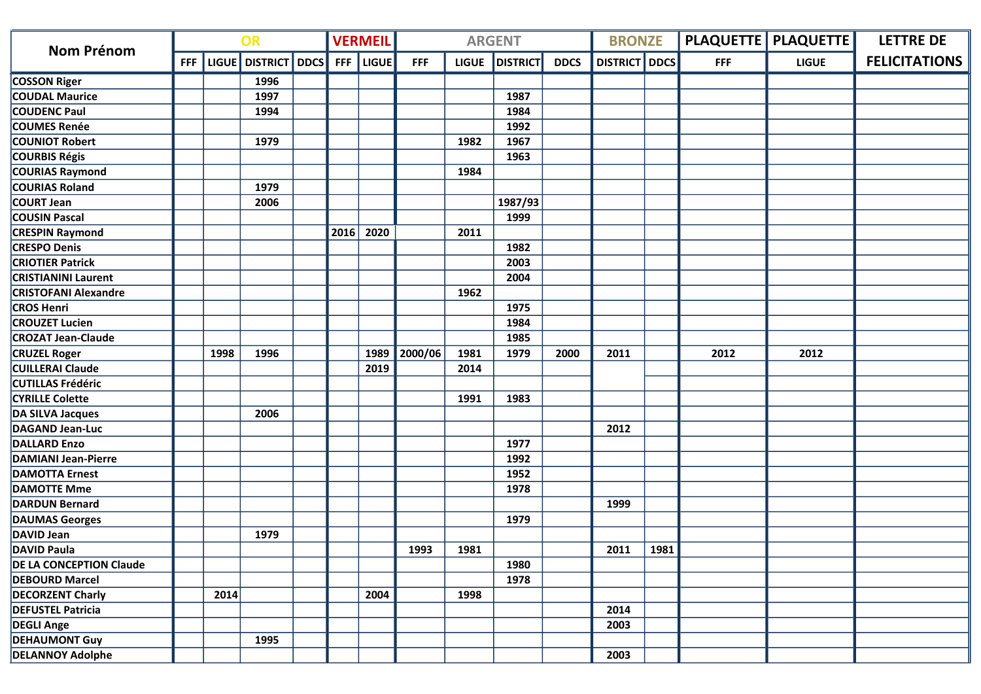| <b>Nom Prénom</b>              | OR         |      |                     |  | <b>VERMEIL</b> |              |            | <b>ARGENT</b> |                 | <b>BRONZE</b> |                 |      | <b>PLAQUETTE   PLAQUETTE  </b> | <b>LETTRE DE</b> |                      |
|--------------------------------|------------|------|---------------------|--|----------------|--------------|------------|---------------|-----------------|---------------|-----------------|------|--------------------------------|------------------|----------------------|
|                                | <b>FFF</b> |      | LIGUE DISTRICT DDCS |  | <b>FFF</b>     | <b>LIGUE</b> | <b>FFF</b> | <b>LIGUE</b>  | <b>DISTRICT</b> | <b>DDCS</b>   | <b>DISTRICT</b> | DDCS | <b>FFF</b>                     | <b>LIGUE</b>     | <b>FELICITATIONS</b> |
| <b>COSSON Riger</b>            |            |      | 1996                |  |                |              |            |               |                 |               |                 |      |                                |                  |                      |
| <b>COUDAL Maurice</b>          |            |      | 1997                |  |                |              |            |               | 1987            |               |                 |      |                                |                  |                      |
| <b>COUDENC Paul</b>            |            |      | 1994                |  |                |              |            |               | 1984            |               |                 |      |                                |                  |                      |
| <b>COUMES Renée</b>            |            |      |                     |  |                |              |            |               | 1992            |               |                 |      |                                |                  |                      |
| <b>COUNIOT Robert</b>          |            |      | 1979                |  |                |              |            | 1982          | 1967            |               |                 |      |                                |                  |                      |
| <b>COURBIS Régis</b>           |            |      |                     |  |                |              |            |               | 1963            |               |                 |      |                                |                  |                      |
| <b>COURIAS Raymond</b>         |            |      |                     |  |                |              |            | 1984          |                 |               |                 |      |                                |                  |                      |
| <b>COURIAS Roland</b>          |            |      | 1979                |  |                |              |            |               |                 |               |                 |      |                                |                  |                      |
| <b>COURT Jean</b>              |            |      | 2006                |  |                |              |            |               | 1987/93         |               |                 |      |                                |                  |                      |
| <b>COUSIN Pascal</b>           |            |      |                     |  |                |              |            |               | 1999            |               |                 |      |                                |                  |                      |
| <b>CRESPIN Raymond</b>         |            |      |                     |  | 2016           | 2020         |            | 2011          |                 |               |                 |      |                                |                  |                      |
| <b>CRESPO Denis</b>            |            |      |                     |  |                |              |            |               | 1982            |               |                 |      |                                |                  |                      |
| <b>CRIOTIER Patrick</b>        |            |      |                     |  |                |              |            |               | 2003            |               |                 |      |                                |                  |                      |
| <b>CRISTIANINI Laurent</b>     |            |      |                     |  |                |              |            |               | 2004            |               |                 |      |                                |                  |                      |
| <b>CRISTOFANI Alexandre</b>    |            |      |                     |  |                |              |            | 1962          |                 |               |                 |      |                                |                  |                      |
| <b>CROS Henri</b>              |            |      |                     |  |                |              |            |               | 1975            |               |                 |      |                                |                  |                      |
| <b>CROUZET Lucien</b>          |            |      |                     |  |                |              |            |               | 1984            |               |                 |      |                                |                  |                      |
| <b>CROZAT Jean-Claude</b>      |            |      |                     |  |                |              |            |               | 1985            |               |                 |      |                                |                  |                      |
| <b>CRUZEL Roger</b>            |            | 1998 | 1996                |  |                | 1989         | 2000/06    | 1981          | 1979            | 2000          | 2011            |      | 2012                           | 2012             |                      |
| <b>CUILLERAI Claude</b>        |            |      |                     |  |                | 2019         |            | 2014          |                 |               |                 |      |                                |                  |                      |
| <b>CUTILLAS Frédéric</b>       |            |      |                     |  |                |              |            |               |                 |               |                 |      |                                |                  |                      |
| <b>CYRILLE Colette</b>         |            |      |                     |  |                |              |            | 1991          | 1983            |               |                 |      |                                |                  |                      |
| DA SILVA Jacques               |            |      | 2006                |  |                |              |            |               |                 |               |                 |      |                                |                  |                      |
| <b>DAGAND Jean-Luc</b>         |            |      |                     |  |                |              |            |               |                 |               | 2012            |      |                                |                  |                      |
| <b>DALLARD Enzo</b>            |            |      |                     |  |                |              |            |               | 1977            |               |                 |      |                                |                  |                      |
| <b>DAMIANI Jean-Pierre</b>     |            |      |                     |  |                |              |            |               | 1992            |               |                 |      |                                |                  |                      |
| <b>DAMOTTA Ernest</b>          |            |      |                     |  |                |              |            |               | 1952            |               |                 |      |                                |                  |                      |
| <b>DAMOTTE Mme</b>             |            |      |                     |  |                |              |            |               | 1978            |               |                 |      |                                |                  |                      |
| <b>DARDUN Bernard</b>          |            |      |                     |  |                |              |            |               |                 |               | 1999            |      |                                |                  |                      |
| <b>DAUMAS Georges</b>          |            |      |                     |  |                |              |            |               | 1979            |               |                 |      |                                |                  |                      |
| DAVID Jean                     |            |      | 1979                |  |                |              |            |               |                 |               |                 |      |                                |                  |                      |
| DAVID Paula                    |            |      |                     |  |                |              | 1993       | 1981          |                 |               | 2011            | 1981 |                                |                  |                      |
| <b>DE LA CONCEPTION Claude</b> |            |      |                     |  |                |              |            |               | 1980            |               |                 |      |                                |                  |                      |
| <b>DEBOURD Marcel</b>          |            |      |                     |  |                |              |            |               | 1978            |               |                 |      |                                |                  |                      |
| <b>DECORZENT Charly</b>        |            | 2014 |                     |  |                | 2004         |            | 1998          |                 |               |                 |      |                                |                  |                      |
| <b>DEFUSTEL Patricia</b>       |            |      |                     |  |                |              |            |               |                 |               | 2014            |      |                                |                  |                      |
| <b>DEGLI Ange</b>              |            |      |                     |  |                |              |            |               |                 |               | 2003            |      |                                |                  |                      |
| <b>DEHAUMONT Guy</b>           |            |      | 1995                |  |                |              |            |               |                 |               |                 |      |                                |                  |                      |
| <b>DELANNOY Adolphe</b>        |            |      |                     |  |                |              |            |               |                 |               | 2003            |      |                                |                  |                      |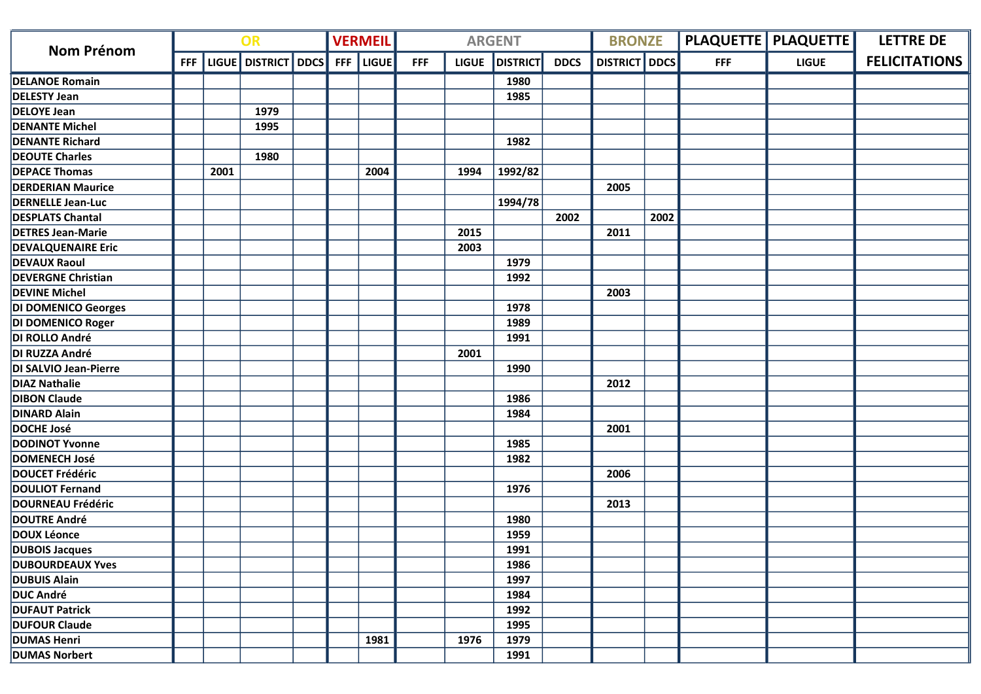|                           | OR         |      |                     |  | <b>VERMEIL</b> |              |            | <b>ARGENT</b> |                 | <b>BRONZE</b> |                      |      | <b>PLAQUETTE   PLAQUETTE  </b> | <b>LETTRE DE</b> |                      |
|---------------------------|------------|------|---------------------|--|----------------|--------------|------------|---------------|-----------------|---------------|----------------------|------|--------------------------------|------------------|----------------------|
| <b>Nom Prénom</b>         | <b>FFF</b> |      | LIGUE DISTRICT DDCS |  | <b>FFF</b>     | <b>LIGUE</b> | <b>FFF</b> | <b>LIGUE</b>  | <b>DISTRICT</b> | <b>DDCS</b>   | <b>DISTRICT</b> DDCS |      | <b>FFF</b>                     | <b>LIGUE</b>     | <b>FELICITATIONS</b> |
| <b>DELANOE Romain</b>     |            |      |                     |  |                |              |            |               | 1980            |               |                      |      |                                |                  |                      |
| <b>DELESTY Jean</b>       |            |      |                     |  |                |              |            |               | 1985            |               |                      |      |                                |                  |                      |
| <b>DELOYE Jean</b>        |            |      | 1979                |  |                |              |            |               |                 |               |                      |      |                                |                  |                      |
| <b>DENANTE Michel</b>     |            |      | 1995                |  |                |              |            |               |                 |               |                      |      |                                |                  |                      |
| <b>DENANTE Richard</b>    |            |      |                     |  |                |              |            |               | 1982            |               |                      |      |                                |                  |                      |
| <b>DEOUTE Charles</b>     |            |      | 1980                |  |                |              |            |               |                 |               |                      |      |                                |                  |                      |
| <b>DEPACE Thomas</b>      |            | 2001 |                     |  |                | 2004         |            | 1994          | 1992/82         |               |                      |      |                                |                  |                      |
| <b>DERDERIAN Maurice</b>  |            |      |                     |  |                |              |            |               |                 |               | 2005                 |      |                                |                  |                      |
| <b>DERNELLE Jean-Luc</b>  |            |      |                     |  |                |              |            |               | 1994/78         |               |                      |      |                                |                  |                      |
| <b>DESPLATS Chantal</b>   |            |      |                     |  |                |              |            |               |                 | 2002          |                      | 2002 |                                |                  |                      |
| <b>DETRES Jean-Marie</b>  |            |      |                     |  |                |              |            | 2015          |                 |               | 2011                 |      |                                |                  |                      |
| <b>DEVALQUENAIRE Eric</b> |            |      |                     |  |                |              |            | 2003          |                 |               |                      |      |                                |                  |                      |
| <b>DEVAUX Raoul</b>       |            |      |                     |  |                |              |            |               | 1979            |               |                      |      |                                |                  |                      |
| <b>DEVERGNE Christian</b> |            |      |                     |  |                |              |            |               | 1992            |               |                      |      |                                |                  |                      |
| <b>DEVINE Michel</b>      |            |      |                     |  |                |              |            |               |                 |               | 2003                 |      |                                |                  |                      |
| DI DOMENICO Georges       |            |      |                     |  |                |              |            |               | 1978            |               |                      |      |                                |                  |                      |
| DI DOMENICO Roger         |            |      |                     |  |                |              |            |               | 1989            |               |                      |      |                                |                  |                      |
| DI ROLLO André            |            |      |                     |  |                |              |            |               | 1991            |               |                      |      |                                |                  |                      |
| DI RUZZA André            |            |      |                     |  |                |              |            | 2001          |                 |               |                      |      |                                |                  |                      |
| DI SALVIO Jean-Pierre     |            |      |                     |  |                |              |            |               | 1990            |               |                      |      |                                |                  |                      |
| <b>DIAZ Nathalie</b>      |            |      |                     |  |                |              |            |               |                 |               | 2012                 |      |                                |                  |                      |
| <b>DIBON Claude</b>       |            |      |                     |  |                |              |            |               | 1986            |               |                      |      |                                |                  |                      |
| <b>DINARD Alain</b>       |            |      |                     |  |                |              |            |               | 1984            |               |                      |      |                                |                  |                      |
| <b>DOCHE José</b>         |            |      |                     |  |                |              |            |               |                 |               | 2001                 |      |                                |                  |                      |
| <b>DODINOT Yvonne</b>     |            |      |                     |  |                |              |            |               | 1985            |               |                      |      |                                |                  |                      |
| <b>DOMENECH José</b>      |            |      |                     |  |                |              |            |               | 1982            |               |                      |      |                                |                  |                      |
| DOUCET Frédéric           |            |      |                     |  |                |              |            |               |                 |               | 2006                 |      |                                |                  |                      |
| <b>DOULIOT Fernand</b>    |            |      |                     |  |                |              |            |               | 1976            |               |                      |      |                                |                  |                      |
| DOURNEAU Frédéric         |            |      |                     |  |                |              |            |               |                 |               | 2013                 |      |                                |                  |                      |
| <b>DOUTRE André</b>       |            |      |                     |  |                |              |            |               | 1980            |               |                      |      |                                |                  |                      |
| DOUX Léonce               |            |      |                     |  |                |              |            |               | 1959            |               |                      |      |                                |                  |                      |
| <b>DUBOIS Jacques</b>     |            |      |                     |  |                |              |            |               | 1991            |               |                      |      |                                |                  |                      |
| <b>DUBOURDEAUX Yves</b>   |            |      |                     |  |                |              |            |               | 1986            |               |                      |      |                                |                  |                      |
| <b>DUBUIS Alain</b>       |            |      |                     |  |                |              |            |               | 1997            |               |                      |      |                                |                  |                      |
| DUC André                 |            |      |                     |  |                |              |            |               | 1984            |               |                      |      |                                |                  |                      |
| <b>DUFAUT Patrick</b>     |            |      |                     |  |                |              |            |               | 1992            |               |                      |      |                                |                  |                      |
| <b>DUFOUR Claude</b>      |            |      |                     |  |                |              |            |               | 1995            |               |                      |      |                                |                  |                      |
| <b>DUMAS Henri</b>        |            |      |                     |  |                | 1981         |            | 1976          | 1979            |               |                      |      |                                |                  |                      |
| <b>DUMAS Norbert</b>      |            |      |                     |  |                |              |            |               | 1991            |               |                      |      |                                |                  |                      |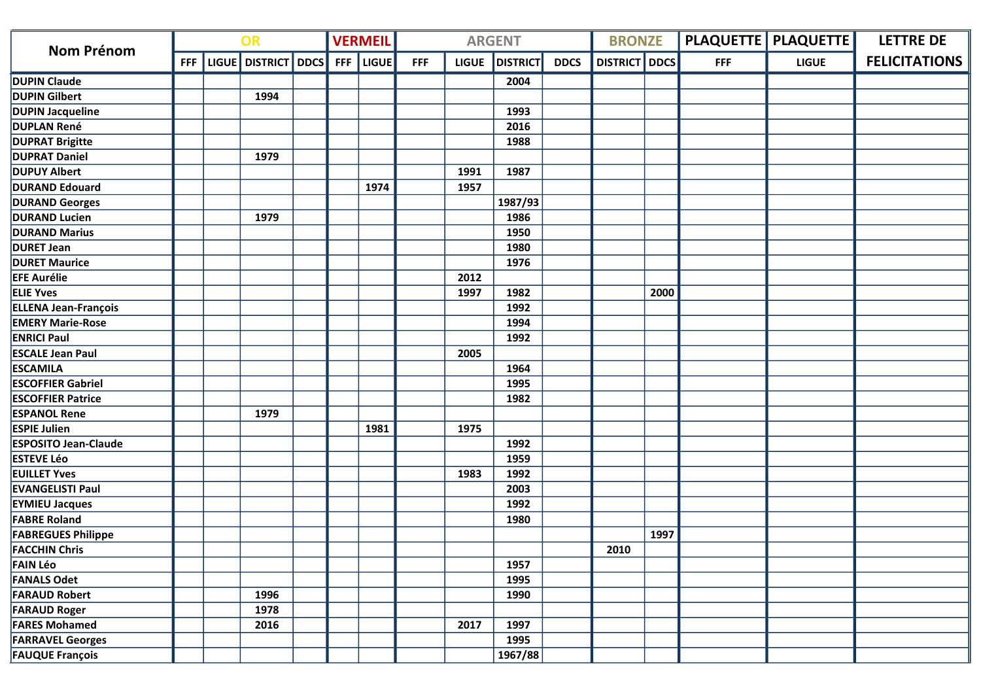| OR<br><b>Nom Prénom</b>     |            |  |                     | <b>VERMEIL</b> |              |            | <b>ARGENT</b> |                 | <b>BRONZE</b> |                 |      | <b>PLAQUETTE   PLAQUETTE  </b> | <b>LETTRE DE</b> |                      |
|-----------------------------|------------|--|---------------------|----------------|--------------|------------|---------------|-----------------|---------------|-----------------|------|--------------------------------|------------------|----------------------|
|                             | <b>FFF</b> |  | LIGUE DISTRICT DDCS | <b>FFF</b>     | <b>LIGUE</b> | <b>FFF</b> | <b>LIGUE</b>  | <b>DISTRICT</b> | <b>DDCS</b>   | <b>DISTRICT</b> | DDCS | <b>FFF</b>                     | <b>LIGUE</b>     | <b>FELICITATIONS</b> |
| <b>DUPIN Claude</b>         |            |  |                     |                |              |            |               | 2004            |               |                 |      |                                |                  |                      |
| <b>DUPIN Gilbert</b>        |            |  | 1994                |                |              |            |               |                 |               |                 |      |                                |                  |                      |
| <b>DUPIN Jacqueline</b>     |            |  |                     |                |              |            |               | 1993            |               |                 |      |                                |                  |                      |
| <b>DUPLAN René</b>          |            |  |                     |                |              |            |               | 2016            |               |                 |      |                                |                  |                      |
| <b>DUPRAT Brigitte</b>      |            |  |                     |                |              |            |               | 1988            |               |                 |      |                                |                  |                      |
| <b>DUPRAT Daniel</b>        |            |  | 1979                |                |              |            |               |                 |               |                 |      |                                |                  |                      |
| <b>DUPUY Albert</b>         |            |  |                     |                |              |            | 1991          | 1987            |               |                 |      |                                |                  |                      |
| <b>DURAND Edouard</b>       |            |  |                     |                | 1974         |            | 1957          |                 |               |                 |      |                                |                  |                      |
| <b>DURAND Georges</b>       |            |  |                     |                |              |            |               | 1987/93         |               |                 |      |                                |                  |                      |
| <b>DURAND Lucien</b>        |            |  | 1979                |                |              |            |               | 1986            |               |                 |      |                                |                  |                      |
| <b>DURAND Marius</b>        |            |  |                     |                |              |            |               | 1950            |               |                 |      |                                |                  |                      |
| <b>DURET Jean</b>           |            |  |                     |                |              |            |               | 1980            |               |                 |      |                                |                  |                      |
| <b>DURET Maurice</b>        |            |  |                     |                |              |            |               | 1976            |               |                 |      |                                |                  |                      |
| <b>EFE Aurélie</b>          |            |  |                     |                |              |            | 2012          |                 |               |                 |      |                                |                  |                      |
| <b>ELIE Yves</b>            |            |  |                     |                |              |            | 1997          | 1982            |               |                 | 2000 |                                |                  |                      |
| ELLENA Jean-François        |            |  |                     |                |              |            |               | 1992            |               |                 |      |                                |                  |                      |
| <b>EMERY Marie-Rose</b>     |            |  |                     |                |              |            |               | 1994            |               |                 |      |                                |                  |                      |
| <b>ENRICI Paul</b>          |            |  |                     |                |              |            |               | 1992            |               |                 |      |                                |                  |                      |
| <b>ESCALE Jean Paul</b>     |            |  |                     |                |              |            | 2005          |                 |               |                 |      |                                |                  |                      |
| <b>ESCAMILA</b>             |            |  |                     |                |              |            |               | 1964            |               |                 |      |                                |                  |                      |
| <b>ESCOFFIER Gabriel</b>    |            |  |                     |                |              |            |               | 1995            |               |                 |      |                                |                  |                      |
| <b>ESCOFFIER Patrice</b>    |            |  |                     |                |              |            |               | 1982            |               |                 |      |                                |                  |                      |
| <b>ESPANOL Rene</b>         |            |  | 1979                |                |              |            |               |                 |               |                 |      |                                |                  |                      |
| <b>ESPIE Julien</b>         |            |  |                     |                | 1981         |            | 1975          |                 |               |                 |      |                                |                  |                      |
| <b>ESPOSITO Jean-Claude</b> |            |  |                     |                |              |            |               | 1992            |               |                 |      |                                |                  |                      |
| <b>ESTEVE Léo</b>           |            |  |                     |                |              |            |               | 1959            |               |                 |      |                                |                  |                      |
| <b>EUILLET Yves</b>         |            |  |                     |                |              |            | 1983          | 1992            |               |                 |      |                                |                  |                      |
| <b>EVANGELISTI Paul</b>     |            |  |                     |                |              |            |               | 2003            |               |                 |      |                                |                  |                      |
| <b>EYMIEU Jacques</b>       |            |  |                     |                |              |            |               | 1992            |               |                 |      |                                |                  |                      |
| <b>FABRE Roland</b>         |            |  |                     |                |              |            |               | 1980            |               |                 |      |                                |                  |                      |
| <b>FABREGUES Philippe</b>   |            |  |                     |                |              |            |               |                 |               |                 | 1997 |                                |                  |                      |
| <b>FACCHIN Chris</b>        |            |  |                     |                |              |            |               |                 |               | 2010            |      |                                |                  |                      |
| <b>FAIN Léo</b>             |            |  |                     |                |              |            |               | 1957            |               |                 |      |                                |                  |                      |
| <b>FANALS Odet</b>          |            |  |                     |                |              |            |               | 1995            |               |                 |      |                                |                  |                      |
| <b>FARAUD Robert</b>        |            |  | 1996                |                |              |            |               | 1990            |               |                 |      |                                |                  |                      |
| <b>FARAUD Roger</b>         |            |  | 1978                |                |              |            |               |                 |               |                 |      |                                |                  |                      |
| <b>FARES Mohamed</b>        |            |  | 2016                |                |              |            | 2017          | 1997            |               |                 |      |                                |                  |                      |
| <b>FARRAVEL Georges</b>     |            |  |                     |                |              |            |               | 1995            |               |                 |      |                                |                  |                      |
| <b>FAUQUE François</b>      |            |  |                     |                |              |            |               | 1967/88         |               |                 |      |                                |                  |                      |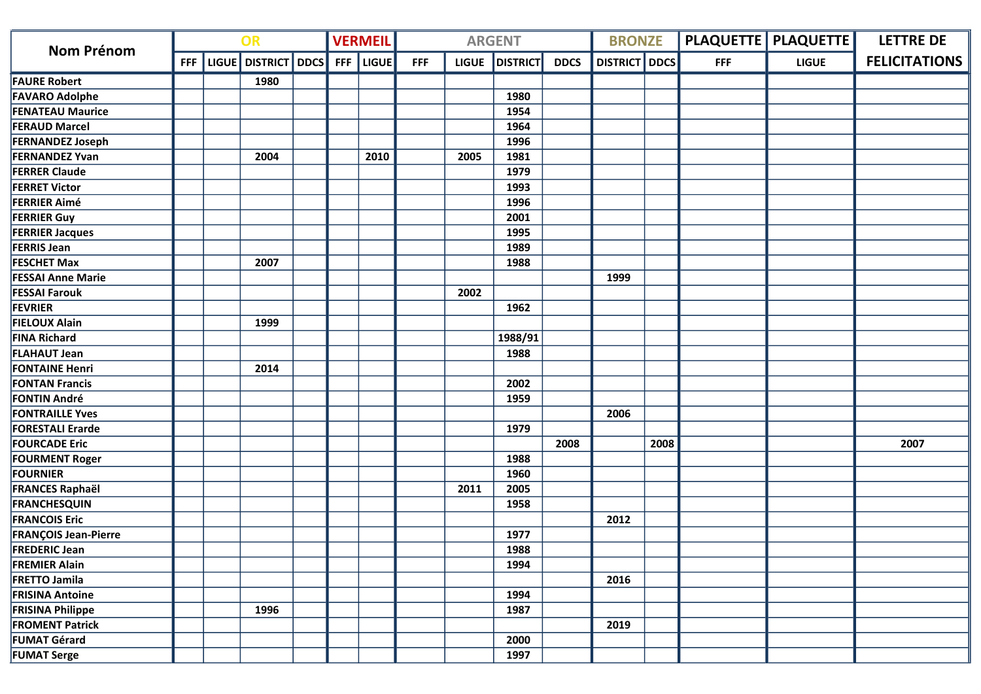| <b>Nom Prénom</b>           | OR         |  |                         |  | <b>VERMEIL</b> |              |            | <b>ARGENT</b> |                 | <b>BRONZE</b> |                 |             | <b>PLAQUETTE   PLAQUETTE  </b> | <b>LETTRE DE</b> |                      |
|-----------------------------|------------|--|-------------------------|--|----------------|--------------|------------|---------------|-----------------|---------------|-----------------|-------------|--------------------------------|------------------|----------------------|
|                             | <b>FFF</b> |  | LIGUE   DISTRICT   DDCS |  | <b>FFF</b>     | <b>LIGUE</b> | <b>FFF</b> | <b>LIGUE</b>  | <b>DISTRICT</b> | <b>DDCS</b>   | <b>DISTRICT</b> | <b>DDCS</b> | <b>FFF</b>                     | <b>LIGUE</b>     | <b>FELICITATIONS</b> |
| <b>FAURE Robert</b>         |            |  | 1980                    |  |                |              |            |               |                 |               |                 |             |                                |                  |                      |
| <b>FAVARO Adolphe</b>       |            |  |                         |  |                |              |            |               | 1980            |               |                 |             |                                |                  |                      |
| <b>FENATEAU Maurice</b>     |            |  |                         |  |                |              |            |               | 1954            |               |                 |             |                                |                  |                      |
| <b>FERAUD Marcel</b>        |            |  |                         |  |                |              |            |               | 1964            |               |                 |             |                                |                  |                      |
| <b>FERNANDEZ Joseph</b>     |            |  |                         |  |                |              |            |               | 1996            |               |                 |             |                                |                  |                      |
| <b>FERNANDEZ Yvan</b>       |            |  | 2004                    |  |                | 2010         |            | 2005          | 1981            |               |                 |             |                                |                  |                      |
| <b>FERRER Claude</b>        |            |  |                         |  |                |              |            |               | 1979            |               |                 |             |                                |                  |                      |
| <b>FERRET Victor</b>        |            |  |                         |  |                |              |            |               | 1993            |               |                 |             |                                |                  |                      |
| <b>FERRIER Aimé</b>         |            |  |                         |  |                |              |            |               | 1996            |               |                 |             |                                |                  |                      |
| <b>FERRIER Guy</b>          |            |  |                         |  |                |              |            |               | 2001            |               |                 |             |                                |                  |                      |
| <b>FERRIER Jacques</b>      |            |  |                         |  |                |              |            |               | 1995            |               |                 |             |                                |                  |                      |
| <b>FERRIS Jean</b>          |            |  |                         |  |                |              |            |               | 1989            |               |                 |             |                                |                  |                      |
| <b>FESCHET Max</b>          |            |  | 2007                    |  |                |              |            |               | 1988            |               |                 |             |                                |                  |                      |
| <b>FESSAI Anne Marie</b>    |            |  |                         |  |                |              |            |               |                 |               | 1999            |             |                                |                  |                      |
| <b>FESSAI Farouk</b>        |            |  |                         |  |                |              |            | 2002          |                 |               |                 |             |                                |                  |                      |
| <b>FEVRIER</b>              |            |  |                         |  |                |              |            |               | 1962            |               |                 |             |                                |                  |                      |
| <b>FIELOUX Alain</b>        |            |  | 1999                    |  |                |              |            |               |                 |               |                 |             |                                |                  |                      |
| <b>FINA Richard</b>         |            |  |                         |  |                |              |            |               | 1988/91         |               |                 |             |                                |                  |                      |
| <b>FLAHAUT Jean</b>         |            |  |                         |  |                |              |            |               | 1988            |               |                 |             |                                |                  |                      |
| <b>FONTAINE Henri</b>       |            |  | 2014                    |  |                |              |            |               |                 |               |                 |             |                                |                  |                      |
| <b>FONTAN Francis</b>       |            |  |                         |  |                |              |            |               | 2002            |               |                 |             |                                |                  |                      |
| <b>FONTIN André</b>         |            |  |                         |  |                |              |            |               | 1959            |               |                 |             |                                |                  |                      |
| <b>FONTRAILLE Yves</b>      |            |  |                         |  |                |              |            |               |                 |               | 2006            |             |                                |                  |                      |
| <b>FORESTALI Erarde</b>     |            |  |                         |  |                |              |            |               | 1979            |               |                 |             |                                |                  |                      |
| <b>FOURCADE Eric</b>        |            |  |                         |  |                |              |            |               |                 | 2008          |                 | 2008        |                                |                  | 2007                 |
| <b>FOURMENT Roger</b>       |            |  |                         |  |                |              |            |               | 1988            |               |                 |             |                                |                  |                      |
| <b>FOURNIER</b>             |            |  |                         |  |                |              |            |               | 1960            |               |                 |             |                                |                  |                      |
| <b>FRANCES Raphaël</b>      |            |  |                         |  |                |              |            | 2011          | 2005            |               |                 |             |                                |                  |                      |
| <b>FRANCHESQUIN</b>         |            |  |                         |  |                |              |            |               | 1958            |               |                 |             |                                |                  |                      |
| <b>FRANCOIS Eric</b>        |            |  |                         |  |                |              |            |               |                 |               | 2012            |             |                                |                  |                      |
| <b>FRANÇOIS Jean-Pierre</b> |            |  |                         |  |                |              |            |               | 1977            |               |                 |             |                                |                  |                      |
| <b>FREDERIC Jean</b>        |            |  |                         |  |                |              |            |               | 1988            |               |                 |             |                                |                  |                      |
| <b>FREMIER Alain</b>        |            |  |                         |  |                |              |            |               | 1994            |               |                 |             |                                |                  |                      |
| <b>FRETTO Jamila</b>        |            |  |                         |  |                |              |            |               |                 |               | 2016            |             |                                |                  |                      |
| <b>FRISINA Antoine</b>      |            |  |                         |  |                |              |            |               | 1994            |               |                 |             |                                |                  |                      |
| <b>FRISINA Philippe</b>     |            |  | 1996                    |  |                |              |            |               | 1987            |               |                 |             |                                |                  |                      |
| <b>FROMENT Patrick</b>      |            |  |                         |  |                |              |            |               |                 |               | 2019            |             |                                |                  |                      |
| <b>FUMAT Gérard</b>         |            |  |                         |  |                |              |            |               | 2000            |               |                 |             |                                |                  |                      |
| <b>FUMAT Serge</b>          |            |  |                         |  |                |              |            |               | 1997            |               |                 |             |                                |                  |                      |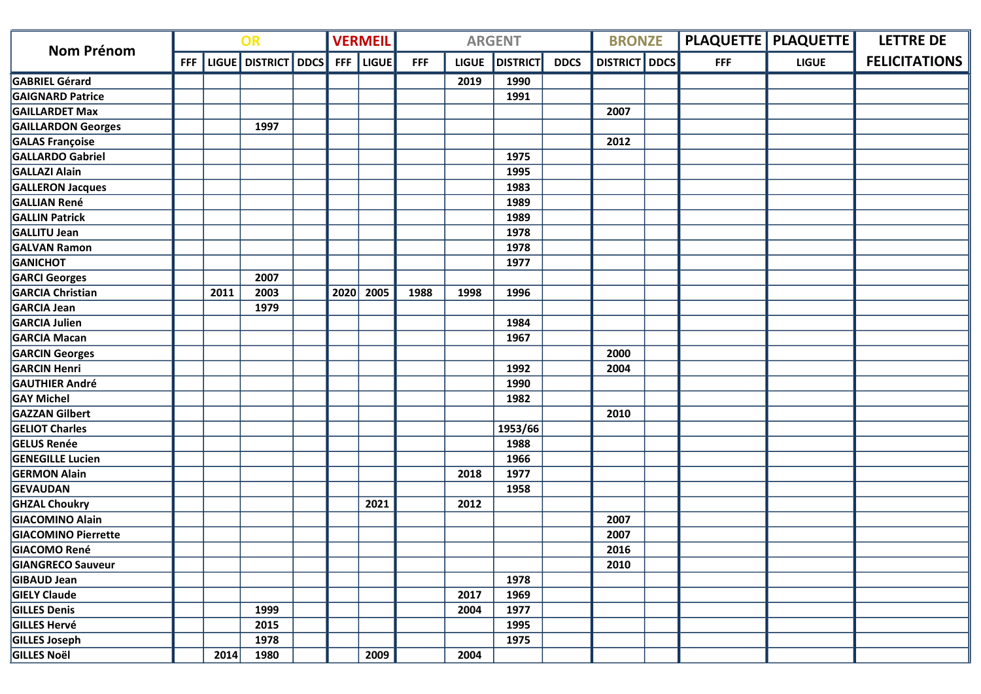| <b>Nom Prénom</b>          | OR |      |                               |  | <b>VERMEIL</b> |              |            | <b>ARGENT</b> |                 | <b>BRONZE</b> |                      | PLAQUETTE   PLAQUETTE | <b>LETTRE DE</b> |                      |
|----------------------------|----|------|-------------------------------|--|----------------|--------------|------------|---------------|-----------------|---------------|----------------------|-----------------------|------------------|----------------------|
|                            |    |      | FFF   LIGUE   DISTRICT   DDCS |  | <b>FFF</b>     | <b>LIGUE</b> | <b>FFF</b> | <b>LIGUE</b>  | <b>DISTRICT</b> | <b>DDCS</b>   | <b>DISTRICT</b> DDCS | <b>FFF</b>            | <b>LIGUE</b>     | <b>FELICITATIONS</b> |
| <b>GABRIEL Gérard</b>      |    |      |                               |  |                |              |            | 2019          | 1990            |               |                      |                       |                  |                      |
| <b>GAIGNARD Patrice</b>    |    |      |                               |  |                |              |            |               | 1991            |               |                      |                       |                  |                      |
| <b>GAILLARDET Max</b>      |    |      |                               |  |                |              |            |               |                 |               | 2007                 |                       |                  |                      |
| <b>GAILLARDON Georges</b>  |    |      | 1997                          |  |                |              |            |               |                 |               |                      |                       |                  |                      |
| <b>GALAS Françoise</b>     |    |      |                               |  |                |              |            |               |                 |               | 2012                 |                       |                  |                      |
| GALLARDO Gabriel           |    |      |                               |  |                |              |            |               | 1975            |               |                      |                       |                  |                      |
| GALLAZI Alain              |    |      |                               |  |                |              |            |               | 1995            |               |                      |                       |                  |                      |
| <b>GALLERON Jacques</b>    |    |      |                               |  |                |              |            |               | 1983            |               |                      |                       |                  |                      |
| <b>GALLIAN René</b>        |    |      |                               |  |                |              |            |               | 1989            |               |                      |                       |                  |                      |
| <b>GALLIN Patrick</b>      |    |      |                               |  |                |              |            |               | 1989            |               |                      |                       |                  |                      |
| GALLITU Jean               |    |      |                               |  |                |              |            |               | 1978            |               |                      |                       |                  |                      |
| <b>GALVAN Ramon</b>        |    |      |                               |  |                |              |            |               | 1978            |               |                      |                       |                  |                      |
| <b>GANICHOT</b>            |    |      |                               |  |                |              |            |               | 1977            |               |                      |                       |                  |                      |
| <b>GARCI Georges</b>       |    |      | 2007                          |  |                |              |            |               |                 |               |                      |                       |                  |                      |
| <b>GARCIA Christian</b>    |    | 2011 | 2003                          |  | 2020           | 2005         | 1988       | 1998          | 1996            |               |                      |                       |                  |                      |
| GARCIA Jean                |    |      | 1979                          |  |                |              |            |               |                 |               |                      |                       |                  |                      |
| <b>GARCIA Julien</b>       |    |      |                               |  |                |              |            |               | 1984            |               |                      |                       |                  |                      |
| <b>GARCIA Macan</b>        |    |      |                               |  |                |              |            |               | 1967            |               |                      |                       |                  |                      |
| <b>GARCIN Georges</b>      |    |      |                               |  |                |              |            |               |                 |               | 2000                 |                       |                  |                      |
| <b>GARCIN Henri</b>        |    |      |                               |  |                |              |            |               | 1992            |               | 2004                 |                       |                  |                      |
| <b>GAUTHIER André</b>      |    |      |                               |  |                |              |            |               | 1990            |               |                      |                       |                  |                      |
| <b>GAY Michel</b>          |    |      |                               |  |                |              |            |               | 1982            |               |                      |                       |                  |                      |
| <b>GAZZAN Gilbert</b>      |    |      |                               |  |                |              |            |               |                 |               | 2010                 |                       |                  |                      |
| <b>GELIOT Charles</b>      |    |      |                               |  |                |              |            |               | 1953/66         |               |                      |                       |                  |                      |
| <b>GELUS Renée</b>         |    |      |                               |  |                |              |            |               | 1988            |               |                      |                       |                  |                      |
| <b>GENEGILLE Lucien</b>    |    |      |                               |  |                |              |            |               | 1966            |               |                      |                       |                  |                      |
| <b>GERMON Alain</b>        |    |      |                               |  |                |              |            | 2018          | 1977            |               |                      |                       |                  |                      |
| <b>GEVAUDAN</b>            |    |      |                               |  |                |              |            |               | 1958            |               |                      |                       |                  |                      |
| <b>GHZAL Choukry</b>       |    |      |                               |  |                | 2021         |            | 2012          |                 |               |                      |                       |                  |                      |
| GIACOMINO Alain            |    |      |                               |  |                |              |            |               |                 |               | 2007                 |                       |                  |                      |
| <b>GIACOMINO Pierrette</b> |    |      |                               |  |                |              |            |               |                 |               | 2007                 |                       |                  |                      |
| GIACOMO René               |    |      |                               |  |                |              |            |               |                 |               | 2016                 |                       |                  |                      |
| <b>GIANGRECO Sauveur</b>   |    |      |                               |  |                |              |            |               |                 |               | 2010                 |                       |                  |                      |
| GIBAUD Jean                |    |      |                               |  |                |              |            |               | 1978            |               |                      |                       |                  |                      |
| <b>GIELY Claude</b>        |    |      |                               |  |                |              |            | 2017          | 1969            |               |                      |                       |                  |                      |
| <b>GILLES Denis</b>        |    |      | 1999                          |  |                |              |            | 2004          | 1977            |               |                      |                       |                  |                      |
| <b>GILLES Hervé</b>        |    |      | 2015                          |  |                |              |            |               | 1995            |               |                      |                       |                  |                      |
| GILLES Joseph              |    |      | 1978                          |  |                |              |            |               | 1975            |               |                      |                       |                  |                      |
| <b>GILLES Noël</b>         |    | 2014 | 1980                          |  |                | 2009         |            | 2004          |                 |               |                      |                       |                  |                      |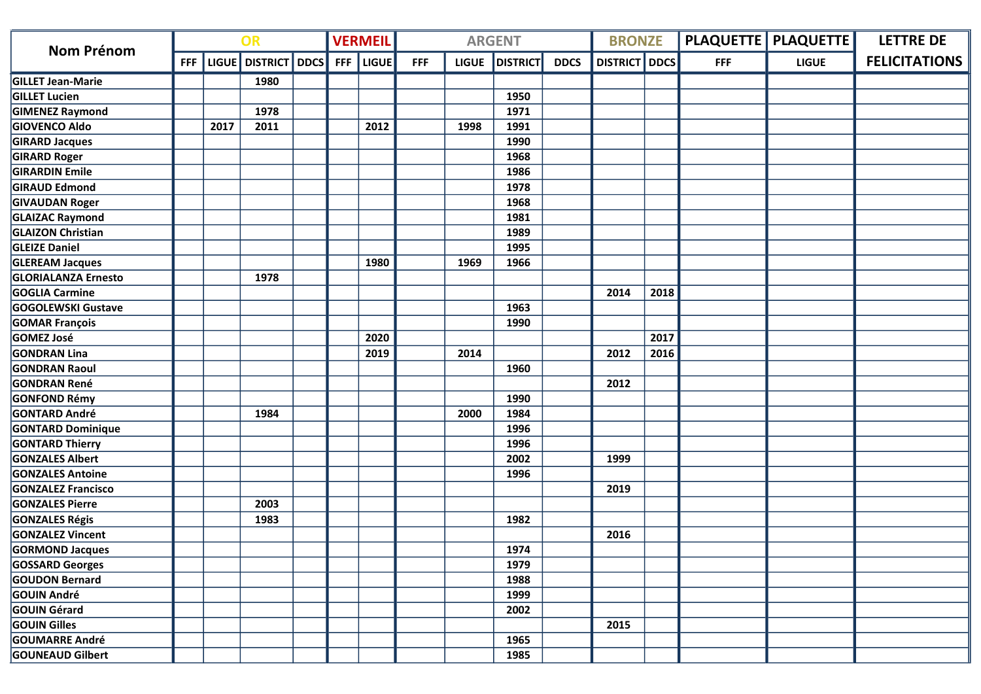| <b>Nom Prénom</b>          | OR         |      |                         | <b>VERMEIL</b> |            |              | <b>ARGENT</b> |              | <b>BRONZE</b>   |             |                 | <b>PLAQUETTE   PLAQUETTE  </b> | <b>LETTRE DE</b> |              |                      |
|----------------------------|------------|------|-------------------------|----------------|------------|--------------|---------------|--------------|-----------------|-------------|-----------------|--------------------------------|------------------|--------------|----------------------|
|                            | <b>FFF</b> |      | LIGUE   DISTRICT   DDCS |                | <b>FFF</b> | <b>LIGUE</b> | <b>FFF</b>    | <b>LIGUE</b> | <b>DISTRICT</b> | <b>DDCS</b> | <b>DISTRICT</b> | DDCS                           | <b>FFF</b>       | <b>LIGUE</b> | <b>FELICITATIONS</b> |
| <b>GILLET Jean-Marie</b>   |            |      | 1980                    |                |            |              |               |              |                 |             |                 |                                |                  |              |                      |
| <b>GILLET Lucien</b>       |            |      |                         |                |            |              |               |              | 1950            |             |                 |                                |                  |              |                      |
| <b>GIMENEZ Raymond</b>     |            |      | 1978                    |                |            |              |               |              | 1971            |             |                 |                                |                  |              |                      |
| <b>GIOVENCO Aldo</b>       |            | 2017 | 2011                    |                |            | 2012         |               | 1998         | 1991            |             |                 |                                |                  |              |                      |
| <b>GIRARD Jacques</b>      |            |      |                         |                |            |              |               |              | 1990            |             |                 |                                |                  |              |                      |
| <b>GIRARD Roger</b>        |            |      |                         |                |            |              |               |              | 1968            |             |                 |                                |                  |              |                      |
| <b>GIRARDIN Emile</b>      |            |      |                         |                |            |              |               |              | 1986            |             |                 |                                |                  |              |                      |
| <b>GIRAUD Edmond</b>       |            |      |                         |                |            |              |               |              | 1978            |             |                 |                                |                  |              |                      |
| <b>GIVAUDAN Roger</b>      |            |      |                         |                |            |              |               |              | 1968            |             |                 |                                |                  |              |                      |
| <b>GLAIZAC Raymond</b>     |            |      |                         |                |            |              |               |              | 1981            |             |                 |                                |                  |              |                      |
| <b>GLAIZON Christian</b>   |            |      |                         |                |            |              |               |              | 1989            |             |                 |                                |                  |              |                      |
| <b>GLEIZE Daniel</b>       |            |      |                         |                |            |              |               |              | 1995            |             |                 |                                |                  |              |                      |
| <b>GLEREAM Jacques</b>     |            |      |                         |                |            | 1980         |               | 1969         | 1966            |             |                 |                                |                  |              |                      |
| <b>GLORIALANZA Ernesto</b> |            |      | 1978                    |                |            |              |               |              |                 |             |                 |                                |                  |              |                      |
| GOGLIA Carmine             |            |      |                         |                |            |              |               |              |                 |             | 2014            | 2018                           |                  |              |                      |
| <b>GOGOLEWSKI Gustave</b>  |            |      |                         |                |            |              |               |              | 1963            |             |                 |                                |                  |              |                      |
| <b>GOMAR François</b>      |            |      |                         |                |            |              |               |              | 1990            |             |                 |                                |                  |              |                      |
| GOMEZ José                 |            |      |                         |                |            | 2020         |               |              |                 |             |                 | 2017                           |                  |              |                      |
| <b>GONDRAN Lina</b>        |            |      |                         |                |            | 2019         |               | 2014         |                 |             | 2012            | 2016                           |                  |              |                      |
| <b>GONDRAN Raoul</b>       |            |      |                         |                |            |              |               |              | 1960            |             |                 |                                |                  |              |                      |
| <b>GONDRAN René</b>        |            |      |                         |                |            |              |               |              |                 |             | 2012            |                                |                  |              |                      |
| <b>GONFOND Rémy</b>        |            |      |                         |                |            |              |               |              | 1990            |             |                 |                                |                  |              |                      |
| <b>GONTARD André</b>       |            |      | 1984                    |                |            |              |               | 2000         | 1984            |             |                 |                                |                  |              |                      |
| <b>GONTARD Dominique</b>   |            |      |                         |                |            |              |               |              | 1996            |             |                 |                                |                  |              |                      |
| <b>GONTARD Thierry</b>     |            |      |                         |                |            |              |               |              | 1996            |             |                 |                                |                  |              |                      |
| <b>GONZALES Albert</b>     |            |      |                         |                |            |              |               |              | 2002            |             | 1999            |                                |                  |              |                      |
| <b>GONZALES Antoine</b>    |            |      |                         |                |            |              |               |              | 1996            |             |                 |                                |                  |              |                      |
| <b>GONZALEZ Francisco</b>  |            |      |                         |                |            |              |               |              |                 |             | 2019            |                                |                  |              |                      |
| <b>GONZALES Pierre</b>     |            |      | 2003                    |                |            |              |               |              |                 |             |                 |                                |                  |              |                      |
| <b>GONZALES Régis</b>      |            |      | 1983                    |                |            |              |               |              | 1982            |             |                 |                                |                  |              |                      |
| <b>GONZALEZ Vincent</b>    |            |      |                         |                |            |              |               |              |                 |             | 2016            |                                |                  |              |                      |
| <b>GORMOND Jacques</b>     |            |      |                         |                |            |              |               |              | 1974            |             |                 |                                |                  |              |                      |
| <b>GOSSARD Georges</b>     |            |      |                         |                |            |              |               |              | 1979            |             |                 |                                |                  |              |                      |
| <b>GOUDON Bernard</b>      |            |      |                         |                |            |              |               |              | 1988            |             |                 |                                |                  |              |                      |
| <b>GOUIN André</b>         |            |      |                         |                |            |              |               |              | 1999            |             |                 |                                |                  |              |                      |
| <b>GOUIN Gérard</b>        |            |      |                         |                |            |              |               |              | 2002            |             |                 |                                |                  |              |                      |
| <b>GOUIN Gilles</b>        |            |      |                         |                |            |              |               |              |                 |             | 2015            |                                |                  |              |                      |
| <b>GOUMARRE André</b>      |            |      |                         |                |            |              |               |              | 1965            |             |                 |                                |                  |              |                      |
| <b>GOUNEAUD Gilbert</b>    |            |      |                         |                |            |              |               |              | 1985            |             |                 |                                |                  |              |                      |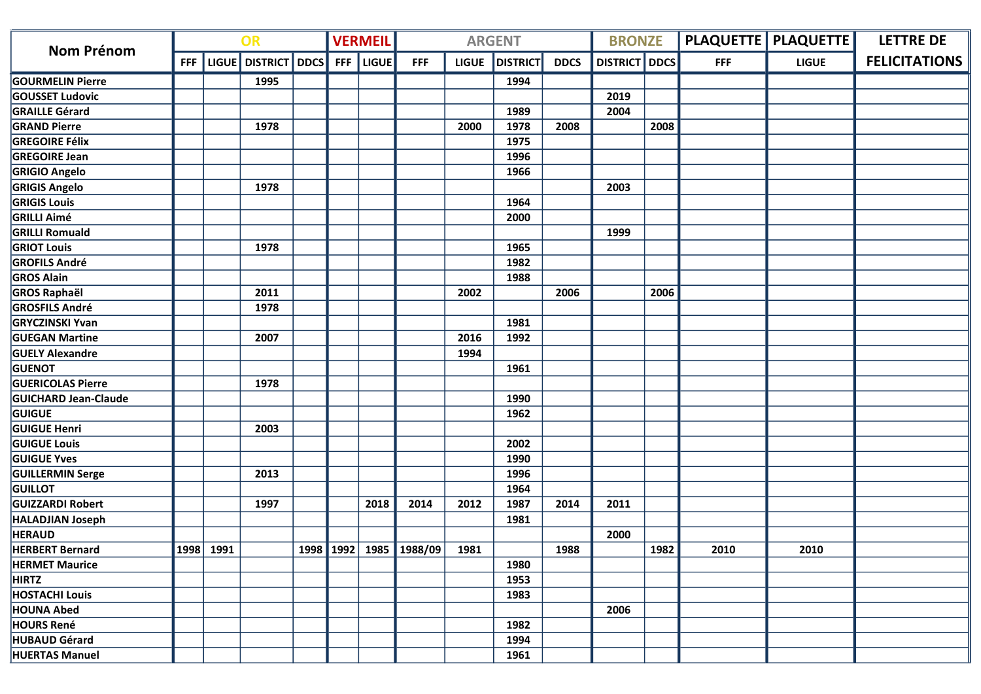| <b>Nom Prénom</b>           | OR |           |                               |  | <b>VERMEIL</b> |              |                        | <b>ARGENT</b> |                 | <b>BRONZE</b> |                      |      | <b>PLAQUETTE   PLAQUETTE  </b> | <b>LETTRE DE</b> |                      |
|-----------------------------|----|-----------|-------------------------------|--|----------------|--------------|------------------------|---------------|-----------------|---------------|----------------------|------|--------------------------------|------------------|----------------------|
|                             |    |           | FFF   LIGUE   DISTRICT   DDCS |  | <b>FFF</b>     | <b>LIGUE</b> | <b>FFF</b>             | <b>LIGUE</b>  | <b>DISTRICT</b> | <b>DDCS</b>   | <b>DISTRICT</b> DDCS |      | <b>FFF</b>                     | <b>LIGUE</b>     | <b>FELICITATIONS</b> |
| <b>GOURMELIN Pierre</b>     |    |           | 1995                          |  |                |              |                        |               | 1994            |               |                      |      |                                |                  |                      |
| <b>GOUSSET Ludovic</b>      |    |           |                               |  |                |              |                        |               |                 |               | 2019                 |      |                                |                  |                      |
| <b>GRAILLE Gérard</b>       |    |           |                               |  |                |              |                        |               | 1989            |               | 2004                 |      |                                |                  |                      |
| <b>GRAND Pierre</b>         |    |           | 1978                          |  |                |              |                        | 2000          | 1978            | 2008          |                      | 2008 |                                |                  |                      |
| <b>GREGOIRE Félix</b>       |    |           |                               |  |                |              |                        |               | 1975            |               |                      |      |                                |                  |                      |
| <b>GREGOIRE Jean</b>        |    |           |                               |  |                |              |                        |               | 1996            |               |                      |      |                                |                  |                      |
| <b>GRIGIO Angelo</b>        |    |           |                               |  |                |              |                        |               | 1966            |               |                      |      |                                |                  |                      |
| <b>GRIGIS Angelo</b>        |    |           | 1978                          |  |                |              |                        |               |                 |               | 2003                 |      |                                |                  |                      |
| <b>GRIGIS Louis</b>         |    |           |                               |  |                |              |                        |               | 1964            |               |                      |      |                                |                  |                      |
| <b>GRILLI Aimé</b>          |    |           |                               |  |                |              |                        |               | 2000            |               |                      |      |                                |                  |                      |
| <b>GRILLI Romuald</b>       |    |           |                               |  |                |              |                        |               |                 |               | 1999                 |      |                                |                  |                      |
| <b>GRIOT Louis</b>          |    |           | 1978                          |  |                |              |                        |               | 1965            |               |                      |      |                                |                  |                      |
| <b>GROFILS André</b>        |    |           |                               |  |                |              |                        |               | 1982            |               |                      |      |                                |                  |                      |
| <b>GROS Alain</b>           |    |           |                               |  |                |              |                        |               | 1988            |               |                      |      |                                |                  |                      |
| <b>GROS Raphaël</b>         |    |           | 2011                          |  |                |              |                        | 2002          |                 | 2006          |                      | 2006 |                                |                  |                      |
| <b>GROSFILS André</b>       |    |           | 1978                          |  |                |              |                        |               |                 |               |                      |      |                                |                  |                      |
| <b>GRYCZINSKI Yvan</b>      |    |           |                               |  |                |              |                        |               | 1981            |               |                      |      |                                |                  |                      |
| <b>GUEGAN Martine</b>       |    |           | 2007                          |  |                |              |                        | 2016          | 1992            |               |                      |      |                                |                  |                      |
| <b>GUELY Alexandre</b>      |    |           |                               |  |                |              |                        | 1994          |                 |               |                      |      |                                |                  |                      |
| <b>GUENOT</b>               |    |           |                               |  |                |              |                        |               | 1961            |               |                      |      |                                |                  |                      |
| <b>GUERICOLAS Pierre</b>    |    |           | 1978                          |  |                |              |                        |               |                 |               |                      |      |                                |                  |                      |
| <b>GUICHARD Jean-Claude</b> |    |           |                               |  |                |              |                        |               | 1990            |               |                      |      |                                |                  |                      |
| <b>GUIGUE</b>               |    |           |                               |  |                |              |                        |               | 1962            |               |                      |      |                                |                  |                      |
| <b>GUIGUE Henri</b>         |    |           | 2003                          |  |                |              |                        |               |                 |               |                      |      |                                |                  |                      |
| <b>GUIGUE Louis</b>         |    |           |                               |  |                |              |                        |               | 2002            |               |                      |      |                                |                  |                      |
| <b>GUIGUE Yves</b>          |    |           |                               |  |                |              |                        |               | 1990            |               |                      |      |                                |                  |                      |
| <b>GUILLERMIN Serge</b>     |    |           | 2013                          |  |                |              |                        |               | 1996            |               |                      |      |                                |                  |                      |
| <b>GUILLOT</b>              |    |           |                               |  |                |              |                        |               | 1964            |               |                      |      |                                |                  |                      |
| <b>GUIZZARDI Robert</b>     |    |           | 1997                          |  |                | 2018         | 2014                   | 2012          | 1987            | 2014          | 2011                 |      |                                |                  |                      |
| <b>HALADJIAN Joseph</b>     |    |           |                               |  |                |              |                        |               | 1981            |               |                      |      |                                |                  |                      |
| <b>HERAUD</b>               |    |           |                               |  |                |              |                        |               |                 |               | 2000                 |      |                                |                  |                      |
| <b>HERBERT Bernard</b>      |    | 1998 1991 |                               |  |                |              | 1998 1992 1985 1988/09 | 1981          |                 | 1988          |                      | 1982 | 2010                           | 2010             |                      |
| <b>HERMET Maurice</b>       |    |           |                               |  |                |              |                        |               | 1980            |               |                      |      |                                |                  |                      |
| <b>HIRTZ</b>                |    |           |                               |  |                |              |                        |               | 1953            |               |                      |      |                                |                  |                      |
| <b>HOSTACHI Louis</b>       |    |           |                               |  |                |              |                        |               | 1983            |               |                      |      |                                |                  |                      |
| <b>HOUNA Abed</b>           |    |           |                               |  |                |              |                        |               |                 |               | 2006                 |      |                                |                  |                      |
| <b>HOURS René</b>           |    |           |                               |  |                |              |                        |               | 1982            |               |                      |      |                                |                  |                      |
| <b>HUBAUD Gérard</b>        |    |           |                               |  |                |              |                        |               | 1994            |               |                      |      |                                |                  |                      |
| <b>HUERTAS Manuel</b>       |    |           |                               |  |                |              |                        |               | 1961            |               |                      |      |                                |                  |                      |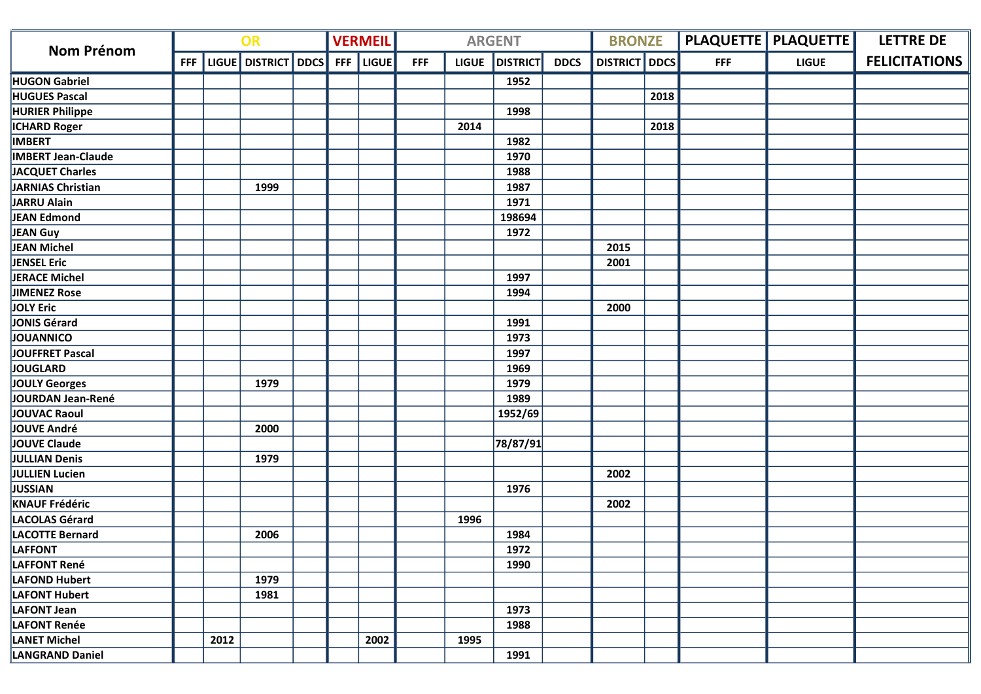|                           | OR |      |                               | <b>VERMEIL</b> |           |            | <b>ARGENT</b> |                 | <b>BRONZE</b> |                      |      | <b>PLAQUETTE   PLAQUETTE  </b> | <b>LETTRE DE</b> |                      |
|---------------------------|----|------|-------------------------------|----------------|-----------|------------|---------------|-----------------|---------------|----------------------|------|--------------------------------|------------------|----------------------|
| <b>Nom Prénom</b>         |    |      | FFF   LIGUE   DISTRICT   DDCS |                | FFF LIGUE | <b>FFF</b> | <b>LIGUE</b>  | <b>DISTRICT</b> | <b>DDCS</b>   | <b>DISTRICT</b> DDCS |      | <b>FFF</b>                     | <b>LIGUE</b>     | <b>FELICITATIONS</b> |
| <b>HUGON Gabriel</b>      |    |      |                               |                |           |            |               | 1952            |               |                      |      |                                |                  |                      |
| <b>HUGUES Pascal</b>      |    |      |                               |                |           |            |               |                 |               |                      | 2018 |                                |                  |                      |
| <b>HURIER Philippe</b>    |    |      |                               |                |           |            |               | 1998            |               |                      |      |                                |                  |                      |
| <b>ICHARD Roger</b>       |    |      |                               |                |           |            | 2014          |                 |               |                      | 2018 |                                |                  |                      |
| <b>IMBERT</b>             |    |      |                               |                |           |            |               | 1982            |               |                      |      |                                |                  |                      |
| <b>IMBERT Jean-Claude</b> |    |      |                               |                |           |            |               | 1970            |               |                      |      |                                |                  |                      |
| JACQUET Charles           |    |      |                               |                |           |            |               | 1988            |               |                      |      |                                |                  |                      |
| JARNIAS Christian         |    |      | 1999                          |                |           |            |               | 1987            |               |                      |      |                                |                  |                      |
| JARRU Alain               |    |      |                               |                |           |            |               | 1971            |               |                      |      |                                |                  |                      |
| JEAN Edmond               |    |      |                               |                |           |            |               | 198694          |               |                      |      |                                |                  |                      |
| JEAN Guy                  |    |      |                               |                |           |            |               | 1972            |               |                      |      |                                |                  |                      |
| JEAN Michel               |    |      |                               |                |           |            |               |                 |               | 2015                 |      |                                |                  |                      |
| JENSEL Eric               |    |      |                               |                |           |            |               |                 |               | 2001                 |      |                                |                  |                      |
| JERACE Michel             |    |      |                               |                |           |            |               | 1997            |               |                      |      |                                |                  |                      |
| JIMENEZ Rose              |    |      |                               |                |           |            |               | 1994            |               |                      |      |                                |                  |                      |
| JOLY Eric                 |    |      |                               |                |           |            |               |                 |               | 2000                 |      |                                |                  |                      |
| JONIS Gérard              |    |      |                               |                |           |            |               | 1991            |               |                      |      |                                |                  |                      |
| JOUANNICO                 |    |      |                               |                |           |            |               | 1973            |               |                      |      |                                |                  |                      |
| JOUFFRET Pascal           |    |      |                               |                |           |            |               | 1997            |               |                      |      |                                |                  |                      |
| <b>JOUGLARD</b>           |    |      |                               |                |           |            |               | 1969            |               |                      |      |                                |                  |                      |
| JOULY Georges             |    |      | 1979                          |                |           |            |               | 1979            |               |                      |      |                                |                  |                      |
| JOURDAN Jean-René         |    |      |                               |                |           |            |               | 1989            |               |                      |      |                                |                  |                      |
| JOUVAC Raoul              |    |      |                               |                |           |            |               | 1952/69         |               |                      |      |                                |                  |                      |
| JOUVE André               |    |      | 2000                          |                |           |            |               |                 |               |                      |      |                                |                  |                      |
| <b>JOUVE Claude</b>       |    |      |                               |                |           |            |               | 78/87/91        |               |                      |      |                                |                  |                      |
| JULLIAN Denis             |    |      | 1979                          |                |           |            |               |                 |               |                      |      |                                |                  |                      |
| JULLIEN Lucien            |    |      |                               |                |           |            |               |                 |               | 2002                 |      |                                |                  |                      |
| JUSSIAN                   |    |      |                               |                |           |            |               | 1976            |               |                      |      |                                |                  |                      |
| <b>KNAUF Frédéric</b>     |    |      |                               |                |           |            |               |                 |               | 2002                 |      |                                |                  |                      |
| LACOLAS Gérard            |    |      |                               |                |           |            | 1996          |                 |               |                      |      |                                |                  |                      |
| LACOTTE Bernard           |    |      | 2006                          |                |           |            |               | 1984            |               |                      |      |                                |                  |                      |
| <b>LAFFONT</b>            |    |      |                               |                |           |            |               | 1972            |               |                      |      |                                |                  |                      |
| LAFFONT René              |    |      |                               |                |           |            |               | 1990            |               |                      |      |                                |                  |                      |
| LAFOND Hubert             |    |      | 1979                          |                |           |            |               |                 |               |                      |      |                                |                  |                      |
| LAFONT Hubert             |    |      | 1981                          |                |           |            |               |                 |               |                      |      |                                |                  |                      |
| LAFONT Jean               |    |      |                               |                |           |            |               | 1973            |               |                      |      |                                |                  |                      |
| LAFONT Renée              |    |      |                               |                |           |            |               | 1988            |               |                      |      |                                |                  |                      |
| <b>LANET Michel</b>       |    | 2012 |                               |                | 2002      |            | 1995          |                 |               |                      |      |                                |                  |                      |
| <b>LANGRAND Daniel</b>    |    |      |                               |                |           |            |               | 1991            |               |                      |      |                                |                  |                      |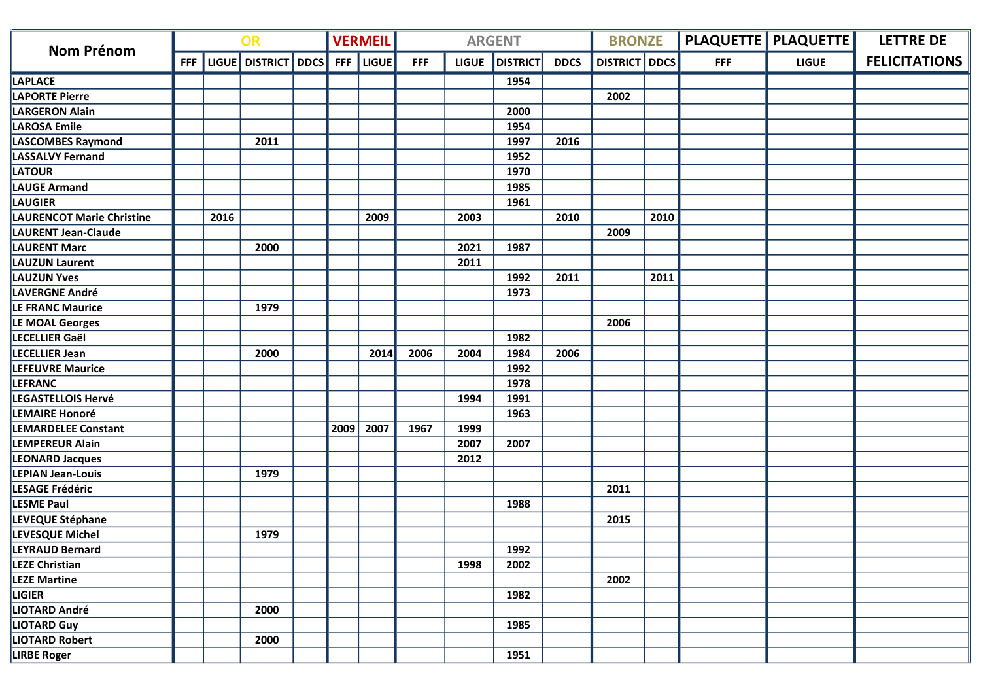| <b>Nom Prénom</b>                | OR         |      |                     |  | <b>VERMEIL</b> |              |            | <b>ARGENT</b> |                 | <b>BRONZE</b> |                      |      | <b>PLAQUETTE   PLAQUETTE  </b> | <b>LETTRE DE</b> |                      |
|----------------------------------|------------|------|---------------------|--|----------------|--------------|------------|---------------|-----------------|---------------|----------------------|------|--------------------------------|------------------|----------------------|
|                                  | <b>FFF</b> |      | LIGUE DISTRICT DDCS |  | <b>FFF</b>     | <b>LIGUE</b> | <b>FFF</b> | <b>LIGUE</b>  | <b>DISTRICT</b> | <b>DDCS</b>   | <b>DISTRICT</b> DDCS |      | <b>FFF</b>                     | <b>LIGUE</b>     | <b>FELICITATIONS</b> |
| <b>LAPLACE</b>                   |            |      |                     |  |                |              |            |               | 1954            |               |                      |      |                                |                  |                      |
| <b>LAPORTE Pierre</b>            |            |      |                     |  |                |              |            |               |                 |               | 2002                 |      |                                |                  |                      |
| <b>LARGERON Alain</b>            |            |      |                     |  |                |              |            |               | 2000            |               |                      |      |                                |                  |                      |
| <b>LAROSA Emile</b>              |            |      |                     |  |                |              |            |               | 1954            |               |                      |      |                                |                  |                      |
| LASCOMBES Raymond                |            |      | 2011                |  |                |              |            |               | 1997            | 2016          |                      |      |                                |                  |                      |
| <b>LASSALVY Fernand</b>          |            |      |                     |  |                |              |            |               | 1952            |               |                      |      |                                |                  |                      |
| <b>LATOUR</b>                    |            |      |                     |  |                |              |            |               | 1970            |               |                      |      |                                |                  |                      |
| <b>LAUGE Armand</b>              |            |      |                     |  |                |              |            |               | 1985            |               |                      |      |                                |                  |                      |
| LAUGIER                          |            |      |                     |  |                |              |            |               | 1961            |               |                      |      |                                |                  |                      |
| <b>LAURENCOT Marie Christine</b> |            | 2016 |                     |  |                | 2009         |            | 2003          |                 | 2010          |                      | 2010 |                                |                  |                      |
| <b>LAURENT Jean-Claude</b>       |            |      |                     |  |                |              |            |               |                 |               | 2009                 |      |                                |                  |                      |
| <b>LAURENT Marc</b>              |            |      | 2000                |  |                |              |            | 2021          | 1987            |               |                      |      |                                |                  |                      |
| <b>LAUZUN Laurent</b>            |            |      |                     |  |                |              |            | 2011          |                 |               |                      |      |                                |                  |                      |
| <b>LAUZUN Yves</b>               |            |      |                     |  |                |              |            |               | 1992            | 2011          |                      | 2011 |                                |                  |                      |
| LAVERGNE André                   |            |      |                     |  |                |              |            |               | 1973            |               |                      |      |                                |                  |                      |
| LE FRANC Maurice                 |            |      | 1979                |  |                |              |            |               |                 |               |                      |      |                                |                  |                      |
| LE MOAL Georges                  |            |      |                     |  |                |              |            |               |                 |               | 2006                 |      |                                |                  |                      |
| LECELLIER Gaël                   |            |      |                     |  |                |              |            |               | 1982            |               |                      |      |                                |                  |                      |
| <b>LECELLIER Jean</b>            |            |      | 2000                |  |                | 2014         | 2006       | 2004          | 1984            | 2006          |                      |      |                                |                  |                      |
| <b>LEFEUVRE Maurice</b>          |            |      |                     |  |                |              |            |               | 1992            |               |                      |      |                                |                  |                      |
| <b>LEFRANC</b>                   |            |      |                     |  |                |              |            |               | 1978            |               |                      |      |                                |                  |                      |
| LEGASTELLOIS Hervé               |            |      |                     |  |                |              |            | 1994          | 1991            |               |                      |      |                                |                  |                      |
| <b>LEMAIRE Honoré</b>            |            |      |                     |  |                |              |            |               | 1963            |               |                      |      |                                |                  |                      |
| <b>LEMARDELEE Constant</b>       |            |      |                     |  | 2009           | 2007         | 1967       | 1999          |                 |               |                      |      |                                |                  |                      |
| <b>LEMPEREUR Alain</b>           |            |      |                     |  |                |              |            | 2007          | 2007            |               |                      |      |                                |                  |                      |
| <b>LEONARD Jacques</b>           |            |      |                     |  |                |              |            | 2012          |                 |               |                      |      |                                |                  |                      |
| <b>LEPIAN Jean-Louis</b>         |            |      | 1979                |  |                |              |            |               |                 |               |                      |      |                                |                  |                      |
| LESAGE Frédéric                  |            |      |                     |  |                |              |            |               |                 |               | 2011                 |      |                                |                  |                      |
| <b>LESME Paul</b>                |            |      |                     |  |                |              |            |               | 1988            |               |                      |      |                                |                  |                      |
| LEVEQUE Stéphane                 |            |      |                     |  |                |              |            |               |                 |               | 2015                 |      |                                |                  |                      |
| LEVESQUE Michel                  |            |      | 1979                |  |                |              |            |               |                 |               |                      |      |                                |                  |                      |
| <b>LEYRAUD Bernard</b>           |            |      |                     |  |                |              |            |               | 1992            |               |                      |      |                                |                  |                      |
| <b>LEZE Christian</b>            |            |      |                     |  |                |              |            | 1998          | 2002            |               |                      |      |                                |                  |                      |
| <b>LEZE Martine</b>              |            |      |                     |  |                |              |            |               |                 |               | 2002                 |      |                                |                  |                      |
| <b>LIGIER</b>                    |            |      |                     |  |                |              |            |               | 1982            |               |                      |      |                                |                  |                      |
| LIOTARD André                    |            |      | 2000                |  |                |              |            |               |                 |               |                      |      |                                |                  |                      |
| <b>LIOTARD Guy</b>               |            |      |                     |  |                |              |            |               | 1985            |               |                      |      |                                |                  |                      |
| <b>LIOTARD Robert</b>            |            |      | 2000                |  |                |              |            |               |                 |               |                      |      |                                |                  |                      |
| <b>LIRBE Roger</b>               |            |      |                     |  |                |              |            |               | 1951            |               |                      |      |                                |                  |                      |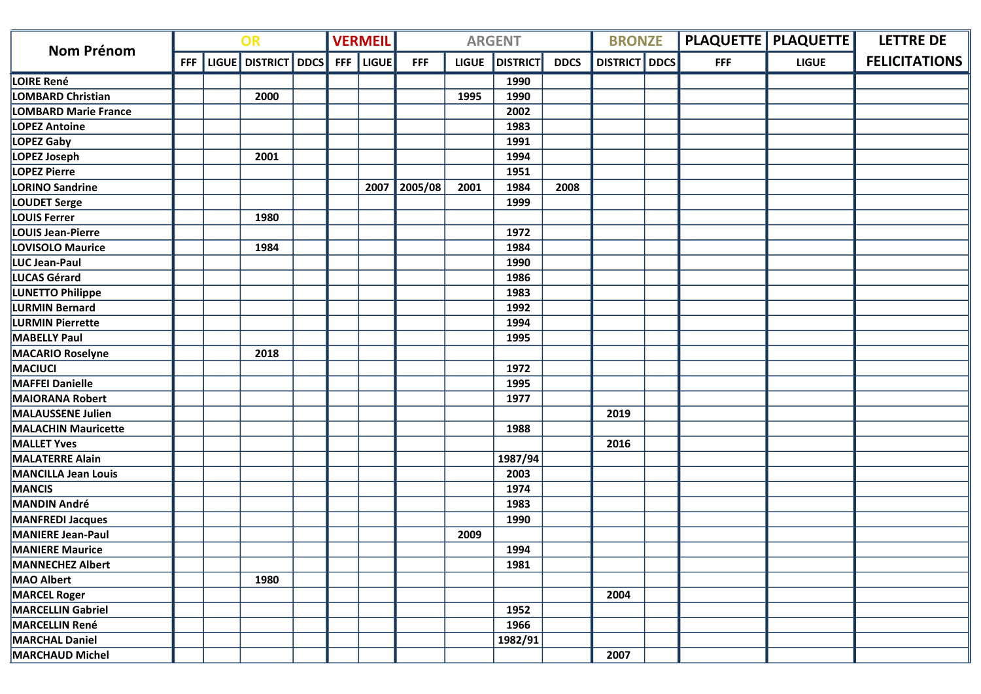| <b>Nom Prénom</b>           | OR         |  |                     |  | <b>VERMEIL</b> |              |              | <b>ARGENT</b> |                 | <b>BRONZE</b> |                 |             | PLAQUETTE   PLAQUETTE | <b>LETTRE DE</b> |                      |
|-----------------------------|------------|--|---------------------|--|----------------|--------------|--------------|---------------|-----------------|---------------|-----------------|-------------|-----------------------|------------------|----------------------|
|                             | <b>FFF</b> |  | LIGUE DISTRICT DDCS |  | <b>FFF</b>     | <b>LIGUE</b> | <b>FFF</b>   | <b>LIGUE</b>  | <b>DISTRICT</b> | <b>DDCS</b>   | <b>DISTRICT</b> | <b>DDCS</b> | <b>FFF</b>            | <b>LIGUE</b>     | <b>FELICITATIONS</b> |
| LOIRE René                  |            |  |                     |  |                |              |              |               | 1990            |               |                 |             |                       |                  |                      |
| LOMBARD Christian           |            |  | 2000                |  |                |              |              | 1995          | 1990            |               |                 |             |                       |                  |                      |
| <b>LOMBARD Marie France</b> |            |  |                     |  |                |              |              |               | 2002            |               |                 |             |                       |                  |                      |
| <b>LOPEZ Antoine</b>        |            |  |                     |  |                |              |              |               | 1983            |               |                 |             |                       |                  |                      |
| <b>LOPEZ Gaby</b>           |            |  |                     |  |                |              |              |               | 1991            |               |                 |             |                       |                  |                      |
| LOPEZ Joseph                |            |  | 2001                |  |                |              |              |               | 1994            |               |                 |             |                       |                  |                      |
| <b>LOPEZ Pierre</b>         |            |  |                     |  |                |              |              |               | 1951            |               |                 |             |                       |                  |                      |
| LORINO Sandrine             |            |  |                     |  |                |              | 2007 2005/08 | 2001          | 1984            | 2008          |                 |             |                       |                  |                      |
| LOUDET Serge                |            |  |                     |  |                |              |              |               | 1999            |               |                 |             |                       |                  |                      |
| LOUIS Ferrer                |            |  | 1980                |  |                |              |              |               |                 |               |                 |             |                       |                  |                      |
| <b>LOUIS Jean-Pierre</b>    |            |  |                     |  |                |              |              |               | 1972            |               |                 |             |                       |                  |                      |
| LOVISOLO Maurice            |            |  | 1984                |  |                |              |              |               | 1984            |               |                 |             |                       |                  |                      |
| LUC Jean-Paul               |            |  |                     |  |                |              |              |               | 1990            |               |                 |             |                       |                  |                      |
| LUCAS Gérard                |            |  |                     |  |                |              |              |               | 1986            |               |                 |             |                       |                  |                      |
| LUNETTO Philippe            |            |  |                     |  |                |              |              |               | 1983            |               |                 |             |                       |                  |                      |
| <b>LURMIN Bernard</b>       |            |  |                     |  |                |              |              |               | 1992            |               |                 |             |                       |                  |                      |
| <b>LURMIN Pierrette</b>     |            |  |                     |  |                |              |              |               | 1994            |               |                 |             |                       |                  |                      |
| <b>MABELLY Paul</b>         |            |  |                     |  |                |              |              |               | 1995            |               |                 |             |                       |                  |                      |
| <b>MACARIO Roselyne</b>     |            |  | 2018                |  |                |              |              |               |                 |               |                 |             |                       |                  |                      |
| MACIUCI                     |            |  |                     |  |                |              |              |               | 1972            |               |                 |             |                       |                  |                      |
| <b>MAFFEI Danielle</b>      |            |  |                     |  |                |              |              |               | 1995            |               |                 |             |                       |                  |                      |
| <b>MAIORANA Robert</b>      |            |  |                     |  |                |              |              |               | 1977            |               |                 |             |                       |                  |                      |
| <b>MALAUSSENE Julien</b>    |            |  |                     |  |                |              |              |               |                 |               | 2019            |             |                       |                  |                      |
| <b>MALACHIN Mauricette</b>  |            |  |                     |  |                |              |              |               | 1988            |               |                 |             |                       |                  |                      |
| <b>MALLET Yves</b>          |            |  |                     |  |                |              |              |               |                 |               | 2016            |             |                       |                  |                      |
| <b>MALATERRE Alain</b>      |            |  |                     |  |                |              |              |               | 1987/94         |               |                 |             |                       |                  |                      |
| <b>MANCILLA Jean Louis</b>  |            |  |                     |  |                |              |              |               | 2003            |               |                 |             |                       |                  |                      |
| MANCIS                      |            |  |                     |  |                |              |              |               | 1974            |               |                 |             |                       |                  |                      |
| <b>MANDIN André</b>         |            |  |                     |  |                |              |              |               | 1983            |               |                 |             |                       |                  |                      |
| <b>MANFREDI Jacques</b>     |            |  |                     |  |                |              |              |               | 1990            |               |                 |             |                       |                  |                      |
| MANIERE Jean-Paul           |            |  |                     |  |                |              |              | 2009          |                 |               |                 |             |                       |                  |                      |
| <b>MANIERE Maurice</b>      |            |  |                     |  |                |              |              |               | 1994            |               |                 |             |                       |                  |                      |
| MANNECHEZ Albert            |            |  |                     |  |                |              |              |               | 1981            |               |                 |             |                       |                  |                      |
| MAO Albert                  |            |  | 1980                |  |                |              |              |               |                 |               |                 |             |                       |                  |                      |
| <b>MARCEL Roger</b>         |            |  |                     |  |                |              |              |               |                 |               | 2004            |             |                       |                  |                      |
| <b>MARCELLIN Gabriel</b>    |            |  |                     |  |                |              |              |               | 1952            |               |                 |             |                       |                  |                      |
| <b>MARCELLIN René</b>       |            |  |                     |  |                |              |              |               | 1966            |               |                 |             |                       |                  |                      |
| <b>MARCHAL Daniel</b>       |            |  |                     |  |                |              |              |               | 1982/91         |               |                 |             |                       |                  |                      |
| <b>MARCHAUD Michel</b>      |            |  |                     |  |                |              |              |               |                 |               | 2007            |             |                       |                  |                      |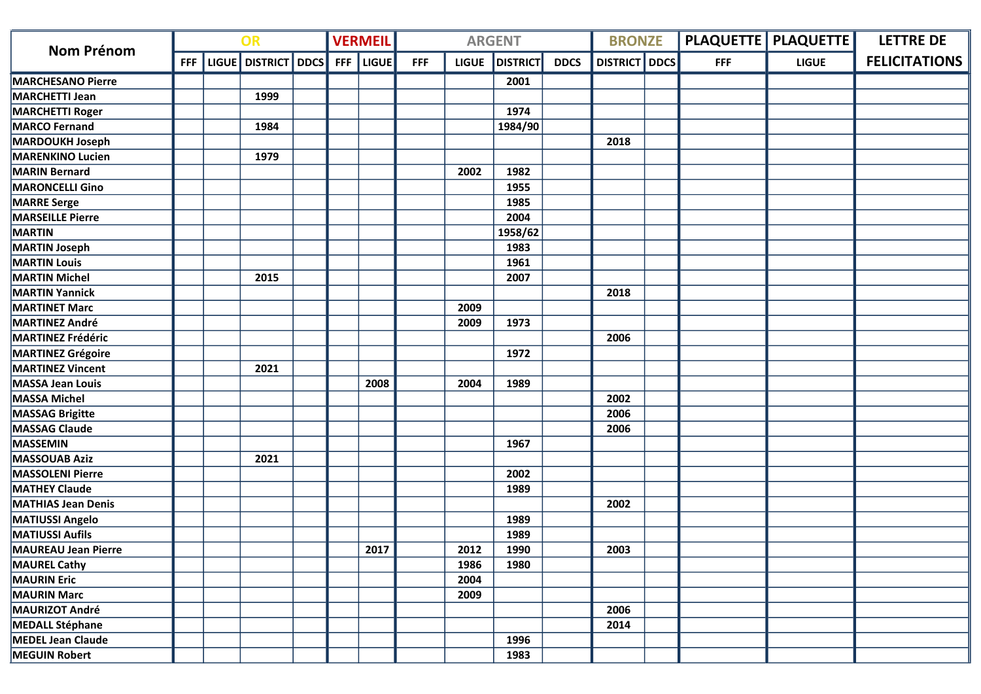| <b>Nom Prénom</b>          | OR         |  |                     |  | <b>VERMEIL</b> |              |            | <b>ARGENT</b> |                 | <b>BRONZE</b> |                 |             | <b>PLAQUETTE   PLAQUETTE  </b> | <b>LETTRE DE</b> |                      |
|----------------------------|------------|--|---------------------|--|----------------|--------------|------------|---------------|-----------------|---------------|-----------------|-------------|--------------------------------|------------------|----------------------|
|                            | <b>FFF</b> |  | LIGUE DISTRICT DDCS |  | <b>FFF</b>     | <b>LIGUE</b> | <b>FFF</b> | <b>LIGUE</b>  | <b>DISTRICT</b> | <b>DDCS</b>   | <b>DISTRICT</b> | <b>DDCS</b> | <b>FFF</b>                     | <b>LIGUE</b>     | <b>FELICITATIONS</b> |
| <b>MARCHESANO Pierre</b>   |            |  |                     |  |                |              |            |               | 2001            |               |                 |             |                                |                  |                      |
| MARCHETTI Jean             |            |  | 1999                |  |                |              |            |               |                 |               |                 |             |                                |                  |                      |
| <b>MARCHETTI Roger</b>     |            |  |                     |  |                |              |            |               | 1974            |               |                 |             |                                |                  |                      |
| <b>MARCO Fernand</b>       |            |  | 1984                |  |                |              |            |               | 1984/90         |               |                 |             |                                |                  |                      |
| <b>MARDOUKH Joseph</b>     |            |  |                     |  |                |              |            |               |                 |               | 2018            |             |                                |                  |                      |
| MARENKINO Lucien           |            |  | 1979                |  |                |              |            |               |                 |               |                 |             |                                |                  |                      |
| <b>MARIN Bernard</b>       |            |  |                     |  |                |              |            | 2002          | 1982            |               |                 |             |                                |                  |                      |
| MARONCELLI Gino            |            |  |                     |  |                |              |            |               | 1955            |               |                 |             |                                |                  |                      |
| <b>MARRE</b> Serge         |            |  |                     |  |                |              |            |               | 1985            |               |                 |             |                                |                  |                      |
| <b>MARSEILLE Pierre</b>    |            |  |                     |  |                |              |            |               | 2004            |               |                 |             |                                |                  |                      |
| <b>MARTIN</b>              |            |  |                     |  |                |              |            |               | 1958/62         |               |                 |             |                                |                  |                      |
| <b>MARTIN Joseph</b>       |            |  |                     |  |                |              |            |               | 1983            |               |                 |             |                                |                  |                      |
| <b>MARTIN Louis</b>        |            |  |                     |  |                |              |            |               | 1961            |               |                 |             |                                |                  |                      |
| <b>MARTIN Michel</b>       |            |  | 2015                |  |                |              |            |               | 2007            |               |                 |             |                                |                  |                      |
| <b>MARTIN Yannick</b>      |            |  |                     |  |                |              |            |               |                 |               | 2018            |             |                                |                  |                      |
| <b>MARTINET Marc</b>       |            |  |                     |  |                |              |            | 2009          |                 |               |                 |             |                                |                  |                      |
| <b>MARTINEZ André</b>      |            |  |                     |  |                |              |            | 2009          | 1973            |               |                 |             |                                |                  |                      |
| <b>MARTINEZ Frédéric</b>   |            |  |                     |  |                |              |            |               |                 |               | 2006            |             |                                |                  |                      |
| <b>MARTINEZ Grégoire</b>   |            |  |                     |  |                |              |            |               | 1972            |               |                 |             |                                |                  |                      |
| <b>MARTINEZ Vincent</b>    |            |  | 2021                |  |                |              |            |               |                 |               |                 |             |                                |                  |                      |
| MASSA Jean Louis           |            |  |                     |  |                | 2008         |            | 2004          | 1989            |               |                 |             |                                |                  |                      |
| MASSA Michel               |            |  |                     |  |                |              |            |               |                 |               | 2002            |             |                                |                  |                      |
| <b>MASSAG Brigitte</b>     |            |  |                     |  |                |              |            |               |                 |               | 2006            |             |                                |                  |                      |
| MASSAG Claude              |            |  |                     |  |                |              |            |               |                 |               | 2006            |             |                                |                  |                      |
| MASSEMIN                   |            |  |                     |  |                |              |            |               | 1967            |               |                 |             |                                |                  |                      |
| <b>MASSOUAB Aziz</b>       |            |  | 2021                |  |                |              |            |               |                 |               |                 |             |                                |                  |                      |
| MASSOLENI Pierre           |            |  |                     |  |                |              |            |               | 2002            |               |                 |             |                                |                  |                      |
| <b>MATHEY Claude</b>       |            |  |                     |  |                |              |            |               | 1989            |               |                 |             |                                |                  |                      |
| <b>MATHIAS Jean Denis</b>  |            |  |                     |  |                |              |            |               |                 |               | 2002            |             |                                |                  |                      |
| <b>MATIUSSI Angelo</b>     |            |  |                     |  |                |              |            |               | 1989            |               |                 |             |                                |                  |                      |
| <b>MATIUSSI Aufils</b>     |            |  |                     |  |                |              |            |               | 1989            |               |                 |             |                                |                  |                      |
| <b>MAUREAU Jean Pierre</b> |            |  |                     |  |                | 2017         |            | 2012          | 1990            |               | 2003            |             |                                |                  |                      |
| <b>MAUREL Cathy</b>        |            |  |                     |  |                |              |            | 1986          | 1980            |               |                 |             |                                |                  |                      |
| MAURIN Eric                |            |  |                     |  |                |              |            | 2004          |                 |               |                 |             |                                |                  |                      |
| <b>MAURIN Marc</b>         |            |  |                     |  |                |              |            | 2009          |                 |               |                 |             |                                |                  |                      |
| MAURIZOT André             |            |  |                     |  |                |              |            |               |                 |               | 2006            |             |                                |                  |                      |
| MEDALL Stéphane            |            |  |                     |  |                |              |            |               |                 |               | 2014            |             |                                |                  |                      |
| <b>MEDEL Jean Claude</b>   |            |  |                     |  |                |              |            |               | 1996            |               |                 |             |                                |                  |                      |
| <b>MEGUIN Robert</b>       |            |  |                     |  |                |              |            |               | 1983            |               |                 |             |                                |                  |                      |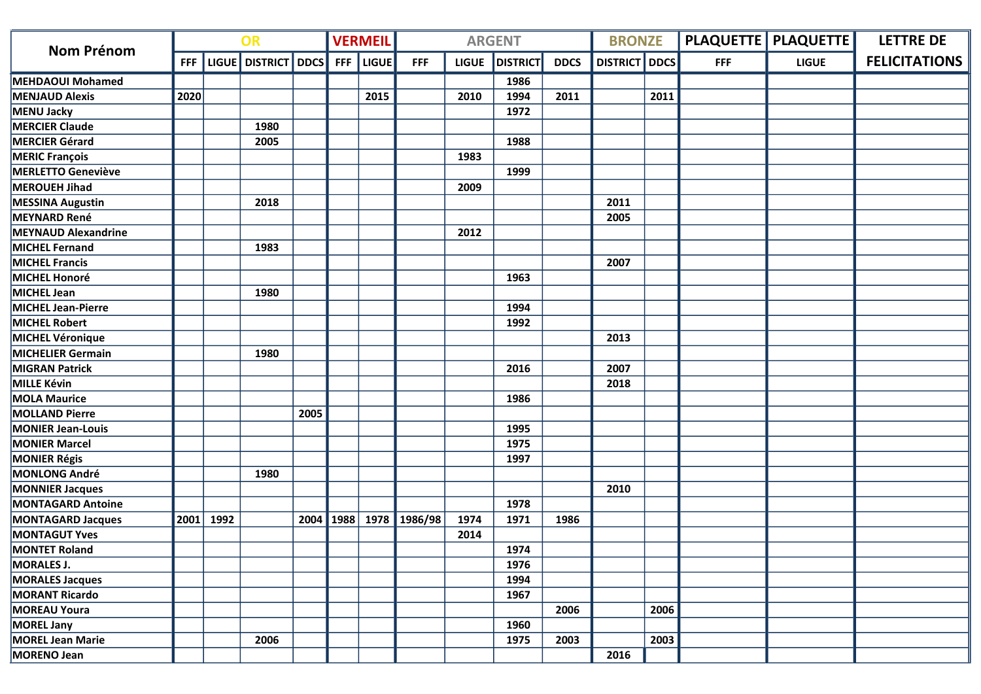|                            | OR         |      |                     | <b>VERMEIL</b> |            |              | <b>ARGENT</b> |              | <b>BRONZE</b>   |             |                 | <b>PLAQUETTE   PLAQUETTE  </b> | <b>LETTRE DE</b> |              |                      |
|----------------------------|------------|------|---------------------|----------------|------------|--------------|---------------|--------------|-----------------|-------------|-----------------|--------------------------------|------------------|--------------|----------------------|
| <b>Nom Prénom</b>          | <b>FFF</b> |      | LIGUE DISTRICT DDCS |                | <b>FFF</b> | <b>LIGUE</b> | <b>FFF</b>    | <b>LIGUE</b> | <b>DISTRICT</b> | <b>DDCS</b> | <b>DISTRICT</b> | DDCS                           | <b>FFF</b>       | <b>LIGUE</b> | <b>FELICITATIONS</b> |
| <b>MEHDAOUI Mohamed</b>    |            |      |                     |                |            |              |               |              | 1986            |             |                 |                                |                  |              |                      |
| <b>MENJAUD Alexis</b>      | 2020       |      |                     |                |            | 2015         |               | 2010         | 1994            | 2011        |                 | 2011                           |                  |              |                      |
| MENU Jacky                 |            |      |                     |                |            |              |               |              | 1972            |             |                 |                                |                  |              |                      |
| <b>MERCIER Claude</b>      |            |      | 1980                |                |            |              |               |              |                 |             |                 |                                |                  |              |                      |
| MERCIER Gérard             |            |      | 2005                |                |            |              |               |              | 1988            |             |                 |                                |                  |              |                      |
| <b>MERIC François</b>      |            |      |                     |                |            |              |               | 1983         |                 |             |                 |                                |                  |              |                      |
| <b>MERLETTO Geneviève</b>  |            |      |                     |                |            |              |               |              | 1999            |             |                 |                                |                  |              |                      |
| MEROUEH Jihad              |            |      |                     |                |            |              |               | 2009         |                 |             |                 |                                |                  |              |                      |
| <b>MESSINA Augustin</b>    |            |      | 2018                |                |            |              |               |              |                 |             | 2011            |                                |                  |              |                      |
| <b>MEYNARD René</b>        |            |      |                     |                |            |              |               |              |                 |             | 2005            |                                |                  |              |                      |
| <b>MEYNAUD Alexandrine</b> |            |      |                     |                |            |              |               | 2012         |                 |             |                 |                                |                  |              |                      |
| MICHEL Fernand             |            |      | 1983                |                |            |              |               |              |                 |             |                 |                                |                  |              |                      |
| <b>MICHEL Francis</b>      |            |      |                     |                |            |              |               |              |                 |             | 2007            |                                |                  |              |                      |
| MICHEL Honoré              |            |      |                     |                |            |              |               |              | 1963            |             |                 |                                |                  |              |                      |
| MICHEL Jean                |            |      | 1980                |                |            |              |               |              |                 |             |                 |                                |                  |              |                      |
| MICHEL Jean-Pierre         |            |      |                     |                |            |              |               |              | 1994            |             |                 |                                |                  |              |                      |
| MICHEL Robert              |            |      |                     |                |            |              |               |              | 1992            |             |                 |                                |                  |              |                      |
| MICHEL Véronique           |            |      |                     |                |            |              |               |              |                 |             | 2013            |                                |                  |              |                      |
| <b>MICHELIER Germain</b>   |            |      | 1980                |                |            |              |               |              |                 |             |                 |                                |                  |              |                      |
| <b>MIGRAN Patrick</b>      |            |      |                     |                |            |              |               |              | 2016            |             | 2007            |                                |                  |              |                      |
| MILLE Kévin                |            |      |                     |                |            |              |               |              |                 |             | 2018            |                                |                  |              |                      |
| <b>MOLA Maurice</b>        |            |      |                     |                |            |              |               |              | 1986            |             |                 |                                |                  |              |                      |
| <b>MOLLAND Pierre</b>      |            |      |                     | 2005           |            |              |               |              |                 |             |                 |                                |                  |              |                      |
| <b>MONIER Jean-Louis</b>   |            |      |                     |                |            |              |               |              | 1995            |             |                 |                                |                  |              |                      |
| <b>MONIER Marcel</b>       |            |      |                     |                |            |              |               |              | 1975            |             |                 |                                |                  |              |                      |
| <b>MONIER Régis</b>        |            |      |                     |                |            |              |               |              | 1997            |             |                 |                                |                  |              |                      |
| MONLONG André              |            |      | 1980                |                |            |              |               |              |                 |             |                 |                                |                  |              |                      |
| <b>MONNIER Jacques</b>     |            |      |                     |                |            |              |               |              |                 |             | 2010            |                                |                  |              |                      |
| <b>MONTAGARD Antoine</b>   |            |      |                     |                |            |              |               |              | 1978            |             |                 |                                |                  |              |                      |
| <b>MONTAGARD Jacques</b>   | 2001       | 1992 |                     | 2004           | 1988       |              | 1978 1986/98  | 1974         | 1971            | 1986        |                 |                                |                  |              |                      |
| <b>MONTAGUT Yves</b>       |            |      |                     |                |            |              |               | 2014         |                 |             |                 |                                |                  |              |                      |
| <b>MONTET Roland</b>       |            |      |                     |                |            |              |               |              | 1974            |             |                 |                                |                  |              |                      |
| <b>MORALES J.</b>          |            |      |                     |                |            |              |               |              | 1976            |             |                 |                                |                  |              |                      |
| <b>MORALES Jacques</b>     |            |      |                     |                |            |              |               |              | 1994            |             |                 |                                |                  |              |                      |
| <b>MORANT Ricardo</b>      |            |      |                     |                |            |              |               |              | 1967            |             |                 |                                |                  |              |                      |
| <b>MOREAU Youra</b>        |            |      |                     |                |            |              |               |              |                 | 2006        |                 | 2006                           |                  |              |                      |
| MOREL Jany                 |            |      |                     |                |            |              |               |              | 1960            |             |                 |                                |                  |              |                      |
| <b>MOREL Jean Marie</b>    |            |      | 2006                |                |            |              |               |              | 1975            | 2003        |                 | 2003                           |                  |              |                      |
| MORENO Jean                |            |      |                     |                |            |              |               |              |                 |             | 2016            |                                |                  |              |                      |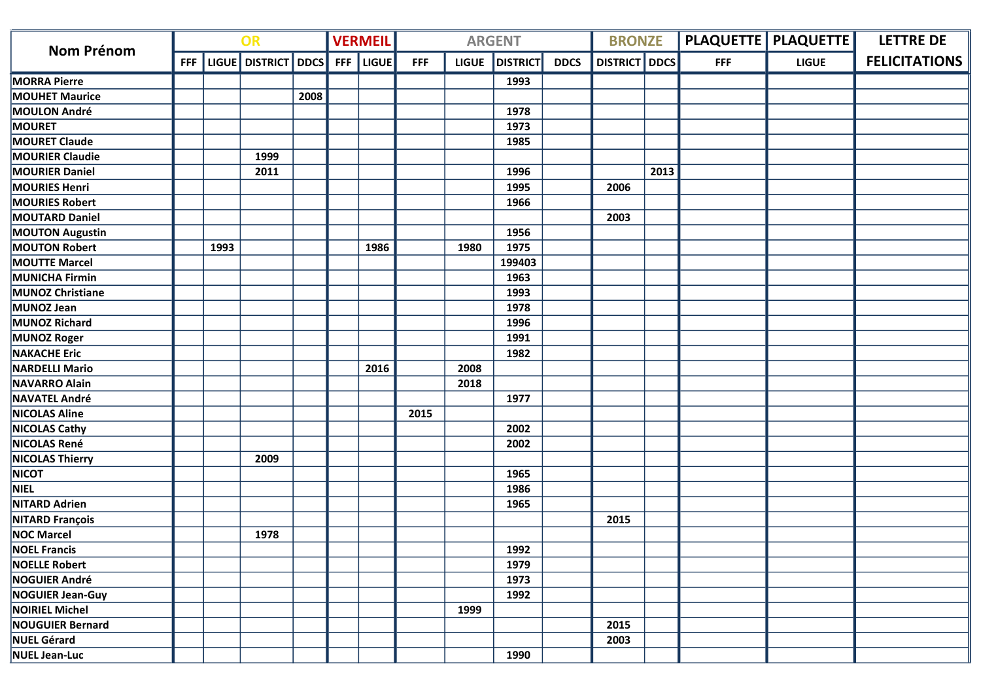| <b>Nom Prénom</b>       |            |      | OR                      |      |            | <b>VERMEIL</b> |            |              | <b>ARGENT</b>   |             | <b>BRONZE</b>        |      |            | PLAQUETTE   PLAQUETTE | <b>LETTRE DE</b>     |
|-------------------------|------------|------|-------------------------|------|------------|----------------|------------|--------------|-----------------|-------------|----------------------|------|------------|-----------------------|----------------------|
|                         | <b>FFF</b> |      | LIGUE   DISTRICT   DDCS |      | <b>FFF</b> | <b>LIGUE</b>   | <b>FFF</b> | <b>LIGUE</b> | <b>DISTRICT</b> | <b>DDCS</b> | <b>DISTRICT</b> DDCS |      | <b>FFF</b> | <b>LIGUE</b>          | <b>FELICITATIONS</b> |
| <b>MORRA Pierre</b>     |            |      |                         |      |            |                |            |              | 1993            |             |                      |      |            |                       |                      |
| <b>MOUHET Maurice</b>   |            |      |                         | 2008 |            |                |            |              |                 |             |                      |      |            |                       |                      |
| <b>MOULON André</b>     |            |      |                         |      |            |                |            |              | 1978            |             |                      |      |            |                       |                      |
| <b>MOURET</b>           |            |      |                         |      |            |                |            |              | 1973            |             |                      |      |            |                       |                      |
| <b>MOURET Claude</b>    |            |      |                         |      |            |                |            |              | 1985            |             |                      |      |            |                       |                      |
| <b>MOURIER Claudie</b>  |            |      | 1999                    |      |            |                |            |              |                 |             |                      |      |            |                       |                      |
| <b>MOURIER Daniel</b>   |            |      | 2011                    |      |            |                |            |              | 1996            |             |                      | 2013 |            |                       |                      |
| <b>MOURIES Henri</b>    |            |      |                         |      |            |                |            |              | 1995            |             | 2006                 |      |            |                       |                      |
| <b>MOURIES Robert</b>   |            |      |                         |      |            |                |            |              | 1966            |             |                      |      |            |                       |                      |
| <b>MOUTARD Daniel</b>   |            |      |                         |      |            |                |            |              |                 |             | 2003                 |      |            |                       |                      |
| <b>MOUTON Augustin</b>  |            |      |                         |      |            |                |            |              | 1956            |             |                      |      |            |                       |                      |
| <b>MOUTON Robert</b>    |            | 1993 |                         |      |            | 1986           |            | 1980         | 1975            |             |                      |      |            |                       |                      |
| <b>MOUTTE Marcel</b>    |            |      |                         |      |            |                |            |              | 199403          |             |                      |      |            |                       |                      |
| MUNICHA Firmin          |            |      |                         |      |            |                |            |              | 1963            |             |                      |      |            |                       |                      |
| <b>MUNOZ Christiane</b> |            |      |                         |      |            |                |            |              | 1993            |             |                      |      |            |                       |                      |
| MUNOZ Jean              |            |      |                         |      |            |                |            |              | 1978            |             |                      |      |            |                       |                      |
| MUNOZ Richard           |            |      |                         |      |            |                |            |              | 1996            |             |                      |      |            |                       |                      |
| <b>MUNOZ Roger</b>      |            |      |                         |      |            |                |            |              | 1991            |             |                      |      |            |                       |                      |
| <b>NAKACHE Eric</b>     |            |      |                         |      |            |                |            |              | 1982            |             |                      |      |            |                       |                      |
| <b>NARDELLI Mario</b>   |            |      |                         |      |            | 2016           |            | 2008         |                 |             |                      |      |            |                       |                      |
| NAVARRO Alain           |            |      |                         |      |            |                |            | 2018         |                 |             |                      |      |            |                       |                      |
| <b>NAVATEL André</b>    |            |      |                         |      |            |                |            |              | 1977            |             |                      |      |            |                       |                      |
| <b>NICOLAS Aline</b>    |            |      |                         |      |            |                | 2015       |              |                 |             |                      |      |            |                       |                      |
| <b>NICOLAS Cathy</b>    |            |      |                         |      |            |                |            |              | 2002            |             |                      |      |            |                       |                      |
| NICOLAS René            |            |      |                         |      |            |                |            |              | 2002            |             |                      |      |            |                       |                      |
| <b>NICOLAS Thierry</b>  |            |      | 2009                    |      |            |                |            |              |                 |             |                      |      |            |                       |                      |
| <b>NICOT</b>            |            |      |                         |      |            |                |            |              | 1965            |             |                      |      |            |                       |                      |
| NIEL                    |            |      |                         |      |            |                |            |              | 1986            |             |                      |      |            |                       |                      |
| <b>NITARD Adrien</b>    |            |      |                         |      |            |                |            |              | 1965            |             |                      |      |            |                       |                      |
| <b>NITARD François</b>  |            |      |                         |      |            |                |            |              |                 |             | 2015                 |      |            |                       |                      |
| <b>NOC Marcel</b>       |            |      | 1978                    |      |            |                |            |              |                 |             |                      |      |            |                       |                      |
| <b>NOEL Francis</b>     |            |      |                         |      |            |                |            |              | 1992            |             |                      |      |            |                       |                      |
| <b>NOELLE Robert</b>    |            |      |                         |      |            |                |            |              | 1979            |             |                      |      |            |                       |                      |
| NOGUIER André           |            |      |                         |      |            |                |            |              | 1973            |             |                      |      |            |                       |                      |
| NOGUIER Jean-Guy        |            |      |                         |      |            |                |            |              | 1992            |             |                      |      |            |                       |                      |
| NOIRIEL Michel          |            |      |                         |      |            |                |            | 1999         |                 |             |                      |      |            |                       |                      |
| <b>NOUGUIER Bernard</b> |            |      |                         |      |            |                |            |              |                 |             | 2015                 |      |            |                       |                      |
| <b>NUEL Gérard</b>      |            |      |                         |      |            |                |            |              |                 |             | 2003                 |      |            |                       |                      |
| NUEL Jean-Luc           |            |      |                         |      |            |                |            |              | 1990            |             |                      |      |            |                       |                      |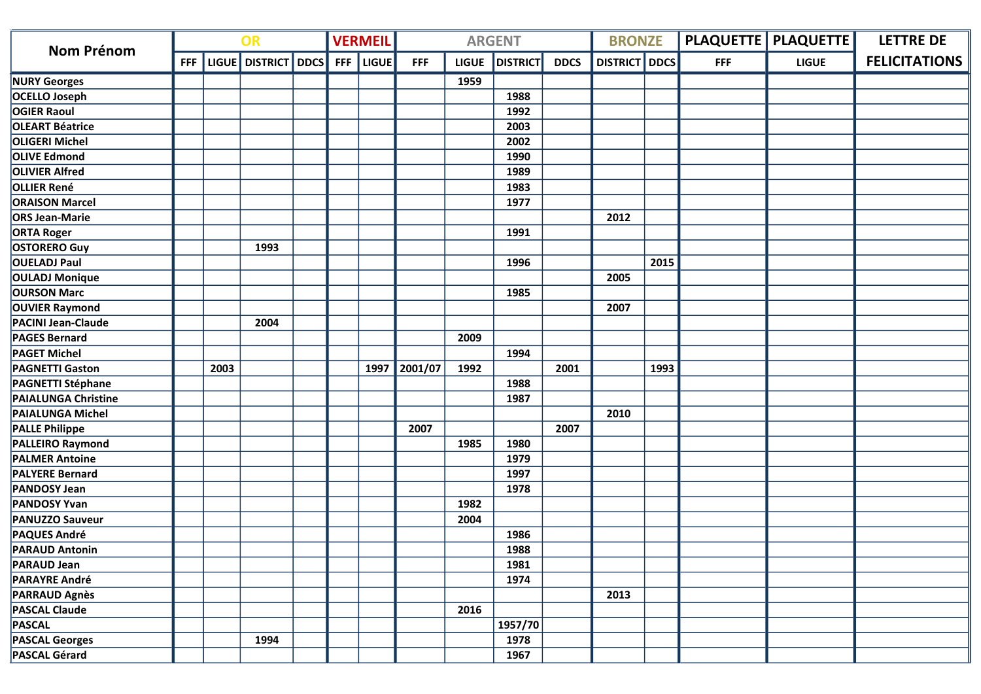|                            | OR         |      |                     |  | <b>VERMEIL</b> |              |            | <b>ARGENT</b> |                 | <b>BRONZE</b> |                      |      | <b>PLAQUETTE   PLAQUETTE  </b> | <b>LETTRE DE</b> |                      |
|----------------------------|------------|------|---------------------|--|----------------|--------------|------------|---------------|-----------------|---------------|----------------------|------|--------------------------------|------------------|----------------------|
| <b>Nom Prénom</b>          | <b>FFF</b> |      | LIGUE DISTRICT DDCS |  | <b>FFF</b>     | <b>LIGUE</b> | <b>FFF</b> | <b>LIGUE</b>  | <b>DISTRICT</b> | <b>DDCS</b>   | <b>DISTRICT</b> DDCS |      | <b>FFF</b>                     | <b>LIGUE</b>     | <b>FELICITATIONS</b> |
| <b>NURY Georges</b>        |            |      |                     |  |                |              |            | 1959          |                 |               |                      |      |                                |                  |                      |
| OCELLO Joseph              |            |      |                     |  |                |              |            |               | 1988            |               |                      |      |                                |                  |                      |
| <b>OGIER Raoul</b>         |            |      |                     |  |                |              |            |               | 1992            |               |                      |      |                                |                  |                      |
| <b>OLEART Béatrice</b>     |            |      |                     |  |                |              |            |               | 2003            |               |                      |      |                                |                  |                      |
| <b>OLIGERI Michel</b>      |            |      |                     |  |                |              |            |               | 2002            |               |                      |      |                                |                  |                      |
| <b>OLIVE Edmond</b>        |            |      |                     |  |                |              |            |               | 1990            |               |                      |      |                                |                  |                      |
| <b>OLIVIER Alfred</b>      |            |      |                     |  |                |              |            |               | 1989            |               |                      |      |                                |                  |                      |
| <b>OLLIER René</b>         |            |      |                     |  |                |              |            |               | 1983            |               |                      |      |                                |                  |                      |
| <b>ORAISON Marcel</b>      |            |      |                     |  |                |              |            |               | 1977            |               |                      |      |                                |                  |                      |
| <b>ORS Jean-Marie</b>      |            |      |                     |  |                |              |            |               |                 |               | 2012                 |      |                                |                  |                      |
| <b>ORTA Roger</b>          |            |      |                     |  |                |              |            |               | 1991            |               |                      |      |                                |                  |                      |
| <b>OSTORERO Guy</b>        |            |      | 1993                |  |                |              |            |               |                 |               |                      |      |                                |                  |                      |
| <b>OUELADJ Paul</b>        |            |      |                     |  |                |              |            |               | 1996            |               |                      | 2015 |                                |                  |                      |
| <b>OULADJ Monique</b>      |            |      |                     |  |                |              |            |               |                 |               | 2005                 |      |                                |                  |                      |
| <b>OURSON Marc</b>         |            |      |                     |  |                |              |            |               | 1985            |               |                      |      |                                |                  |                      |
| <b>OUVIER Raymond</b>      |            |      |                     |  |                |              |            |               |                 |               | 2007                 |      |                                |                  |                      |
| <b>PACINI Jean-Claude</b>  |            |      | 2004                |  |                |              |            |               |                 |               |                      |      |                                |                  |                      |
| <b>PAGES Bernard</b>       |            |      |                     |  |                |              |            | 2009          |                 |               |                      |      |                                |                  |                      |
| <b>PAGET Michel</b>        |            |      |                     |  |                |              |            |               | 1994            |               |                      |      |                                |                  |                      |
| <b>PAGNETTI Gaston</b>     |            | 2003 |                     |  |                | 1997         | 2001/07    | 1992          |                 | 2001          |                      | 1993 |                                |                  |                      |
| <b>PAGNETTI Stéphane</b>   |            |      |                     |  |                |              |            |               | 1988            |               |                      |      |                                |                  |                      |
| <b>PAIALUNGA Christine</b> |            |      |                     |  |                |              |            |               | 1987            |               |                      |      |                                |                  |                      |
| <b>PAIALUNGA Michel</b>    |            |      |                     |  |                |              |            |               |                 |               | 2010                 |      |                                |                  |                      |
| <b>PALLE Philippe</b>      |            |      |                     |  |                |              | 2007       |               |                 | 2007          |                      |      |                                |                  |                      |
| <b>PALLEIRO Raymond</b>    |            |      |                     |  |                |              |            | 1985          | 1980            |               |                      |      |                                |                  |                      |
| <b>PALMER Antoine</b>      |            |      |                     |  |                |              |            |               | 1979            |               |                      |      |                                |                  |                      |
| <b>PALYERE Bernard</b>     |            |      |                     |  |                |              |            |               | 1997            |               |                      |      |                                |                  |                      |
| <b>PANDOSY Jean</b>        |            |      |                     |  |                |              |            |               | 1978            |               |                      |      |                                |                  |                      |
| <b>PANDOSY Yvan</b>        |            |      |                     |  |                |              |            | 1982          |                 |               |                      |      |                                |                  |                      |
| <b>PANUZZO Sauveur</b>     |            |      |                     |  |                |              |            | 2004          |                 |               |                      |      |                                |                  |                      |
| <b>PAQUES André</b>        |            |      |                     |  |                |              |            |               | 1986            |               |                      |      |                                |                  |                      |
| <b>PARAUD Antonin</b>      |            |      |                     |  |                |              |            |               | 1988            |               |                      |      |                                |                  |                      |
| <b>PARAUD Jean</b>         |            |      |                     |  |                |              |            |               | 1981            |               |                      |      |                                |                  |                      |
| <b>PARAYRE André</b>       |            |      |                     |  |                |              |            |               | 1974            |               |                      |      |                                |                  |                      |
| <b>PARRAUD Agnès</b>       |            |      |                     |  |                |              |            |               |                 |               | 2013                 |      |                                |                  |                      |
| <b>PASCAL Claude</b>       |            |      |                     |  |                |              |            | 2016          |                 |               |                      |      |                                |                  |                      |
| <b>PASCAL</b>              |            |      |                     |  |                |              |            |               | 1957/70         |               |                      |      |                                |                  |                      |
| <b>PASCAL Georges</b>      |            |      | 1994                |  |                |              |            |               | 1978            |               |                      |      |                                |                  |                      |
| <b>PASCAL Gérard</b>       |            |      |                     |  |                |              |            |               | 1967            |               |                      |      |                                |                  |                      |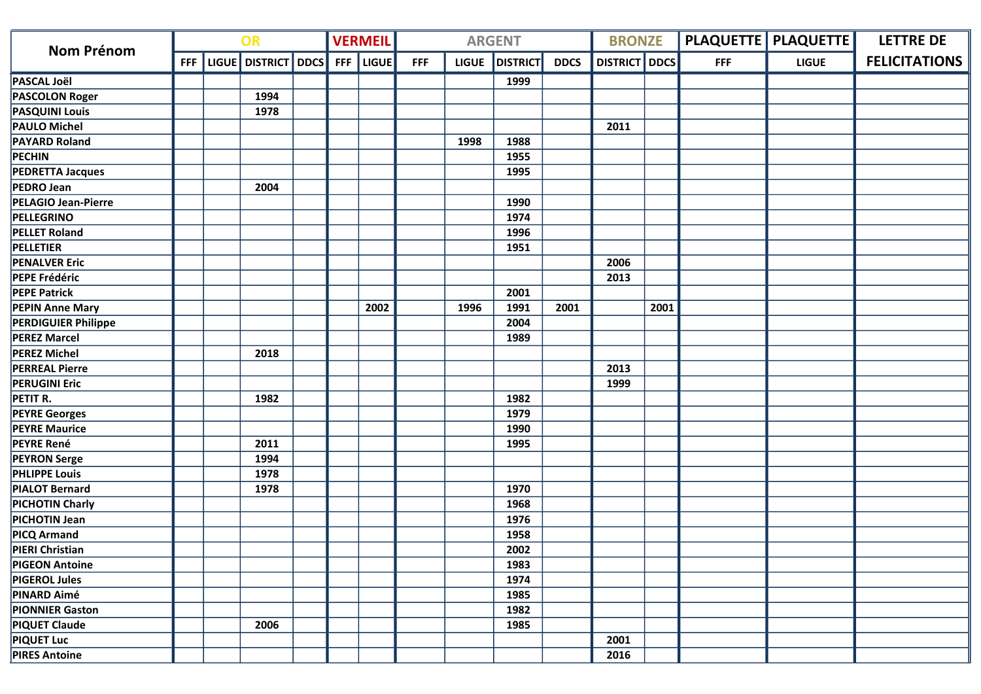| <b>Nom Prénom</b>          | OR |  |                               |  | <b>VERMEIL</b> |       |            | <b>ARGENT</b> |                 | <b>BRONZE</b> |                      |      | <b>PLAQUETTE   PLAQUETTE  </b> | <b>LETTRE DE</b> |                      |
|----------------------------|----|--|-------------------------------|--|----------------|-------|------------|---------------|-----------------|---------------|----------------------|------|--------------------------------|------------------|----------------------|
|                            |    |  | FFF   LIGUE   DISTRICT   DDCS |  | FFF            | LIGUE | <b>FFF</b> | <b>LIGUE</b>  | <b>DISTRICT</b> | <b>DDCS</b>   | <b>DISTRICT</b> DDCS |      | <b>FFF</b>                     | <b>LIGUE</b>     | <b>FELICITATIONS</b> |
| <b>PASCAL Joël</b>         |    |  |                               |  |                |       |            |               | 1999            |               |                      |      |                                |                  |                      |
| <b>PASCOLON Roger</b>      |    |  | 1994                          |  |                |       |            |               |                 |               |                      |      |                                |                  |                      |
| <b>PASQUINI Louis</b>      |    |  | 1978                          |  |                |       |            |               |                 |               |                      |      |                                |                  |                      |
| <b>PAULO Michel</b>        |    |  |                               |  |                |       |            |               |                 |               | 2011                 |      |                                |                  |                      |
| <b>PAYARD Roland</b>       |    |  |                               |  |                |       |            | 1998          | 1988            |               |                      |      |                                |                  |                      |
| PECHIN                     |    |  |                               |  |                |       |            |               | 1955            |               |                      |      |                                |                  |                      |
| <b>PEDRETTA Jacques</b>    |    |  |                               |  |                |       |            |               | 1995            |               |                      |      |                                |                  |                      |
| PEDRO Jean                 |    |  | 2004                          |  |                |       |            |               |                 |               |                      |      |                                |                  |                      |
| PELAGIO Jean-Pierre        |    |  |                               |  |                |       |            |               | 1990            |               |                      |      |                                |                  |                      |
| PELLEGRINO                 |    |  |                               |  |                |       |            |               | 1974            |               |                      |      |                                |                  |                      |
| <b>PELLET Roland</b>       |    |  |                               |  |                |       |            |               | 1996            |               |                      |      |                                |                  |                      |
| <b>PELLETIER</b>           |    |  |                               |  |                |       |            |               | 1951            |               |                      |      |                                |                  |                      |
| <b>PENALVER Eric</b>       |    |  |                               |  |                |       |            |               |                 |               | 2006                 |      |                                |                  |                      |
| <b>PEPE Frédéric</b>       |    |  |                               |  |                |       |            |               |                 |               | 2013                 |      |                                |                  |                      |
| <b>PEPE Patrick</b>        |    |  |                               |  |                |       |            |               | 2001            |               |                      |      |                                |                  |                      |
| <b>PEPIN Anne Mary</b>     |    |  |                               |  |                | 2002  |            | 1996          | 1991            | 2001          |                      | 2001 |                                |                  |                      |
| <b>PERDIGUIER Philippe</b> |    |  |                               |  |                |       |            |               | 2004            |               |                      |      |                                |                  |                      |
| <b>PEREZ Marcel</b>        |    |  |                               |  |                |       |            |               | 1989            |               |                      |      |                                |                  |                      |
| <b>PEREZ Michel</b>        |    |  | 2018                          |  |                |       |            |               |                 |               |                      |      |                                |                  |                      |
| <b>PERREAL Pierre</b>      |    |  |                               |  |                |       |            |               |                 |               | 2013                 |      |                                |                  |                      |
| <b>PERUGINI Eric</b>       |    |  |                               |  |                |       |            |               |                 |               | 1999                 |      |                                |                  |                      |
| PETIT R.                   |    |  | 1982                          |  |                |       |            |               | 1982            |               |                      |      |                                |                  |                      |
| <b>PEYRE Georges</b>       |    |  |                               |  |                |       |            |               | 1979            |               |                      |      |                                |                  |                      |
| <b>PEYRE Maurice</b>       |    |  |                               |  |                |       |            |               | 1990            |               |                      |      |                                |                  |                      |
| <b>PEYRE René</b>          |    |  | 2011                          |  |                |       |            |               | 1995            |               |                      |      |                                |                  |                      |
| <b>PEYRON Serge</b>        |    |  | 1994                          |  |                |       |            |               |                 |               |                      |      |                                |                  |                      |
| <b>PHLIPPE Louis</b>       |    |  | 1978                          |  |                |       |            |               |                 |               |                      |      |                                |                  |                      |
| <b>PIALOT Bernard</b>      |    |  | 1978                          |  |                |       |            |               | 1970            |               |                      |      |                                |                  |                      |
| <b>PICHOTIN Charly</b>     |    |  |                               |  |                |       |            |               | 1968            |               |                      |      |                                |                  |                      |
| PICHOTIN Jean              |    |  |                               |  |                |       |            |               | 1976            |               |                      |      |                                |                  |                      |
| PICQ Armand                |    |  |                               |  |                |       |            |               | 1958            |               |                      |      |                                |                  |                      |
| <b>PIERI Christian</b>     |    |  |                               |  |                |       |            |               | 2002            |               |                      |      |                                |                  |                      |
| <b>PIGEON Antoine</b>      |    |  |                               |  |                |       |            |               | 1983            |               |                      |      |                                |                  |                      |
| <b>PIGEROL Jules</b>       |    |  |                               |  |                |       |            |               | 1974            |               |                      |      |                                |                  |                      |
| <b>PINARD Aimé</b>         |    |  |                               |  |                |       |            |               | 1985            |               |                      |      |                                |                  |                      |
| <b>PIONNIER Gaston</b>     |    |  |                               |  |                |       |            |               | 1982            |               |                      |      |                                |                  |                      |
| <b>PIQUET Claude</b>       |    |  | 2006                          |  |                |       |            |               | 1985            |               |                      |      |                                |                  |                      |
| <b>PIQUET Luc</b>          |    |  |                               |  |                |       |            |               |                 |               | 2001                 |      |                                |                  |                      |
| <b>PIRES Antoine</b>       |    |  |                               |  |                |       |            |               |                 |               | 2016                 |      |                                |                  |                      |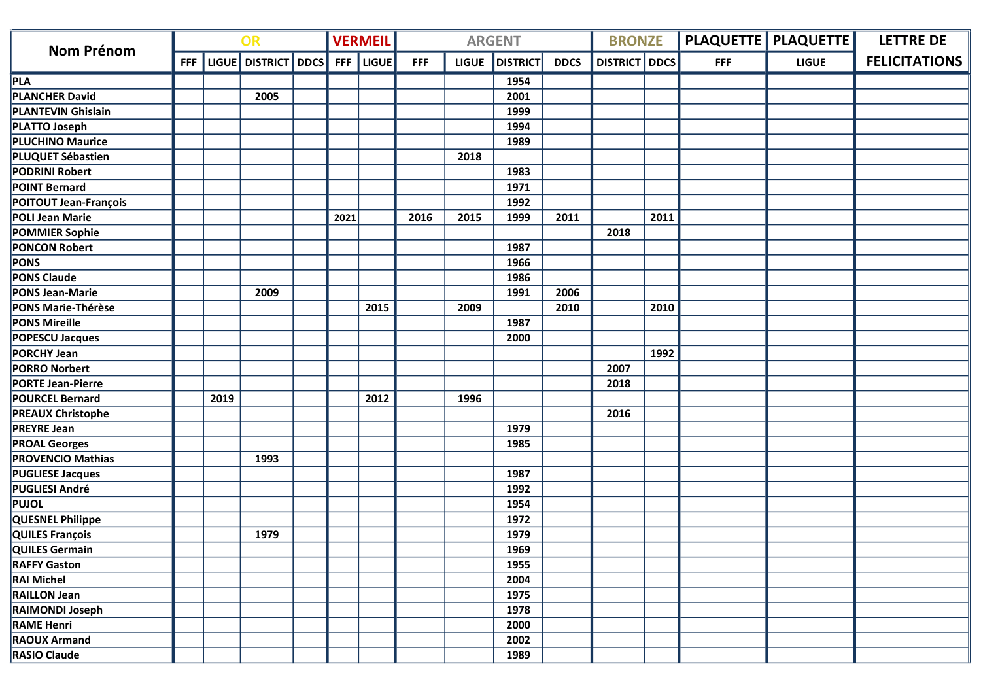|                              | OR  |      |                     |  | <b>VERMEIL</b> |              |            | <b>ARGENT</b> |                 | <b>BRONZE</b> |                      |      | PLAQUETTE   PLAQUETTE | <b>LETTRE DE</b> |                      |
|------------------------------|-----|------|---------------------|--|----------------|--------------|------------|---------------|-----------------|---------------|----------------------|------|-----------------------|------------------|----------------------|
| <b>Nom Prénom</b>            | FFF |      | LIGUE DISTRICT DDCS |  | <b>FFF</b>     | <b>LIGUE</b> | <b>FFF</b> | <b>LIGUE</b>  | <b>DISTRICT</b> | <b>DDCS</b>   | <b>DISTRICT</b> DDCS |      | <b>FFF</b>            | <b>LIGUE</b>     | <b>FELICITATIONS</b> |
| PLA                          |     |      |                     |  |                |              |            |               | 1954            |               |                      |      |                       |                  |                      |
| <b>PLANCHER David</b>        |     |      | 2005                |  |                |              |            |               | 2001            |               |                      |      |                       |                  |                      |
| <b>PLANTEVIN Ghislain</b>    |     |      |                     |  |                |              |            |               | 1999            |               |                      |      |                       |                  |                      |
| <b>PLATTO Joseph</b>         |     |      |                     |  |                |              |            |               | 1994            |               |                      |      |                       |                  |                      |
| <b>PLUCHINO Maurice</b>      |     |      |                     |  |                |              |            |               | 1989            |               |                      |      |                       |                  |                      |
| PLUQUET Sébastien            |     |      |                     |  |                |              |            | 2018          |                 |               |                      |      |                       |                  |                      |
| <b>PODRINI Robert</b>        |     |      |                     |  |                |              |            |               | 1983            |               |                      |      |                       |                  |                      |
| <b>POINT Bernard</b>         |     |      |                     |  |                |              |            |               | 1971            |               |                      |      |                       |                  |                      |
| <b>POITOUT Jean-François</b> |     |      |                     |  |                |              |            |               | 1992            |               |                      |      |                       |                  |                      |
| POLI Jean Marie              |     |      |                     |  | 2021           |              | 2016       | 2015          | 1999            | 2011          |                      | 2011 |                       |                  |                      |
| <b>POMMIER Sophie</b>        |     |      |                     |  |                |              |            |               |                 |               | 2018                 |      |                       |                  |                      |
| <b>PONCON Robert</b>         |     |      |                     |  |                |              |            |               | 1987            |               |                      |      |                       |                  |                      |
| <b>PONS</b>                  |     |      |                     |  |                |              |            |               | 1966            |               |                      |      |                       |                  |                      |
| <b>PONS Claude</b>           |     |      |                     |  |                |              |            |               | 1986            |               |                      |      |                       |                  |                      |
| <b>PONS Jean-Marie</b>       |     |      | 2009                |  |                |              |            |               | 1991            | 2006          |                      |      |                       |                  |                      |
| <b>PONS Marie-Thérèse</b>    |     |      |                     |  |                | 2015         |            | 2009          |                 | 2010          |                      | 2010 |                       |                  |                      |
| <b>PONS Mireille</b>         |     |      |                     |  |                |              |            |               | 1987            |               |                      |      |                       |                  |                      |
| <b>POPESCU Jacques</b>       |     |      |                     |  |                |              |            |               | 2000            |               |                      |      |                       |                  |                      |
| <b>PORCHY Jean</b>           |     |      |                     |  |                |              |            |               |                 |               |                      | 1992 |                       |                  |                      |
| <b>PORRO Norbert</b>         |     |      |                     |  |                |              |            |               |                 |               | 2007                 |      |                       |                  |                      |
| <b>PORTE Jean-Pierre</b>     |     |      |                     |  |                |              |            |               |                 |               | 2018                 |      |                       |                  |                      |
| <b>POURCEL Bernard</b>       |     | 2019 |                     |  |                | 2012         |            | 1996          |                 |               |                      |      |                       |                  |                      |
| <b>PREAUX Christophe</b>     |     |      |                     |  |                |              |            |               |                 |               | 2016                 |      |                       |                  |                      |
| <b>PREYRE Jean</b>           |     |      |                     |  |                |              |            |               | 1979            |               |                      |      |                       |                  |                      |
| <b>PROAL Georges</b>         |     |      |                     |  |                |              |            |               | 1985            |               |                      |      |                       |                  |                      |
| <b>PROVENCIO Mathias</b>     |     |      | 1993                |  |                |              |            |               |                 |               |                      |      |                       |                  |                      |
| <b>PUGLIESE Jacques</b>      |     |      |                     |  |                |              |            |               | 1987            |               |                      |      |                       |                  |                      |
| PUGLIESI André               |     |      |                     |  |                |              |            |               | 1992            |               |                      |      |                       |                  |                      |
| <b>PUJOL</b>                 |     |      |                     |  |                |              |            |               | 1954            |               |                      |      |                       |                  |                      |
| QUESNEL Philippe             |     |      |                     |  |                |              |            |               | 1972            |               |                      |      |                       |                  |                      |
| QUILES François              |     |      | 1979                |  |                |              |            |               | 1979            |               |                      |      |                       |                  |                      |
| <b>QUILES Germain</b>        |     |      |                     |  |                |              |            |               | 1969            |               |                      |      |                       |                  |                      |
| <b>RAFFY Gaston</b>          |     |      |                     |  |                |              |            |               | 1955            |               |                      |      |                       |                  |                      |
| <b>RAI Michel</b>            |     |      |                     |  |                |              |            |               | 2004            |               |                      |      |                       |                  |                      |
| <b>RAILLON Jean</b>          |     |      |                     |  |                |              |            |               | 1975            |               |                      |      |                       |                  |                      |
| <b>RAIMONDI Joseph</b>       |     |      |                     |  |                |              |            |               | 1978            |               |                      |      |                       |                  |                      |
| <b>RAME Henri</b>            |     |      |                     |  |                |              |            |               | 2000            |               |                      |      |                       |                  |                      |
| <b>RAOUX Armand</b>          |     |      |                     |  |                |              |            |               | 2002            |               |                      |      |                       |                  |                      |
| <b>RASIO Claude</b>          |     |      |                     |  |                |              |            |               | 1989            |               |                      |      |                       |                  |                      |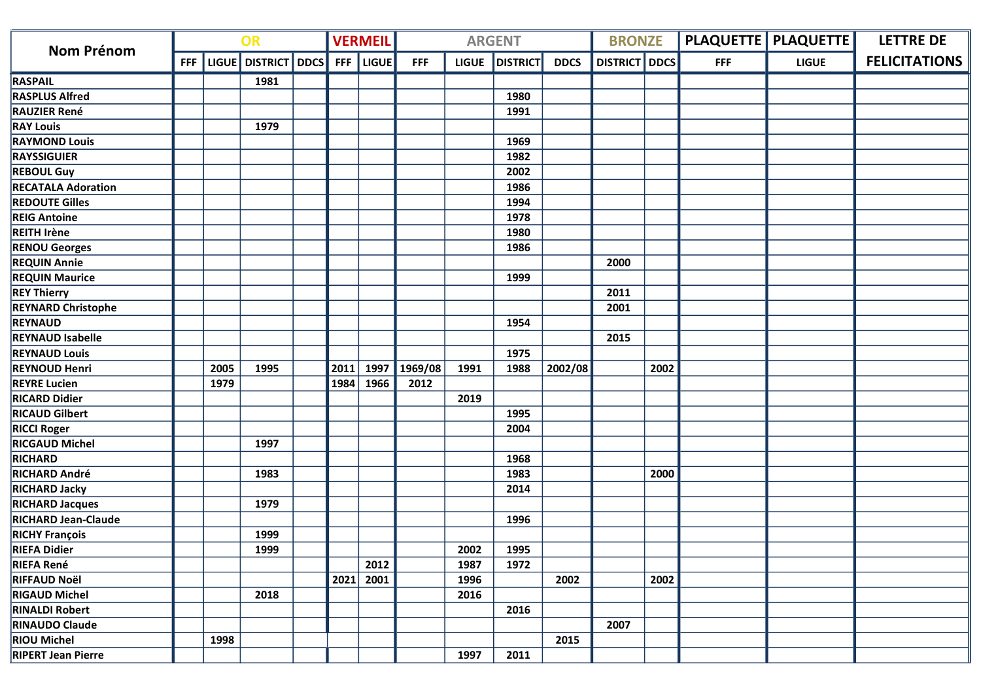| OR<br><b>Nom Prénom</b>    |            |      | <b>VERMEIL</b>          | <b>ARGENT</b> |       |            |              |                 | <b>BRONZE</b> |                      | <b>PLAQUETTE   PLAQUETTE  </b> | <b>LETTRE DE</b> |              |                      |
|----------------------------|------------|------|-------------------------|---------------|-------|------------|--------------|-----------------|---------------|----------------------|--------------------------------|------------------|--------------|----------------------|
|                            | <b>FFF</b> |      | LIGUE   DISTRICT   DDCS | <b>FFF</b>    | LIGUE | <b>FFF</b> | <b>LIGUE</b> | <b>DISTRICT</b> | <b>DDCS</b>   | <b>DISTRICT</b> DDCS |                                | <b>FFF</b>       | <b>LIGUE</b> | <b>FELICITATIONS</b> |
| <b>RASPAIL</b>             |            |      | 1981                    |               |       |            |              |                 |               |                      |                                |                  |              |                      |
| <b>RASPLUS Alfred</b>      |            |      |                         |               |       |            |              | 1980            |               |                      |                                |                  |              |                      |
| <b>RAUZIER René</b>        |            |      |                         |               |       |            |              | 1991            |               |                      |                                |                  |              |                      |
| <b>RAY Louis</b>           |            |      | 1979                    |               |       |            |              |                 |               |                      |                                |                  |              |                      |
| <b>RAYMOND Louis</b>       |            |      |                         |               |       |            |              | 1969            |               |                      |                                |                  |              |                      |
| <b>RAYSSIGUIER</b>         |            |      |                         |               |       |            |              | 1982            |               |                      |                                |                  |              |                      |
| <b>REBOUL Guy</b>          |            |      |                         |               |       |            |              | 2002            |               |                      |                                |                  |              |                      |
| <b>RECATALA Adoration</b>  |            |      |                         |               |       |            |              | 1986            |               |                      |                                |                  |              |                      |
| <b>REDOUTE Gilles</b>      |            |      |                         |               |       |            |              | 1994            |               |                      |                                |                  |              |                      |
| <b>REIG Antoine</b>        |            |      |                         |               |       |            |              | 1978            |               |                      |                                |                  |              |                      |
| <b>REITH Irène</b>         |            |      |                         |               |       |            |              | 1980            |               |                      |                                |                  |              |                      |
| <b>RENOU Georges</b>       |            |      |                         |               |       |            |              | 1986            |               |                      |                                |                  |              |                      |
| <b>REQUIN Annie</b>        |            |      |                         |               |       |            |              |                 |               | 2000                 |                                |                  |              |                      |
| <b>REQUIN Maurice</b>      |            |      |                         |               |       |            |              | 1999            |               |                      |                                |                  |              |                      |
| <b>REY Thierry</b>         |            |      |                         |               |       |            |              |                 |               | 2011                 |                                |                  |              |                      |
| <b>REYNARD Christophe</b>  |            |      |                         |               |       |            |              |                 |               | 2001                 |                                |                  |              |                      |
| <b>REYNAUD</b>             |            |      |                         |               |       |            |              | 1954            |               |                      |                                |                  |              |                      |
| <b>REYNAUD Isabelle</b>    |            |      |                         |               |       |            |              |                 |               | 2015                 |                                |                  |              |                      |
| <b>REYNAUD Louis</b>       |            |      |                         |               |       |            |              | 1975            |               |                      |                                |                  |              |                      |
| <b>REYNOUD Henri</b>       |            | 2005 | 1995                    | 2011          | 1997  | 1969/08    | 1991         | 1988            | 2002/08       |                      | 2002                           |                  |              |                      |
| <b>REYRE Lucien</b>        |            | 1979 |                         | 1984          | 1966  | 2012       |              |                 |               |                      |                                |                  |              |                      |
| <b>RICARD Didier</b>       |            |      |                         |               |       |            | 2019         |                 |               |                      |                                |                  |              |                      |
| <b>RICAUD Gilbert</b>      |            |      |                         |               |       |            |              | 1995            |               |                      |                                |                  |              |                      |
| <b>RICCI Roger</b>         |            |      |                         |               |       |            |              | 2004            |               |                      |                                |                  |              |                      |
| <b>RICGAUD Michel</b>      |            |      | 1997                    |               |       |            |              |                 |               |                      |                                |                  |              |                      |
| <b>RICHARD</b>             |            |      |                         |               |       |            |              | 1968            |               |                      |                                |                  |              |                      |
| <b>RICHARD André</b>       |            |      | 1983                    |               |       |            |              | 1983            |               |                      | 2000                           |                  |              |                      |
| <b>RICHARD Jacky</b>       |            |      |                         |               |       |            |              | 2014            |               |                      |                                |                  |              |                      |
| <b>RICHARD Jacques</b>     |            |      | 1979                    |               |       |            |              |                 |               |                      |                                |                  |              |                      |
| <b>RICHARD Jean-Claude</b> |            |      |                         |               |       |            |              | 1996            |               |                      |                                |                  |              |                      |
| <b>RICHY François</b>      |            |      | 1999                    |               |       |            |              |                 |               |                      |                                |                  |              |                      |
| <b>RIEFA Didier</b>        |            |      | 1999                    |               |       |            | 2002         | 1995            |               |                      |                                |                  |              |                      |
| <b>RIEFA René</b>          |            |      |                         |               | 2012  |            | 1987         | 1972            |               |                      |                                |                  |              |                      |
| <b>RIFFAUD Noël</b>        |            |      |                         | 2021          | 2001  |            | 1996         |                 | 2002          |                      | 2002                           |                  |              |                      |
| <b>RIGAUD Michel</b>       |            |      | 2018                    |               |       |            | 2016         |                 |               |                      |                                |                  |              |                      |
| <b>RINALDI Robert</b>      |            |      |                         |               |       |            |              | 2016            |               |                      |                                |                  |              |                      |
| <b>RINAUDO Claude</b>      |            |      |                         |               |       |            |              |                 |               | 2007                 |                                |                  |              |                      |
| <b>RIOU Michel</b>         |            | 1998 |                         |               |       |            |              |                 | 2015          |                      |                                |                  |              |                      |
| <b>RIPERT Jean Pierre</b>  |            |      |                         |               |       |            | 1997         | 2011            |               |                      |                                |                  |              |                      |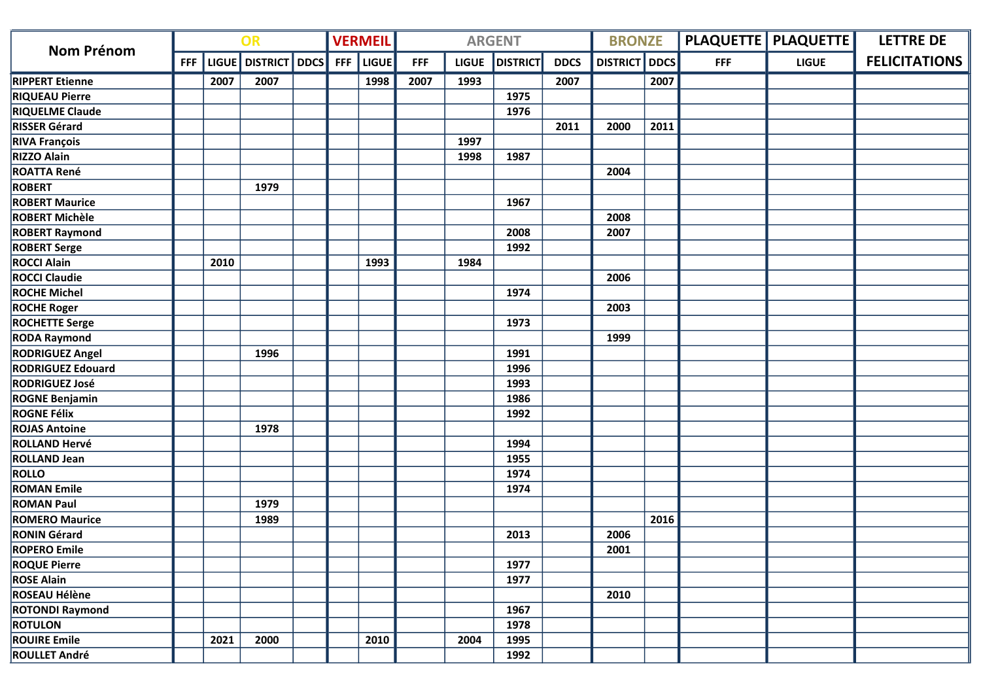| OR<br><b>Nom Prénom</b>  |            |      | <b>VERMEIL</b>      | <b>ARGENT</b> |       |            |              |                 | <b>BRONZE</b> |                 | <b>PLAQUETTE   PLAQUETTE  </b> | <b>LETTRE DE</b> |              |                      |
|--------------------------|------------|------|---------------------|---------------|-------|------------|--------------|-----------------|---------------|-----------------|--------------------------------|------------------|--------------|----------------------|
|                          | <b>FFF</b> |      | LIGUE DISTRICT DDCS | <b>FFF</b>    | LIGUE | <b>FFF</b> | <b>LIGUE</b> | <b>DISTRICT</b> | <b>DDCS</b>   | <b>DISTRICT</b> | <b>DDCS</b>                    | <b>FFF</b>       | <b>LIGUE</b> | <b>FELICITATIONS</b> |
| <b>RIPPERT Etienne</b>   |            | 2007 | 2007                |               | 1998  | 2007       | 1993         |                 | 2007          |                 | 2007                           |                  |              |                      |
| <b>RIQUEAU Pierre</b>    |            |      |                     |               |       |            |              | 1975            |               |                 |                                |                  |              |                      |
| <b>RIQUELME Claude</b>   |            |      |                     |               |       |            |              | 1976            |               |                 |                                |                  |              |                      |
| <b>RISSER Gérard</b>     |            |      |                     |               |       |            |              |                 | 2011          | 2000            | 2011                           |                  |              |                      |
| <b>RIVA François</b>     |            |      |                     |               |       |            | 1997         |                 |               |                 |                                |                  |              |                      |
| <b>RIZZO Alain</b>       |            |      |                     |               |       |            | 1998         | 1987            |               |                 |                                |                  |              |                      |
| <b>ROATTA René</b>       |            |      |                     |               |       |            |              |                 |               | 2004            |                                |                  |              |                      |
| <b>ROBERT</b>            |            |      | 1979                |               |       |            |              |                 |               |                 |                                |                  |              |                      |
| <b>ROBERT Maurice</b>    |            |      |                     |               |       |            |              | 1967            |               |                 |                                |                  |              |                      |
| <b>ROBERT Michèle</b>    |            |      |                     |               |       |            |              |                 |               | 2008            |                                |                  |              |                      |
| <b>ROBERT Raymond</b>    |            |      |                     |               |       |            |              | 2008            |               | 2007            |                                |                  |              |                      |
| <b>ROBERT Serge</b>      |            |      |                     |               |       |            |              | 1992            |               |                 |                                |                  |              |                      |
| <b>ROCCI Alain</b>       |            | 2010 |                     |               | 1993  |            | 1984         |                 |               |                 |                                |                  |              |                      |
| <b>ROCCI Claudie</b>     |            |      |                     |               |       |            |              |                 |               | 2006            |                                |                  |              |                      |
| <b>ROCHE Michel</b>      |            |      |                     |               |       |            |              | 1974            |               |                 |                                |                  |              |                      |
| <b>ROCHE Roger</b>       |            |      |                     |               |       |            |              |                 |               | 2003            |                                |                  |              |                      |
| <b>ROCHETTE Serge</b>    |            |      |                     |               |       |            |              | 1973            |               |                 |                                |                  |              |                      |
| <b>RODA Raymond</b>      |            |      |                     |               |       |            |              |                 |               | 1999            |                                |                  |              |                      |
| <b>RODRIGUEZ Angel</b>   |            |      | 1996                |               |       |            |              | 1991            |               |                 |                                |                  |              |                      |
| <b>RODRIGUEZ Edouard</b> |            |      |                     |               |       |            |              | 1996            |               |                 |                                |                  |              |                      |
| <b>RODRIGUEZ José</b>    |            |      |                     |               |       |            |              | 1993            |               |                 |                                |                  |              |                      |
| <b>ROGNE Benjamin</b>    |            |      |                     |               |       |            |              | 1986            |               |                 |                                |                  |              |                      |
| <b>ROGNE Félix</b>       |            |      |                     |               |       |            |              | 1992            |               |                 |                                |                  |              |                      |
| <b>ROJAS Antoine</b>     |            |      | 1978                |               |       |            |              |                 |               |                 |                                |                  |              |                      |
| <b>ROLLAND Hervé</b>     |            |      |                     |               |       |            |              | 1994            |               |                 |                                |                  |              |                      |
| <b>ROLLAND Jean</b>      |            |      |                     |               |       |            |              | 1955            |               |                 |                                |                  |              |                      |
| <b>ROLLO</b>             |            |      |                     |               |       |            |              | 1974            |               |                 |                                |                  |              |                      |
| <b>ROMAN Emile</b>       |            |      |                     |               |       |            |              | 1974            |               |                 |                                |                  |              |                      |
| <b>ROMAN Paul</b>        |            |      | 1979                |               |       |            |              |                 |               |                 |                                |                  |              |                      |
| <b>ROMERO Maurice</b>    |            |      | 1989                |               |       |            |              |                 |               |                 | 2016                           |                  |              |                      |
| <b>RONIN Gérard</b>      |            |      |                     |               |       |            |              | 2013            |               | 2006            |                                |                  |              |                      |
| <b>ROPERO Emile</b>      |            |      |                     |               |       |            |              |                 |               | 2001            |                                |                  |              |                      |
| <b>ROQUE Pierre</b>      |            |      |                     |               |       |            |              | 1977            |               |                 |                                |                  |              |                      |
| <b>ROSE Alain</b>        |            |      |                     |               |       |            |              | 1977            |               |                 |                                |                  |              |                      |
| ROSEAU Hélène            |            |      |                     |               |       |            |              |                 |               | 2010            |                                |                  |              |                      |
| <b>ROTONDI Raymond</b>   |            |      |                     |               |       |            |              | 1967            |               |                 |                                |                  |              |                      |
| <b>ROTULON</b>           |            |      |                     |               |       |            |              | 1978            |               |                 |                                |                  |              |                      |
| <b>ROUIRE Emile</b>      |            | 2021 | 2000                |               | 2010  |            | 2004         | 1995            |               |                 |                                |                  |              |                      |
| <b>ROULLET André</b>     |            |      |                     |               |       |            |              | 1992            |               |                 |                                |                  |              |                      |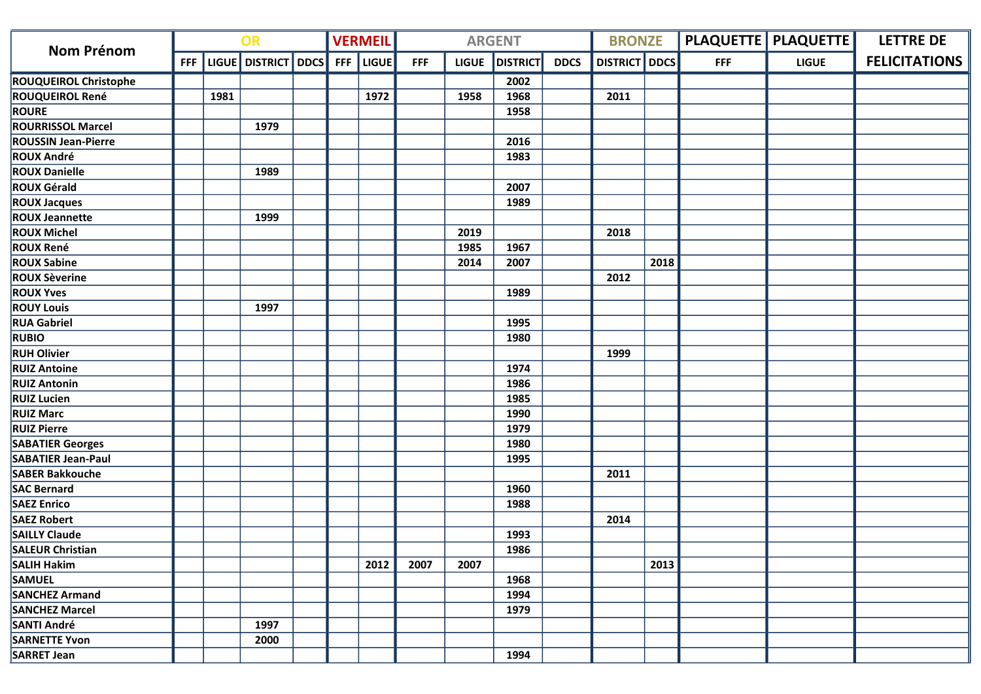| <b>OR</b><br><b>Nom Prénom</b> |            |              | <b>VERMEIL</b>       | <b>ARGENT</b> |              |            |              |                 | <b>BRONZE</b> |                 | <b>PLAQUETTE   PLAQUETTE  </b> | <b>LETTRE DE</b> |              |                      |
|--------------------------------|------------|--------------|----------------------|---------------|--------------|------------|--------------|-----------------|---------------|-----------------|--------------------------------|------------------|--------------|----------------------|
|                                | <b>FFF</b> | <b>LIGUE</b> | <b>DISTRICT</b> DDCS | <b>FFF</b>    | <b>LIGUE</b> | <b>FFF</b> | <b>LIGUE</b> | <b>DISTRICT</b> | <b>DDCS</b>   | <b>DISTRICT</b> | <b>DDCS</b>                    | <b>FFF</b>       | <b>LIGUE</b> | <b>FELICITATIONS</b> |
| <b>ROUQUEIROL Christophe</b>   |            |              |                      |               |              |            |              | 2002            |               |                 |                                |                  |              |                      |
| <b>ROUQUEIROL René</b>         |            | 1981         |                      |               | 1972         |            | 1958         | 1968            |               | 2011            |                                |                  |              |                      |
| <b>ROURE</b>                   |            |              |                      |               |              |            |              | 1958            |               |                 |                                |                  |              |                      |
| <b>ROURRISSOL Marcel</b>       |            |              | 1979                 |               |              |            |              |                 |               |                 |                                |                  |              |                      |
| <b>ROUSSIN Jean-Pierre</b>     |            |              |                      |               |              |            |              | 2016            |               |                 |                                |                  |              |                      |
| <b>ROUX André</b>              |            |              |                      |               |              |            |              | 1983            |               |                 |                                |                  |              |                      |
| <b>ROUX Danielle</b>           |            |              | 1989                 |               |              |            |              |                 |               |                 |                                |                  |              |                      |
| <b>ROUX Gérald</b>             |            |              |                      |               |              |            |              | 2007            |               |                 |                                |                  |              |                      |
| <b>ROUX Jacques</b>            |            |              |                      |               |              |            |              | 1989            |               |                 |                                |                  |              |                      |
| <b>ROUX Jeannette</b>          |            |              | 1999                 |               |              |            |              |                 |               |                 |                                |                  |              |                      |
| <b>ROUX Michel</b>             |            |              |                      |               |              |            | 2019         |                 |               | 2018            |                                |                  |              |                      |
| <b>ROUX René</b>               |            |              |                      |               |              |            | 1985         | 1967            |               |                 |                                |                  |              |                      |
| <b>ROUX Sabine</b>             |            |              |                      |               |              |            | 2014         | 2007            |               |                 | 2018                           |                  |              |                      |
| <b>ROUX Sèverine</b>           |            |              |                      |               |              |            |              |                 |               | 2012            |                                |                  |              |                      |
| <b>ROUX Yves</b>               |            |              |                      |               |              |            |              | 1989            |               |                 |                                |                  |              |                      |
| <b>ROUY Louis</b>              |            |              | 1997                 |               |              |            |              |                 |               |                 |                                |                  |              |                      |
| <b>RUA Gabriel</b>             |            |              |                      |               |              |            |              | 1995            |               |                 |                                |                  |              |                      |
| <b>RUBIO</b>                   |            |              |                      |               |              |            |              | 1980            |               |                 |                                |                  |              |                      |
| <b>RUH Olivier</b>             |            |              |                      |               |              |            |              |                 |               | 1999            |                                |                  |              |                      |
| <b>RUIZ Antoine</b>            |            |              |                      |               |              |            |              | 1974            |               |                 |                                |                  |              |                      |
| <b>RUIZ Antonin</b>            |            |              |                      |               |              |            |              | 1986            |               |                 |                                |                  |              |                      |
| <b>RUIZ Lucien</b>             |            |              |                      |               |              |            |              | 1985            |               |                 |                                |                  |              |                      |
| <b>RUIZ Marc</b>               |            |              |                      |               |              |            |              | 1990            |               |                 |                                |                  |              |                      |
| <b>RUIZ Pierre</b>             |            |              |                      |               |              |            |              | 1979            |               |                 |                                |                  |              |                      |
| <b>SABATIER Georges</b>        |            |              |                      |               |              |            |              | 1980            |               |                 |                                |                  |              |                      |
| <b>SABATIER Jean-Paul</b>      |            |              |                      |               |              |            |              | 1995            |               |                 |                                |                  |              |                      |
| <b>SABER Bakkouche</b>         |            |              |                      |               |              |            |              |                 |               | 2011            |                                |                  |              |                      |
| <b>SAC Bernard</b>             |            |              |                      |               |              |            |              | 1960            |               |                 |                                |                  |              |                      |
| <b>SAEZ Enrico</b>             |            |              |                      |               |              |            |              | 1988            |               |                 |                                |                  |              |                      |
| <b>SAEZ Robert</b>             |            |              |                      |               |              |            |              |                 |               | 2014            |                                |                  |              |                      |
| <b>SAILLY Claude</b>           |            |              |                      |               |              |            |              | 1993            |               |                 |                                |                  |              |                      |
| <b>SALEUR Christian</b>        |            |              |                      |               |              |            |              | 1986            |               |                 |                                |                  |              |                      |
| <b>SALIH Hakim</b>             |            |              |                      |               | 2012         | 2007       | 2007         |                 |               |                 | 2013                           |                  |              |                      |
| <b>SAMUEL</b>                  |            |              |                      |               |              |            |              | 1968            |               |                 |                                |                  |              |                      |
| <b>SANCHEZ Armand</b>          |            |              |                      |               |              |            |              | 1994            |               |                 |                                |                  |              |                      |
| <b>SANCHEZ Marcel</b>          |            |              |                      |               |              |            |              | 1979            |               |                 |                                |                  |              |                      |
| <b>SANTI André</b>             |            |              | 1997                 |               |              |            |              |                 |               |                 |                                |                  |              |                      |
| <b>SARNETTE Yvon</b>           |            |              | 2000                 |               |              |            |              |                 |               |                 |                                |                  |              |                      |
| <b>SARRET Jean</b>             |            |              |                      |               |              |            |              | 1994            |               |                 |                                |                  |              |                      |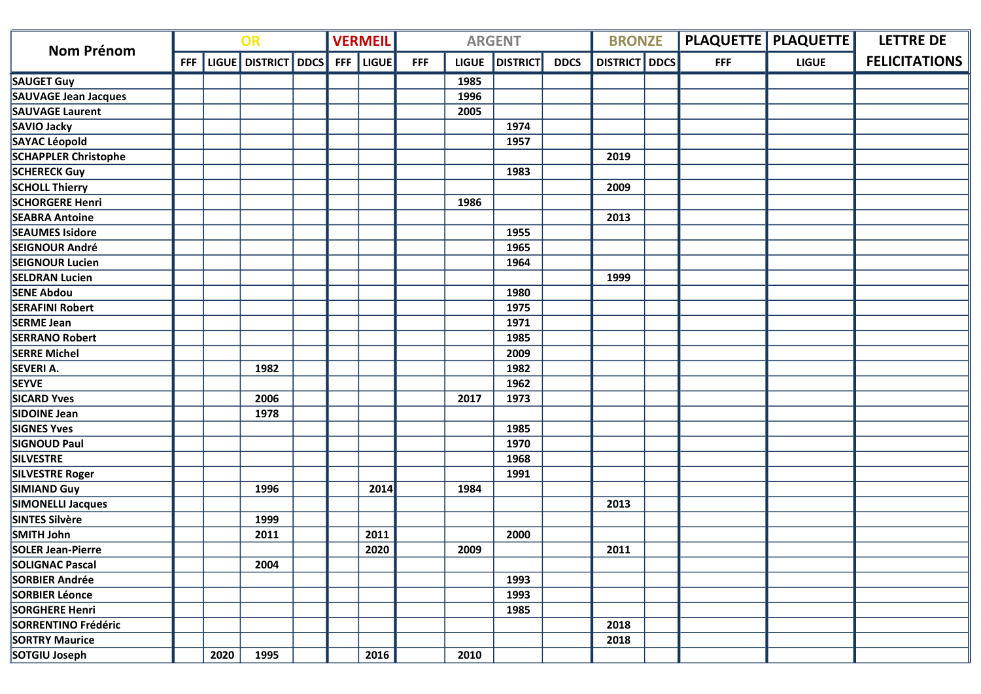| OR<br><b>Nom Prénom</b>     |            |      | <b>VERMEIL</b>      |            | <b>ARGENT</b> |            | <b>BRONZE</b> |                 | <b>PLAQUETTE   PLAQUETTE  </b> | <b>LETTRE DE</b>     |            |              |                      |
|-----------------------------|------------|------|---------------------|------------|---------------|------------|---------------|-----------------|--------------------------------|----------------------|------------|--------------|----------------------|
|                             | <b>FFF</b> |      | LIGUE DISTRICT DDCS | <b>FFF</b> | <b>LIGUE</b>  | <b>FFF</b> | <b>LIGUE</b>  | <b>DISTRICT</b> | <b>DDCS</b>                    | <b>DISTRICT</b> DDCS | <b>FFF</b> | <b>LIGUE</b> | <b>FELICITATIONS</b> |
| <b>SAUGET Guy</b>           |            |      |                     |            |               |            | 1985          |                 |                                |                      |            |              |                      |
| SAUVAGE Jean Jacques        |            |      |                     |            |               |            | 1996          |                 |                                |                      |            |              |                      |
| <b>SAUVAGE Laurent</b>      |            |      |                     |            |               |            | 2005          |                 |                                |                      |            |              |                      |
| SAVIO Jacky                 |            |      |                     |            |               |            |               | 1974            |                                |                      |            |              |                      |
| SAYAC Léopold               |            |      |                     |            |               |            |               | 1957            |                                |                      |            |              |                      |
| <b>SCHAPPLER Christophe</b> |            |      |                     |            |               |            |               |                 |                                | 2019                 |            |              |                      |
| <b>SCHERECK Guy</b>         |            |      |                     |            |               |            |               | 1983            |                                |                      |            |              |                      |
| <b>SCHOLL Thierry</b>       |            |      |                     |            |               |            |               |                 |                                | 2009                 |            |              |                      |
| <b>SCHORGERE Henri</b>      |            |      |                     |            |               |            | 1986          |                 |                                |                      |            |              |                      |
| <b>SEABRA Antoine</b>       |            |      |                     |            |               |            |               |                 |                                | 2013                 |            |              |                      |
| <b>SEAUMES Isidore</b>      |            |      |                     |            |               |            |               | 1955            |                                |                      |            |              |                      |
| SEIGNOUR André              |            |      |                     |            |               |            |               | 1965            |                                |                      |            |              |                      |
| <b>SEIGNOUR Lucien</b>      |            |      |                     |            |               |            |               | 1964            |                                |                      |            |              |                      |
| <b>SELDRAN Lucien</b>       |            |      |                     |            |               |            |               |                 |                                | 1999                 |            |              |                      |
| <b>SENE Abdou</b>           |            |      |                     |            |               |            |               | 1980            |                                |                      |            |              |                      |
| <b>SERAFINI Robert</b>      |            |      |                     |            |               |            |               | 1975            |                                |                      |            |              |                      |
| <b>SERME Jean</b>           |            |      |                     |            |               |            |               | 1971            |                                |                      |            |              |                      |
| <b>SERRANO Robert</b>       |            |      |                     |            |               |            |               | 1985            |                                |                      |            |              |                      |
| <b>SERRE Michel</b>         |            |      |                     |            |               |            |               | 2009            |                                |                      |            |              |                      |
| <b>SEVERI A.</b>            |            |      | 1982                |            |               |            |               | 1982            |                                |                      |            |              |                      |
| <b>SEYVE</b>                |            |      |                     |            |               |            |               | 1962            |                                |                      |            |              |                      |
| <b>SICARD Yves</b>          |            |      | 2006                |            |               |            | 2017          | 1973            |                                |                      |            |              |                      |
| SIDOINE Jean                |            |      | 1978                |            |               |            |               |                 |                                |                      |            |              |                      |
| <b>SIGNES Yves</b>          |            |      |                     |            |               |            |               | 1985            |                                |                      |            |              |                      |
| <b>SIGNOUD Paul</b>         |            |      |                     |            |               |            |               | 1970            |                                |                      |            |              |                      |
| <b>SILVESTRE</b>            |            |      |                     |            |               |            |               | 1968            |                                |                      |            |              |                      |
| <b>SILVESTRE Roger</b>      |            |      |                     |            |               |            |               | 1991            |                                |                      |            |              |                      |
| <b>SIMIAND Guy</b>          |            |      | 1996                |            | 2014          |            | 1984          |                 |                                |                      |            |              |                      |
| SIMONELLI Jacques           |            |      |                     |            |               |            |               |                 |                                | 2013                 |            |              |                      |
| <b>SINTES Silvère</b>       |            |      | 1999                |            |               |            |               |                 |                                |                      |            |              |                      |
| SMITH John                  |            |      | 2011                |            | 2011          |            |               | 2000            |                                |                      |            |              |                      |
| SOLER Jean-Pierre           |            |      |                     |            | 2020          |            | 2009          |                 |                                | 2011                 |            |              |                      |
| <b>SOLIGNAC Pascal</b>      |            |      | 2004                |            |               |            |               |                 |                                |                      |            |              |                      |
| SORBIER Andrée              |            |      |                     |            |               |            |               | 1993            |                                |                      |            |              |                      |
| SORBIER Léonce              |            |      |                     |            |               |            |               | 1993            |                                |                      |            |              |                      |
| <b>SORGHERE Henri</b>       |            |      |                     |            |               |            |               | 1985            |                                |                      |            |              |                      |
| SORRENTINO Frédéric         |            |      |                     |            |               |            |               |                 |                                | 2018                 |            |              |                      |
| <b>SORTRY Maurice</b>       |            |      |                     |            |               |            |               |                 |                                | 2018                 |            |              |                      |
| SOTGIU Joseph               |            | 2020 | 1995                |            | 2016          |            | 2010          |                 |                                |                      |            |              |                      |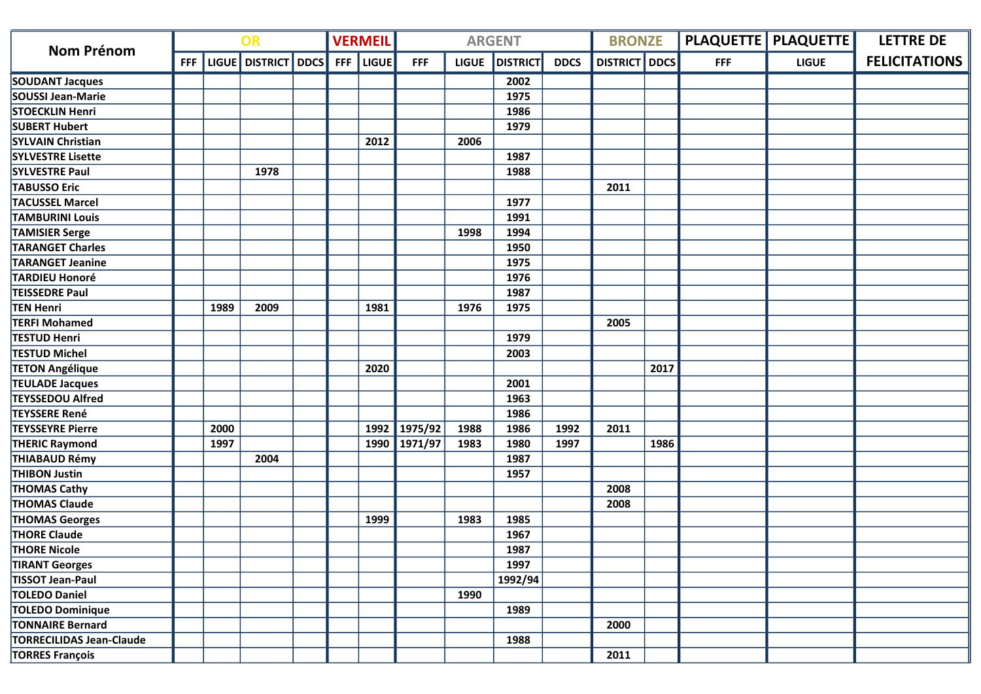| OR<br><b>Nom Prénom</b>         |            |      |                     | <b>VERMEIL</b> | <b>ARGENT</b> |              |              |                 |             | <b>BRONZE</b>        |      | <b>PLAQUETTE   PLAQUETTE  </b> | <b>LETTRE DE</b> |                      |
|---------------------------------|------------|------|---------------------|----------------|---------------|--------------|--------------|-----------------|-------------|----------------------|------|--------------------------------|------------------|----------------------|
|                                 | <b>FFF</b> |      | LIGUE DISTRICT DDCS | <b>FFF</b>     | <b>LIGUE</b>  | <b>FFF</b>   | <b>LIGUE</b> | <b>DISTRICT</b> | <b>DDCS</b> | <b>DISTRICT</b> DDCS |      | <b>FFF</b>                     | <b>LIGUE</b>     | <b>FELICITATIONS</b> |
| <b>SOUDANT Jacques</b>          |            |      |                     |                |               |              |              | 2002            |             |                      |      |                                |                  |                      |
| SOUSSI Jean-Marie               |            |      |                     |                |               |              |              | 1975            |             |                      |      |                                |                  |                      |
| <b>STOECKLIN Henri</b>          |            |      |                     |                |               |              |              | 1986            |             |                      |      |                                |                  |                      |
| <b>SUBERT Hubert</b>            |            |      |                     |                |               |              |              | 1979            |             |                      |      |                                |                  |                      |
| <b>SYLVAIN Christian</b>        |            |      |                     |                | 2012          |              | 2006         |                 |             |                      |      |                                |                  |                      |
| <b>SYLVESTRE Lisette</b>        |            |      |                     |                |               |              |              | 1987            |             |                      |      |                                |                  |                      |
| <b>SYLVESTRE Paul</b>           |            |      | 1978                |                |               |              |              | 1988            |             |                      |      |                                |                  |                      |
| <b>TABUSSO Eric</b>             |            |      |                     |                |               |              |              |                 |             | 2011                 |      |                                |                  |                      |
| <b>TACUSSEL Marcel</b>          |            |      |                     |                |               |              |              | 1977            |             |                      |      |                                |                  |                      |
| <b>TAMBURINI Louis</b>          |            |      |                     |                |               |              |              | 1991            |             |                      |      |                                |                  |                      |
| <b>TAMISIER Serge</b>           |            |      |                     |                |               |              | 1998         | 1994            |             |                      |      |                                |                  |                      |
| <b>TARANGET Charles</b>         |            |      |                     |                |               |              |              | 1950            |             |                      |      |                                |                  |                      |
| <b>TARANGET Jeanine</b>         |            |      |                     |                |               |              |              | 1975            |             |                      |      |                                |                  |                      |
| <b>TARDIEU Honoré</b>           |            |      |                     |                |               |              |              | 1976            |             |                      |      |                                |                  |                      |
| <b>TEISSEDRE Paul</b>           |            |      |                     |                |               |              |              | 1987            |             |                      |      |                                |                  |                      |
| <b>TEN Henri</b>                |            | 1989 | 2009                |                | 1981          |              | 1976         | 1975            |             |                      |      |                                |                  |                      |
| <b>TERFI Mohamed</b>            |            |      |                     |                |               |              |              |                 |             | 2005                 |      |                                |                  |                      |
| <b>TESTUD Henri</b>             |            |      |                     |                |               |              |              | 1979            |             |                      |      |                                |                  |                      |
| <b>TESTUD Michel</b>            |            |      |                     |                |               |              |              | 2003            |             |                      |      |                                |                  |                      |
| <b>TETON Angélique</b>          |            |      |                     |                | 2020          |              |              |                 |             |                      | 2017 |                                |                  |                      |
| <b>TEULADE Jacques</b>          |            |      |                     |                |               |              |              | 2001            |             |                      |      |                                |                  |                      |
| <b>TEYSSEDOU Alfred</b>         |            |      |                     |                |               |              |              | 1963            |             |                      |      |                                |                  |                      |
| <b>TEYSSERE René</b>            |            |      |                     |                |               |              |              | 1986            |             |                      |      |                                |                  |                      |
| <b>TEYSSEYRE Pierre</b>         |            | 2000 |                     |                |               | 1992 1975/92 | 1988         | 1986            | 1992        | 2011                 |      |                                |                  |                      |
| <b>THERIC Raymond</b>           |            | 1997 |                     |                |               | 1990 1971/97 | 1983         | 1980            | 1997        |                      | 1986 |                                |                  |                      |
| <b>THIABAUD Rémy</b>            |            |      | 2004                |                |               |              |              | 1987            |             |                      |      |                                |                  |                      |
| <b>THIBON Justin</b>            |            |      |                     |                |               |              |              | 1957            |             |                      |      |                                |                  |                      |
| <b>THOMAS Cathy</b>             |            |      |                     |                |               |              |              |                 |             | 2008                 |      |                                |                  |                      |
| <b>THOMAS Claude</b>            |            |      |                     |                |               |              |              |                 |             | 2008                 |      |                                |                  |                      |
| <b>THOMAS Georges</b>           |            |      |                     |                | 1999          |              | 1983         | 1985            |             |                      |      |                                |                  |                      |
| <b>THORE Claude</b>             |            |      |                     |                |               |              |              | 1967            |             |                      |      |                                |                  |                      |
| <b>THORE Nicole</b>             |            |      |                     |                |               |              |              | 1987            |             |                      |      |                                |                  |                      |
| <b>TIRANT Georges</b>           |            |      |                     |                |               |              |              | 1997            |             |                      |      |                                |                  |                      |
| <b>TISSOT Jean-Paul</b>         |            |      |                     |                |               |              |              | 1992/94         |             |                      |      |                                |                  |                      |
| <b>TOLEDO Daniel</b>            |            |      |                     |                |               |              | 1990         |                 |             |                      |      |                                |                  |                      |
| TOLEDO Dominique                |            |      |                     |                |               |              |              | 1989            |             |                      |      |                                |                  |                      |
| <b>TONNAIRE Bernard</b>         |            |      |                     |                |               |              |              |                 |             | 2000                 |      |                                |                  |                      |
| <b>TORRECILIDAS Jean-Claude</b> |            |      |                     |                |               |              |              | 1988            |             |                      |      |                                |                  |                      |
| <b>TORRES François</b>          |            |      |                     |                |               |              |              |                 |             | 2011                 |      |                                |                  |                      |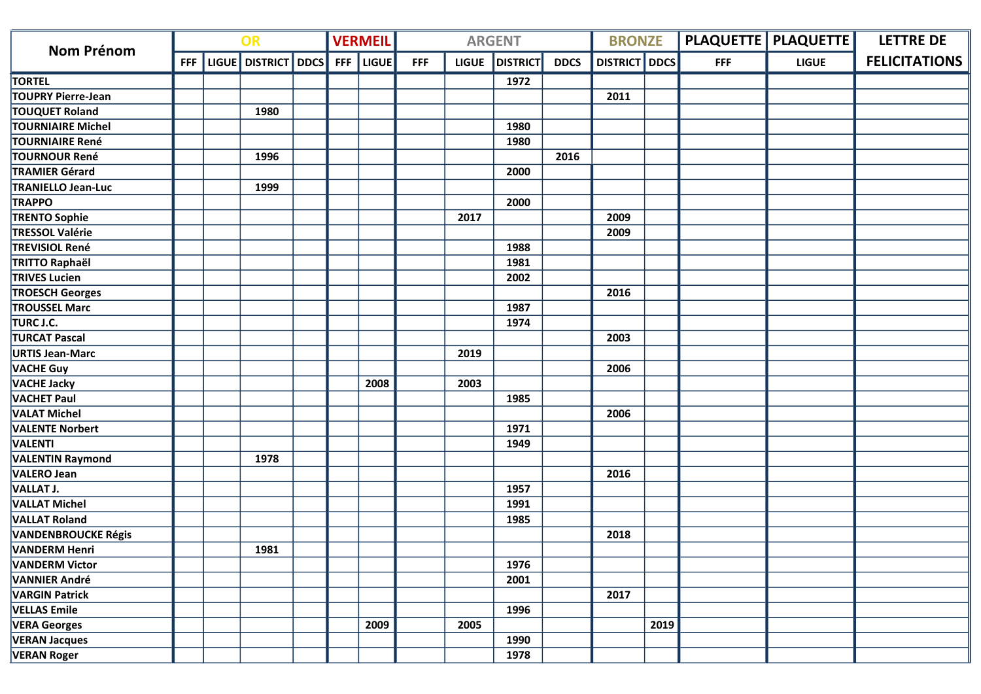| OR<br><b>Nom Prénom</b>    |            |                     | <b>VERMEIL</b> | <b>ARGENT</b> |            |              |                 |             | <b>BRONZE</b>        |      | <b>PLAQUETTE   PLAQUETTE  </b> | <b>LETTRE DE</b> |                      |
|----------------------------|------------|---------------------|----------------|---------------|------------|--------------|-----------------|-------------|----------------------|------|--------------------------------|------------------|----------------------|
|                            | <b>FFF</b> | LIGUE DISTRICT DDCS | <b>FFF</b>     | <b>LIGUE</b>  | <b>FFF</b> | <b>LIGUE</b> | <b>DISTRICT</b> | <b>DDCS</b> | <b>DISTRICT</b> DDCS |      | <b>FFF</b>                     | <b>LIGUE</b>     | <b>FELICITATIONS</b> |
| <b>TORTEL</b>              |            |                     |                |               |            |              | 1972            |             |                      |      |                                |                  |                      |
| TOUPRY Pierre-Jean         |            |                     |                |               |            |              |                 |             | 2011                 |      |                                |                  |                      |
| <b>TOUQUET Roland</b>      |            | 1980                |                |               |            |              |                 |             |                      |      |                                |                  |                      |
| <b>TOURNIAIRE Michel</b>   |            |                     |                |               |            |              | 1980            |             |                      |      |                                |                  |                      |
| <b>TOURNIAIRE René</b>     |            |                     |                |               |            |              | 1980            |             |                      |      |                                |                  |                      |
| <b>TOURNOUR René</b>       |            | 1996                |                |               |            |              |                 | 2016        |                      |      |                                |                  |                      |
| <b>TRAMIER Gérard</b>      |            |                     |                |               |            |              | 2000            |             |                      |      |                                |                  |                      |
| <b>TRANIELLO Jean-Luc</b>  |            | 1999                |                |               |            |              |                 |             |                      |      |                                |                  |                      |
| <b>TRAPPO</b>              |            |                     |                |               |            |              | 2000            |             |                      |      |                                |                  |                      |
| <b>TRENTO Sophie</b>       |            |                     |                |               |            | 2017         |                 |             | 2009                 |      |                                |                  |                      |
| <b>TRESSOL Valérie</b>     |            |                     |                |               |            |              |                 |             | 2009                 |      |                                |                  |                      |
| <b>TREVISIOL René</b>      |            |                     |                |               |            |              | 1988            |             |                      |      |                                |                  |                      |
| TRITTO Raphaël             |            |                     |                |               |            |              | 1981            |             |                      |      |                                |                  |                      |
| <b>TRIVES Lucien</b>       |            |                     |                |               |            |              | 2002            |             |                      |      |                                |                  |                      |
| <b>TROESCH Georges</b>     |            |                     |                |               |            |              |                 |             | 2016                 |      |                                |                  |                      |
| <b>TROUSSEL Marc</b>       |            |                     |                |               |            |              | 1987            |             |                      |      |                                |                  |                      |
| TURC J.C.                  |            |                     |                |               |            |              | 1974            |             |                      |      |                                |                  |                      |
| <b>TURCAT Pascal</b>       |            |                     |                |               |            |              |                 |             | 2003                 |      |                                |                  |                      |
| <b>URTIS Jean-Marc</b>     |            |                     |                |               |            | 2019         |                 |             |                      |      |                                |                  |                      |
| <b>VACHE Guy</b>           |            |                     |                |               |            |              |                 |             | 2006                 |      |                                |                  |                      |
| <b>VACHE Jacky</b>         |            |                     |                | 2008          |            | 2003         |                 |             |                      |      |                                |                  |                      |
| <b>VACHET Paul</b>         |            |                     |                |               |            |              | 1985            |             |                      |      |                                |                  |                      |
| <b>VALAT Michel</b>        |            |                     |                |               |            |              |                 |             | 2006                 |      |                                |                  |                      |
| <b>VALENTE Norbert</b>     |            |                     |                |               |            |              | 1971            |             |                      |      |                                |                  |                      |
| VALENTI                    |            |                     |                |               |            |              | 1949            |             |                      |      |                                |                  |                      |
| <b>VALENTIN Raymond</b>    |            | 1978                |                |               |            |              |                 |             |                      |      |                                |                  |                      |
| VALERO Jean                |            |                     |                |               |            |              |                 |             | 2016                 |      |                                |                  |                      |
| VALLAT J.                  |            |                     |                |               |            |              | 1957            |             |                      |      |                                |                  |                      |
| <b>VALLAT Michel</b>       |            |                     |                |               |            |              | 1991            |             |                      |      |                                |                  |                      |
| <b>VALLAT Roland</b>       |            |                     |                |               |            |              | 1985            |             |                      |      |                                |                  |                      |
| <b>VANDENBROUCKE Régis</b> |            |                     |                |               |            |              |                 |             | 2018                 |      |                                |                  |                      |
| <b>VANDERM Henri</b>       |            | 1981                |                |               |            |              |                 |             |                      |      |                                |                  |                      |
| <b>VANDERM Victor</b>      |            |                     |                |               |            |              | 1976            |             |                      |      |                                |                  |                      |
| <b>VANNIER André</b>       |            |                     |                |               |            |              | 2001            |             |                      |      |                                |                  |                      |
| <b>VARGIN Patrick</b>      |            |                     |                |               |            |              |                 |             | 2017                 |      |                                |                  |                      |
| <b>VELLAS Emile</b>        |            |                     |                |               |            |              | 1996            |             |                      |      |                                |                  |                      |
| <b>VERA Georges</b>        |            |                     |                | 2009          |            | 2005         |                 |             |                      | 2019 |                                |                  |                      |
| <b>VERAN Jacques</b>       |            |                     |                |               |            |              | 1990            |             |                      |      |                                |                  |                      |
| <b>VERAN Roger</b>         |            |                     |                |               |            |              | 1978            |             |                      |      |                                |                  |                      |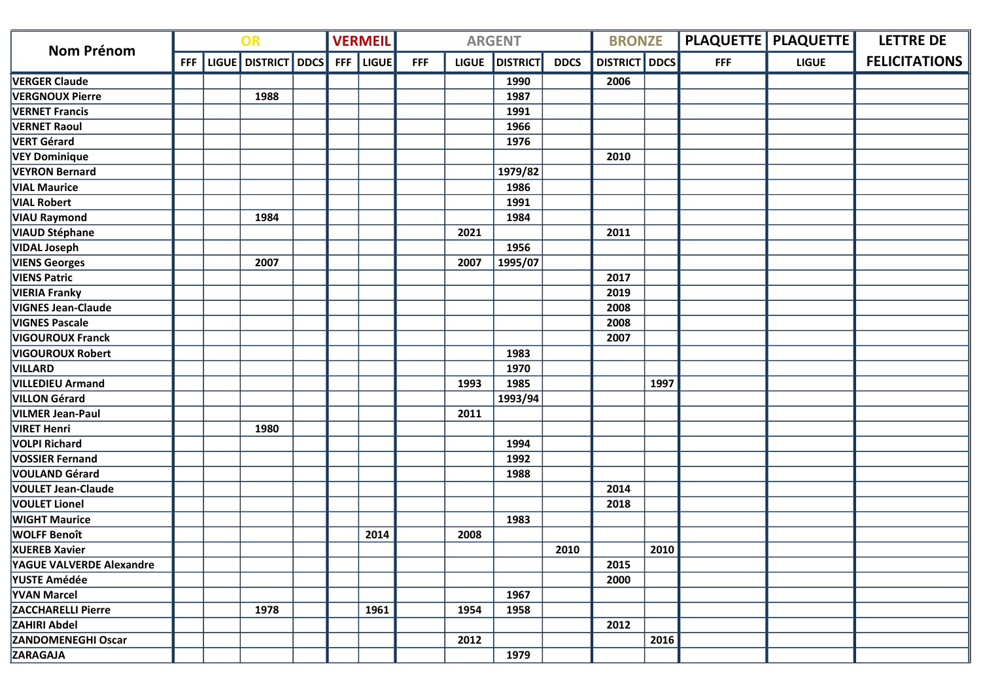| Nom Prénom                      | OR         |  |                     |  |            | <b>VERMEIL</b> |            |              | <b>ARGENT</b>   | <b>BRONZE</b> |                      |      | <b>PLAQUETTE   PLAQUETTE  </b> | <b>LETTRE DE</b> |                      |
|---------------------------------|------------|--|---------------------|--|------------|----------------|------------|--------------|-----------------|---------------|----------------------|------|--------------------------------|------------------|----------------------|
|                                 | <b>FFF</b> |  | LIGUE DISTRICT DDCS |  | <b>FFF</b> | <b>LIGUE</b>   | <b>FFF</b> | <b>LIGUE</b> | <b>DISTRICT</b> | <b>DDCS</b>   | <b>DISTRICT</b> DDCS |      | <b>FFF</b>                     | <b>LIGUE</b>     | <b>FELICITATIONS</b> |
| <b>VERGER Claude</b>            |            |  |                     |  |            |                |            |              | 1990            |               | 2006                 |      |                                |                  |                      |
| <b>VERGNOUX Pierre</b>          |            |  | 1988                |  |            |                |            |              | 1987            |               |                      |      |                                |                  |                      |
| <b>VERNET Francis</b>           |            |  |                     |  |            |                |            |              | 1991            |               |                      |      |                                |                  |                      |
| <b>VERNET Raoul</b>             |            |  |                     |  |            |                |            |              | 1966            |               |                      |      |                                |                  |                      |
| VERT Gérard                     |            |  |                     |  |            |                |            |              | 1976            |               |                      |      |                                |                  |                      |
| <b>VEY Dominique</b>            |            |  |                     |  |            |                |            |              |                 |               | 2010                 |      |                                |                  |                      |
| <b>VEYRON Bernard</b>           |            |  |                     |  |            |                |            |              | 1979/82         |               |                      |      |                                |                  |                      |
| <b>VIAL Maurice</b>             |            |  |                     |  |            |                |            |              | 1986            |               |                      |      |                                |                  |                      |
| <b>VIAL Robert</b>              |            |  |                     |  |            |                |            |              | 1991            |               |                      |      |                                |                  |                      |
| <b>VIAU Raymond</b>             |            |  | 1984                |  |            |                |            |              | 1984            |               |                      |      |                                |                  |                      |
| <b>VIAUD Stéphane</b>           |            |  |                     |  |            |                |            | 2021         |                 |               | 2011                 |      |                                |                  |                      |
| <b>VIDAL Joseph</b>             |            |  |                     |  |            |                |            |              | 1956            |               |                      |      |                                |                  |                      |
| <b>VIENS Georges</b>            |            |  | 2007                |  |            |                |            | 2007         | 1995/07         |               |                      |      |                                |                  |                      |
| <b>VIENS Patric</b>             |            |  |                     |  |            |                |            |              |                 |               | 2017                 |      |                                |                  |                      |
| <b>VIERIA Franky</b>            |            |  |                     |  |            |                |            |              |                 |               | 2019                 |      |                                |                  |                      |
| <b>VIGNES Jean-Claude</b>       |            |  |                     |  |            |                |            |              |                 |               | 2008                 |      |                                |                  |                      |
| <b>VIGNES Pascale</b>           |            |  |                     |  |            |                |            |              |                 |               | 2008                 |      |                                |                  |                      |
| <b>VIGOUROUX Franck</b>         |            |  |                     |  |            |                |            |              |                 |               | 2007                 |      |                                |                  |                      |
| <b>VIGOUROUX Robert</b>         |            |  |                     |  |            |                |            |              | 1983            |               |                      |      |                                |                  |                      |
| <b>VILLARD</b>                  |            |  |                     |  |            |                |            |              | 1970            |               |                      |      |                                |                  |                      |
| <b>VILLEDIEU Armand</b>         |            |  |                     |  |            |                |            | 1993         | 1985            |               |                      | 1997 |                                |                  |                      |
| <b>VILLON Gérard</b>            |            |  |                     |  |            |                |            |              | 1993/94         |               |                      |      |                                |                  |                      |
| <b>VILMER Jean-Paul</b>         |            |  |                     |  |            |                |            | 2011         |                 |               |                      |      |                                |                  |                      |
| <b>VIRET Henri</b>              |            |  | 1980                |  |            |                |            |              |                 |               |                      |      |                                |                  |                      |
| <b>VOLPI Richard</b>            |            |  |                     |  |            |                |            |              | 1994            |               |                      |      |                                |                  |                      |
| <b>VOSSIER Fernand</b>          |            |  |                     |  |            |                |            |              | 1992            |               |                      |      |                                |                  |                      |
| VOULAND Gérard                  |            |  |                     |  |            |                |            |              | 1988            |               |                      |      |                                |                  |                      |
| <b>VOULET Jean-Claude</b>       |            |  |                     |  |            |                |            |              |                 |               | 2014                 |      |                                |                  |                      |
| <b>VOULET Lionel</b>            |            |  |                     |  |            |                |            |              |                 |               | 2018                 |      |                                |                  |                      |
| <b>WIGHT Maurice</b>            |            |  |                     |  |            |                |            |              | 1983            |               |                      |      |                                |                  |                      |
| <b>WOLFF Benoît</b>             |            |  |                     |  |            | 2014           |            | 2008         |                 |               |                      |      |                                |                  |                      |
| <b>XUEREB Xavier</b>            |            |  |                     |  |            |                |            |              |                 | 2010          |                      | 2010 |                                |                  |                      |
| <b>YAGUE VALVERDE Alexandre</b> |            |  |                     |  |            |                |            |              |                 |               | 2015                 |      |                                |                  |                      |
| YUSTE Amédée                    |            |  |                     |  |            |                |            |              |                 |               | 2000                 |      |                                |                  |                      |
| <b>YVAN Marcel</b>              |            |  |                     |  |            |                |            |              | 1967            |               |                      |      |                                |                  |                      |
| <b>ZACCHARELLI Pierre</b>       |            |  | 1978                |  |            | 1961           |            | 1954         | 1958            |               |                      |      |                                |                  |                      |
| <b>ZAHIRI Abdel</b>             |            |  |                     |  |            |                |            |              |                 |               | 2012                 |      |                                |                  |                      |
| <b>ZANDOMENEGHI Oscar</b>       |            |  |                     |  |            |                |            | 2012         |                 |               |                      | 2016 |                                |                  |                      |
| <b>ZARAGAJA</b>                 |            |  |                     |  |            |                |            |              | 1979            |               |                      |      |                                |                  |                      |